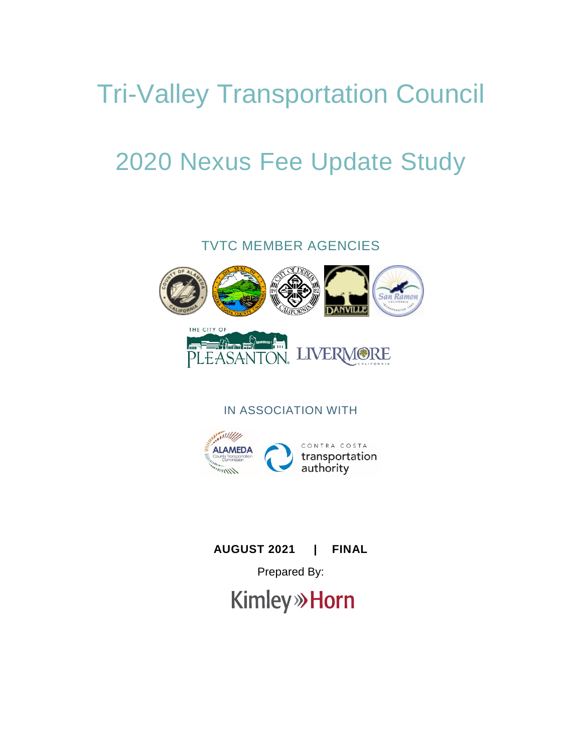# Tri-Valley Transportation Council

# 2020 Nexus Fee Update Study

TVTC MEMBER AGENCIES



IN ASSOCIATION WITH



# **AUGUST 2021 | FINAL**

Prepared By:

**Kimley» Horn**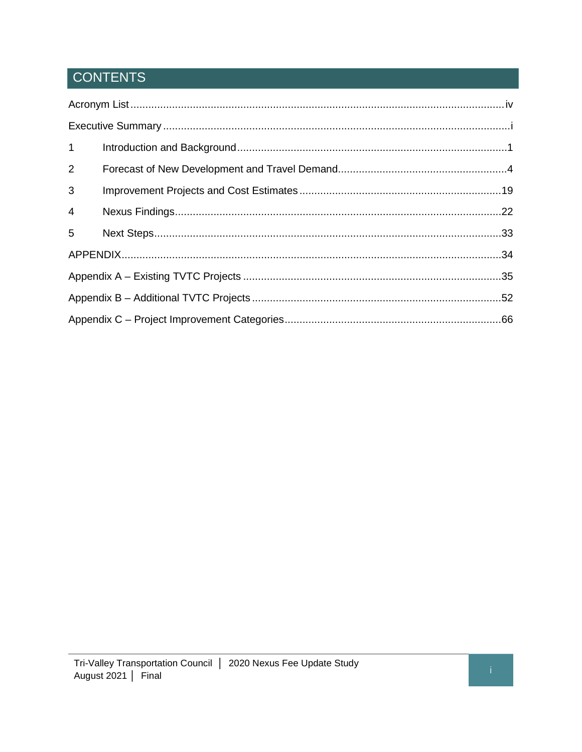# **CONTENTS**

| 1              |  |
|----------------|--|
| 2              |  |
| 3              |  |
| $\overline{4}$ |  |
| 5              |  |
|                |  |
|                |  |
|                |  |
|                |  |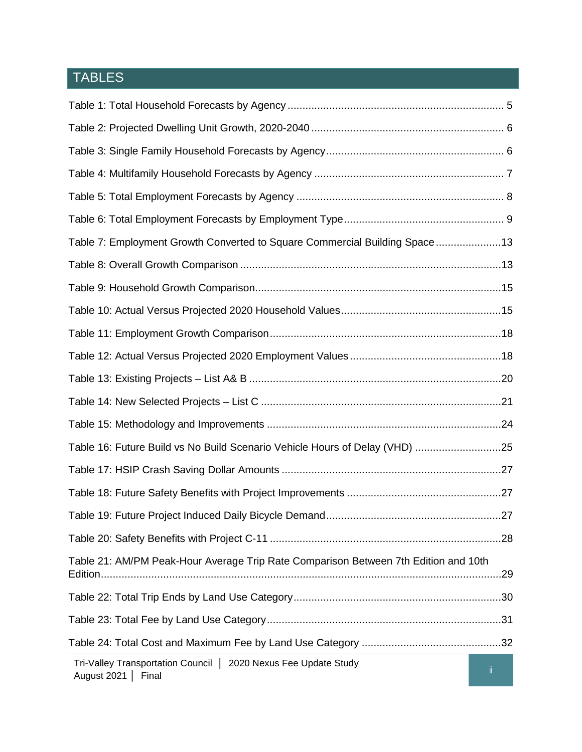# TABLES

| Table 7: Employment Growth Converted to Square Commercial Building Space13              |     |
|-----------------------------------------------------------------------------------------|-----|
|                                                                                         |     |
|                                                                                         |     |
|                                                                                         |     |
|                                                                                         |     |
|                                                                                         |     |
|                                                                                         |     |
|                                                                                         |     |
|                                                                                         |     |
| Table 16: Future Build vs No Build Scenario Vehicle Hours of Delay (VHD) 25             |     |
|                                                                                         |     |
|                                                                                         |     |
|                                                                                         |     |
|                                                                                         | .28 |
| Table 21: AM/PM Peak-Hour Average Trip Rate Comparison Between 7th Edition and 10th     | .29 |
|                                                                                         |     |
|                                                                                         |     |
|                                                                                         |     |
| Tri-Valley Transportation Council   2020 Nexus Fee Update Study<br>August 2021<br>Final | Ïİ. |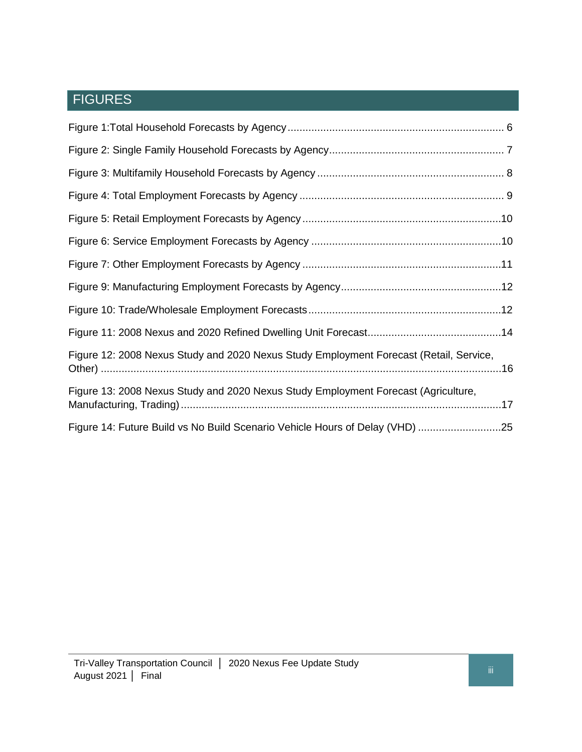# FIGURES

| Figure 12: 2008 Nexus Study and 2020 Nexus Study Employment Forecast (Retail, Service, |  |
|----------------------------------------------------------------------------------------|--|
| Figure 13: 2008 Nexus Study and 2020 Nexus Study Employment Forecast (Agriculture,     |  |
| Figure 14: Future Build vs No Build Scenario Vehicle Hours of Delay (VHD) 25           |  |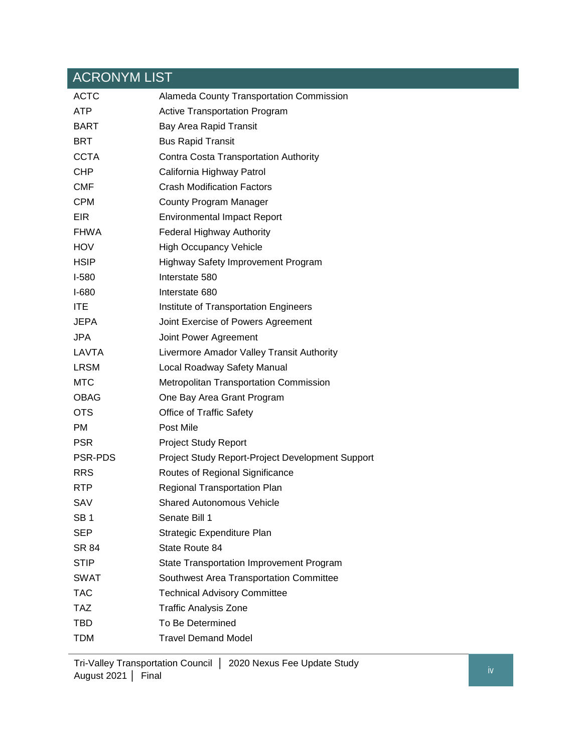# <span id="page-4-0"></span>ACRONYM LIST

| <b>ACTC</b>     | Alameda County Transportation Commission         |
|-----------------|--------------------------------------------------|
| <b>ATP</b>      | <b>Active Transportation Program</b>             |
| <b>BART</b>     | Bay Area Rapid Transit                           |
| <b>BRT</b>      | <b>Bus Rapid Transit</b>                         |
| <b>CCTA</b>     | Contra Costa Transportation Authority            |
| <b>CHP</b>      | California Highway Patrol                        |
| <b>CMF</b>      | <b>Crash Modification Factors</b>                |
| <b>CPM</b>      | County Program Manager                           |
| EIR             | <b>Environmental Impact Report</b>               |
| FHWA            | <b>Federal Highway Authority</b>                 |
| <b>HOV</b>      | <b>High Occupancy Vehicle</b>                    |
| <b>HSIP</b>     | <b>Highway Safety Improvement Program</b>        |
| $I-580$         | Interstate 580                                   |
| $I-680$         | Interstate 680                                   |
| <b>ITE</b>      | Institute of Transportation Engineers            |
| JEPA            | Joint Exercise of Powers Agreement               |
| <b>JPA</b>      | Joint Power Agreement                            |
| LAVTA           | Livermore Amador Valley Transit Authority        |
| <b>LRSM</b>     | Local Roadway Safety Manual                      |
| <b>MTC</b>      | <b>Metropolitan Transportation Commission</b>    |
| <b>OBAG</b>     | One Bay Area Grant Program                       |
| <b>OTS</b>      | <b>Office of Traffic Safety</b>                  |
| <b>PM</b>       | Post Mile                                        |
| <b>PSR</b>      | <b>Project Study Report</b>                      |
| <b>PSR-PDS</b>  | Project Study Report-Project Development Support |
| <b>RRS</b>      | Routes of Regional Significance                  |
| <b>RTP</b>      | Regional Transportation Plan                     |
| SAV             | <b>Shared Autonomous Vehicle</b>                 |
| SB <sub>1</sub> | Senate Bill 1                                    |
| <b>SEP</b>      | Strategic Expenditure Plan                       |
| SR 84           | State Route 84                                   |
| <b>STIP</b>     | State Transportation Improvement Program         |
| <b>SWAT</b>     | Southwest Area Transportation Committee          |
| <b>TAC</b>      | <b>Technical Advisory Committee</b>              |
| <b>TAZ</b>      | <b>Traffic Analysis Zone</b>                     |
| <b>TBD</b>      | To Be Determined                                 |
| <b>TDM</b>      | <b>Travel Demand Model</b>                       |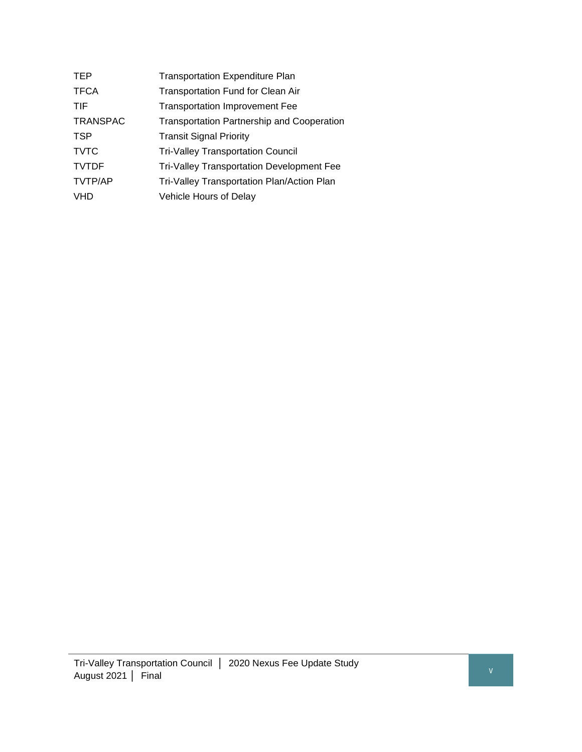| TEP             | <b>Transportation Expenditure Plan</b>           |
|-----------------|--------------------------------------------------|
| <b>TFCA</b>     | <b>Transportation Fund for Clean Air</b>         |
| TIF             | <b>Transportation Improvement Fee</b>            |
| <b>TRANSPAC</b> | Transportation Partnership and Cooperation       |
| TSP             | <b>Transit Signal Priority</b>                   |
| <b>TVTC</b>     | <b>Tri-Valley Transportation Council</b>         |
| <b>TVTDF</b>    | <b>Tri-Valley Transportation Development Fee</b> |
| <b>TVTP/AP</b>  | Tri-Valley Transportation Plan/Action Plan       |
| <b>VHD</b>      | Vehicle Hours of Delay                           |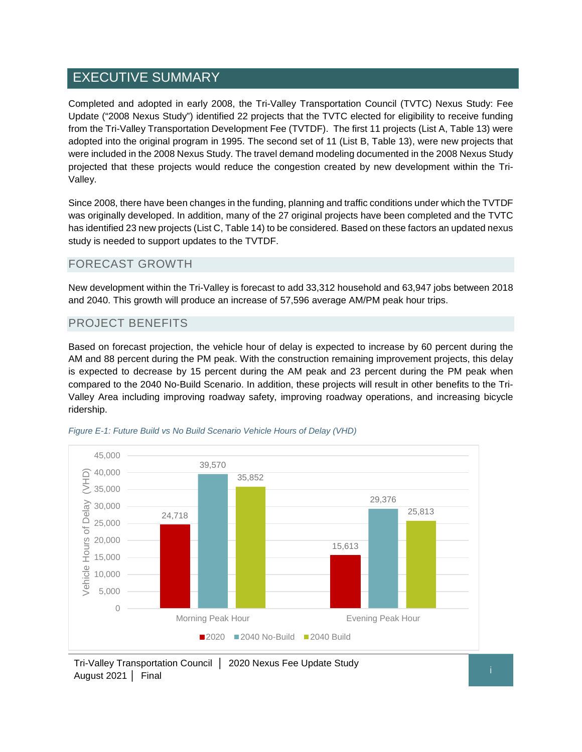# <span id="page-6-0"></span>EXECUTIVE SUMMARY

Completed and adopted in early 2008, the Tri-Valley Transportation Council (TVTC) Nexus Study: Fee Update ("2008 Nexus Study") identified 22 projects that the TVTC elected for eligibility to receive funding from the Tri-Valley Transportation Development Fee (TVTDF). The first 11 projects (List A, Table 13) were adopted into the original program in 1995. The second set of 11 (List B, Table 13), were new projects that were included in the 2008 Nexus Study. The travel demand modeling documented in the 2008 Nexus Study projected that these projects would reduce the congestion created by new development within the Tri-Valley.

Since 2008, there have been changes in the funding, planning and traffic conditions under which the TVTDF was originally developed. In addition, many of the 27 original projects have been completed and the TVTC has identified 23 new projects (List C, Table 14) to be considered. Based on these factors an updated nexus study is needed to support updates to the TVTDF.

#### FORECAST GROWTH

New development within the Tri-Valley is forecast to add 33,312 household and 63,947 jobs between 2018 and 2040. This growth will produce an increase of 57,596 average AM/PM peak hour trips.

#### PROJECT BENEFITS

Based on forecast projection, the vehicle hour of delay is expected to increase by 60 percent during the AM and 88 percent during the PM peak. With the construction remaining improvement projects, this delay is expected to decrease by 15 percent during the AM peak and 23 percent during the PM peak when compared to the 2040 No-Build Scenario. In addition, these projects will result in other benefits to the Tri-Valley Area including improving roadway safety, improving roadway operations, and increasing bicycle ridership.





Tri-Valley Transportation Council │ 2020 Nexus Fee Update Study August 2021 │ Final <sup>i</sup>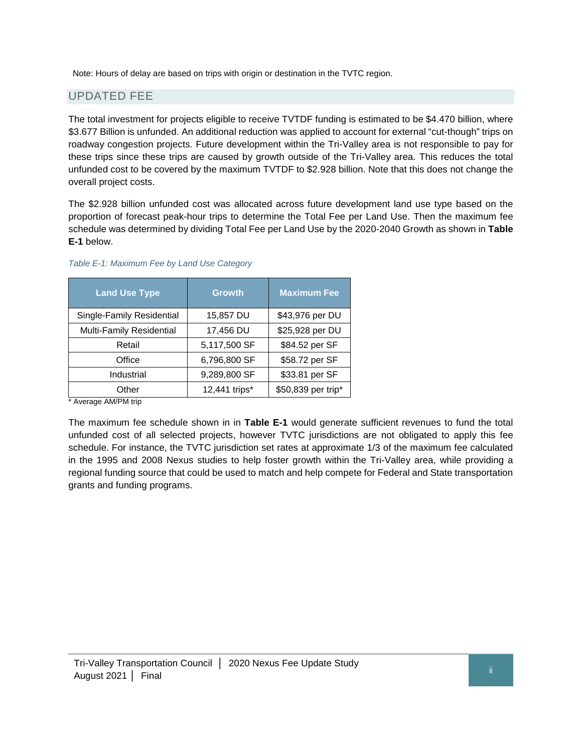Note: Hours of delay are based on trips with origin or destination in the TVTC region.

### UPDATED FEE

The total investment for projects eligible to receive TVTDF funding is estimated to be \$4.470 billion, where \$3.677 Billion is unfunded. An additional reduction was applied to account for external "cut-though" trips on roadway congestion projects. Future development within the Tri-Valley area is not responsible to pay for these trips since these trips are caused by growth outside of the Tri-Valley area. This reduces the total unfunded cost to be covered by the maximum TVTDF to \$2.928 billion. Note that this does not change the overall project costs.

The \$2.928 billion unfunded cost was allocated across future development land use type based on the proportion of forecast peak-hour trips to determine the Total Fee per Land Use. Then the maximum fee schedule was determined by dividing Total Fee per Land Use by the 2020-2040 Growth as shown in **Table E-1** below.

| <b>Land Use Type</b>      | <b>Growth</b> | <b>Maximum Fee</b> |
|---------------------------|---------------|--------------------|
| Single-Family Residential | 15,857 DU     | \$43,976 per DU    |
| Multi-Family Residential  | 17,456 DU     | \$25,928 per DU    |
| Retail                    | 5,117,500 SF  | \$84.52 per SF     |
| Office                    | 6,796,800 SF  | \$58.72 per SF     |
| Industrial                | 9,289,800 SF  | \$33.81 per SF     |
| Other<br>$\mathbf{a}$     | 12,441 trips* | \$50,839 per trip* |

*Table E-1: Maximum Fee by Land Use Category*

Average AM/PM trip

The maximum fee schedule shown in in **Table E-1** would generate sufficient revenues to fund the total unfunded cost of all selected projects, however TVTC jurisdictions are not obligated to apply this fee schedule. For instance, the TVTC jurisdiction set rates at approximate 1/3 of the maximum fee calculated in the 1995 and 2008 Nexus studies to help foster growth within the Tri-Valley area, while providing a regional funding source that could be used to match and help compete for Federal and State transportation grants and funding programs.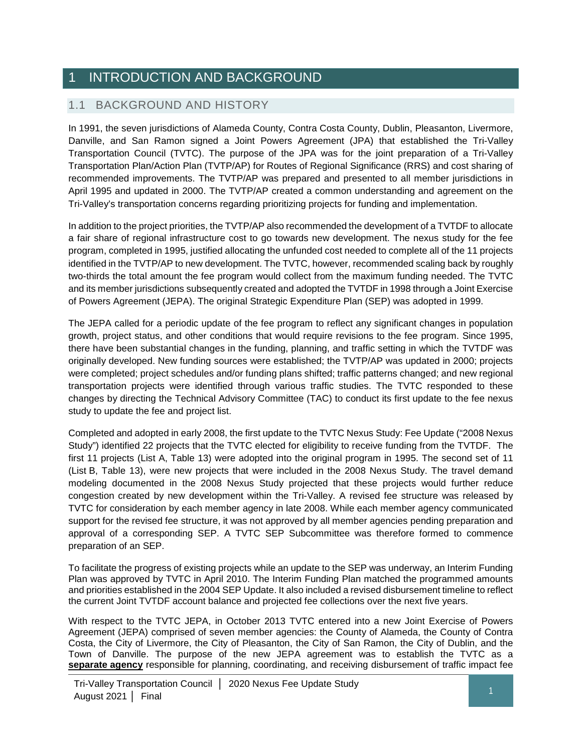# <span id="page-8-0"></span>INTRODUCTION AND BACKGROUND

## 1.1 BACKGROUND AND HISTORY

In 1991, the seven jurisdictions of Alameda County, Contra Costa County, Dublin, Pleasanton, Livermore, Danville, and San Ramon signed a Joint Powers Agreement (JPA) that established the Tri-Valley Transportation Council (TVTC). The purpose of the JPA was for the joint preparation of a Tri-Valley Transportation Plan/Action Plan (TVTP/AP) for Routes of Regional Significance (RRS) and cost sharing of recommended improvements. The TVTP/AP was prepared and presented to all member jurisdictions in April 1995 and updated in 2000. The TVTP/AP created a common understanding and agreement on the Tri-Valley's transportation concerns regarding prioritizing projects for funding and implementation.

In addition to the project priorities, the TVTP/AP also recommended the development of a TVTDF to allocate a fair share of regional infrastructure cost to go towards new development. The nexus study for the fee program, completed in 1995, justified allocating the unfunded cost needed to complete all of the 11 projects identified in the TVTP/AP to new development. The TVTC, however, recommended scaling back by roughly two-thirds the total amount the fee program would collect from the maximum funding needed. The TVTC and its member jurisdictions subsequently created and adopted the TVTDF in 1998 through a Joint Exercise of Powers Agreement (JEPA). The original Strategic Expenditure Plan (SEP) was adopted in 1999.

The JEPA called for a periodic update of the fee program to reflect any significant changes in population growth, project status, and other conditions that would require revisions to the fee program. Since 1995, there have been substantial changes in the funding, planning, and traffic setting in which the TVTDF was originally developed. New funding sources were established; the TVTP/AP was updated in 2000; projects were completed; project schedules and/or funding plans shifted; traffic patterns changed; and new regional transportation projects were identified through various traffic studies. The TVTC responded to these changes by directing the Technical Advisory Committee (TAC) to conduct its first update to the fee nexus study to update the fee and project list.

Completed and adopted in early 2008, the first update to the TVTC Nexus Study: Fee Update ("2008 Nexus Study") identified 22 projects that the TVTC elected for eligibility to receive funding from the TVTDF. The first 11 projects (List A, Table 13) were adopted into the original program in 1995. The second set of 11 (List B, Table 13), were new projects that were included in the 2008 Nexus Study. The travel demand modeling documented in the 2008 Nexus Study projected that these projects would further reduce congestion created by new development within the Tri-Valley. A revised fee structure was released by TVTC for consideration by each member agency in late 2008. While each member agency communicated support for the revised fee structure, it was not approved by all member agencies pending preparation and approval of a corresponding SEP. A TVTC SEP Subcommittee was therefore formed to commence preparation of an SEP.

To facilitate the progress of existing projects while an update to the SEP was underway, an Interim Funding Plan was approved by TVTC in April 2010. The Interim Funding Plan matched the programmed amounts and priorities established in the 2004 SEP Update. It also included a revised disbursement timeline to reflect the current Joint TVTDF account balance and projected fee collections over the next five years.

With respect to the TVTC JEPA, in October 2013 TVTC entered into a new Joint Exercise of Powers Agreement (JEPA) comprised of seven member agencies: the County of Alameda, the County of Contra Costa, the City of Livermore, the City of Pleasanton, the City of San Ramon, the City of Dublin, and the Town of Danville. The purpose of the new JEPA agreement was to establish the TVTC as a **separate agency** responsible for planning, coordinating, and receiving disbursement of traffic impact fee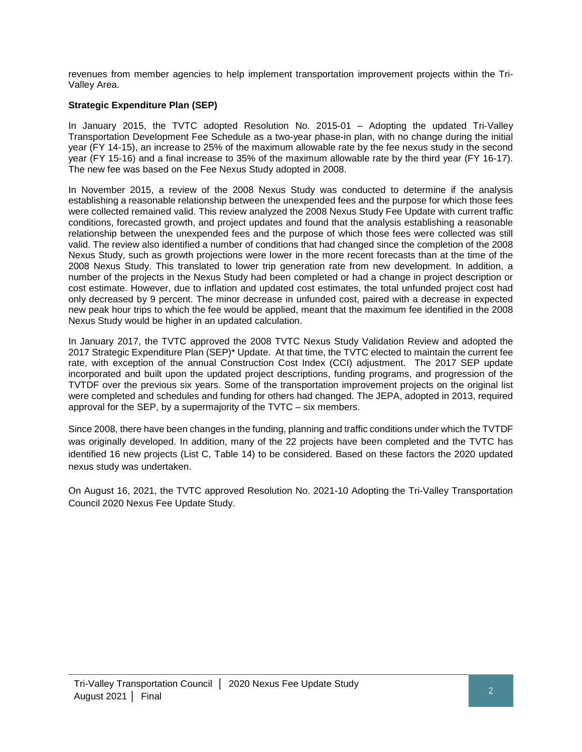revenues from member agencies to help implement transportation improvement projects within the Tri-Valley Area.

#### **Strategic Expenditure Plan (SEP)**

In January 2015, the TVTC adopted Resolution No. 2015-01 – Adopting the updated Tri-Valley Transportation Development Fee Schedule as a two-year phase-in plan, with no change during the initial year (FY 14-15), an increase to 25% of the maximum allowable rate by the fee nexus study in the second year (FY 15-16) and a final increase to 35% of the maximum allowable rate by the third year (FY 16-17). The new fee was based on the Fee Nexus Study adopted in 2008.

In November 2015, a review of the 2008 Nexus Study was conducted to determine if the analysis establishing a reasonable relationship between the unexpended fees and the purpose for which those fees were collected remained valid. This review analyzed the 2008 Nexus Study Fee Update with current traffic conditions, forecasted growth, and project updates and found that the analysis establishing a reasonable relationship between the unexpended fees and the purpose of which those fees were collected was still valid. The review also identified a number of conditions that had changed since the completion of the 2008 Nexus Study, such as growth projections were lower in the more recent forecasts than at the time of the 2008 Nexus Study. This translated to lower trip generation rate from new development. In addition, a number of the projects in the Nexus Study had been completed or had a change in project description or cost estimate. However, due to inflation and updated cost estimates, the total unfunded project cost had only decreased by 9 percent. The minor decrease in unfunded cost, paired with a decrease in expected new peak hour trips to which the fee would be applied, meant that the maximum fee identified in the 2008 Nexus Study would be higher in an updated calculation.

In January 2017, the TVTC approved the 2008 TVTC Nexus Study Validation Review and adopted the 2017 Strategic Expenditure Plan (SEP)\* Update. At that time, the TVTC elected to maintain the current fee rate, with exception of the annual Construction Cost Index (CCI) adjustment. The 2017 SEP update incorporated and built upon the updated project descriptions, funding programs, and progression of the TVTDF over the previous six years. Some of the transportation improvement projects on the original list were completed and schedules and funding for others had changed. The JEPA, adopted in 2013, required approval for the SEP, by a supermajority of the TVTC – six members.

Since 2008, there have been changes in the funding, planning and traffic conditions under which the TVTDF was originally developed. In addition, many of the 22 projects have been completed and the TVTC has identified 16 new projects (List C, Table 14) to be considered. Based on these factors the 2020 updated nexus study was undertaken.

On August 16, 2021, the TVTC approved Resolution No. 2021-10 Adopting the Tri-Valley Transportation Council 2020 Nexus Fee Update Study.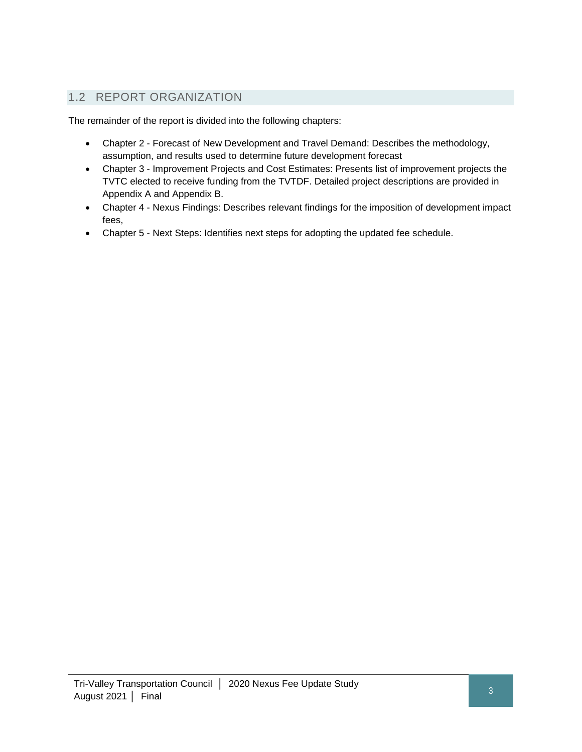# 1.2 REPORT ORGANIZATION

The remainder of the report is divided into the following chapters:

- Chapter 2 Forecast of New Development and Travel Demand: Describes the methodology, assumption, and results used to determine future development forecast
- Chapter 3 Improvement Projects and Cost Estimates: Presents list of improvement projects the TVTC elected to receive funding from the TVTDF. Detailed project descriptions are provided in Appendix A and Appendix B.
- Chapter 4 Nexus Findings: Describes relevant findings for the imposition of development impact fees,
- Chapter 5 Next Steps: Identifies next steps for adopting the updated fee schedule.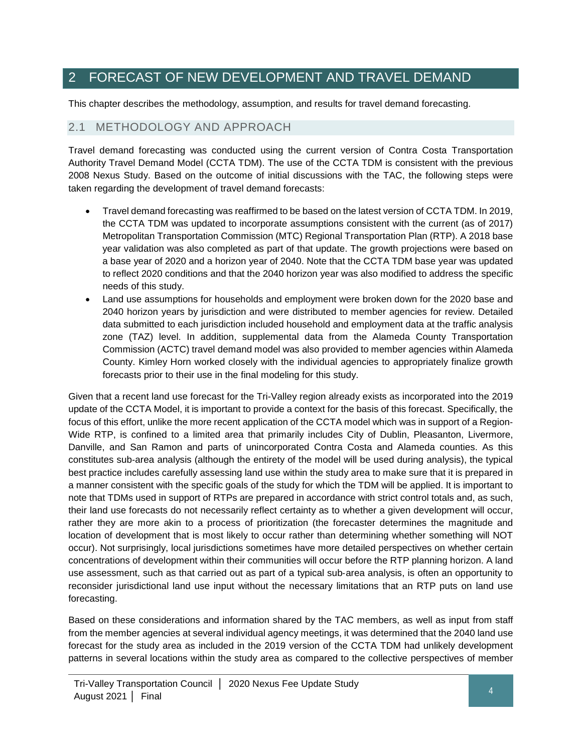# <span id="page-11-0"></span>2 FORECAST OF NEW DEVELOPMENT AND TRAVEL DEMAND

This chapter describes the methodology, assumption, and results for travel demand forecasting.

### 2.1 METHODOLOGY AND APPROACH

Travel demand forecasting was conducted using the current version of Contra Costa Transportation Authority Travel Demand Model (CCTA TDM). The use of the CCTA TDM is consistent with the previous 2008 Nexus Study. Based on the outcome of initial discussions with the TAC, the following steps were taken regarding the development of travel demand forecasts:

- Travel demand forecasting was reaffirmed to be based on the latest version of CCTA TDM. In 2019, the CCTA TDM was updated to incorporate assumptions consistent with the current (as of 2017) Metropolitan Transportation Commission (MTC) Regional Transportation Plan (RTP). A 2018 base year validation was also completed as part of that update. The growth projections were based on a base year of 2020 and a horizon year of 2040. Note that the CCTA TDM base year was updated to reflect 2020 conditions and that the 2040 horizon year was also modified to address the specific needs of this study.
- Land use assumptions for households and employment were broken down for the 2020 base and 2040 horizon years by jurisdiction and were distributed to member agencies for review. Detailed data submitted to each jurisdiction included household and employment data at the traffic analysis zone (TAZ) level. In addition, supplemental data from the Alameda County Transportation Commission (ACTC) travel demand model was also provided to member agencies within Alameda County. Kimley Horn worked closely with the individual agencies to appropriately finalize growth forecasts prior to their use in the final modeling for this study.

Given that a recent land use forecast for the Tri-Valley region already exists as incorporated into the 2019 update of the CCTA Model, it is important to provide a context for the basis of this forecast. Specifically, the focus of this effort, unlike the more recent application of the CCTA model which was in support of a Region‐ Wide RTP, is confined to a limited area that primarily includes City of Dublin, Pleasanton, Livermore, Danville, and San Ramon and parts of unincorporated Contra Costa and Alameda counties. As this constitutes sub‐area analysis (although the entirety of the model will be used during analysis), the typical best practice includes carefully assessing land use within the study area to make sure that it is prepared in a manner consistent with the specific goals of the study for which the TDM will be applied. It is important to note that TDMs used in support of RTPs are prepared in accordance with strict control totals and, as such, their land use forecasts do not necessarily reflect certainty as to whether a given development will occur, rather they are more akin to a process of prioritization (the forecaster determines the magnitude and location of development that is most likely to occur rather than determining whether something will NOT occur). Not surprisingly, local jurisdictions sometimes have more detailed perspectives on whether certain concentrations of development within their communities will occur before the RTP planning horizon. A land use assessment, such as that carried out as part of a typical sub‐area analysis, is often an opportunity to reconsider jurisdictional land use input without the necessary limitations that an RTP puts on land use forecasting.

Based on these considerations and information shared by the TAC members, as well as input from staff from the member agencies at several individual agency meetings, it was determined that the 2040 land use forecast for the study area as included in the 2019 version of the CCTA TDM had unlikely development patterns in several locations within the study area as compared to the collective perspectives of member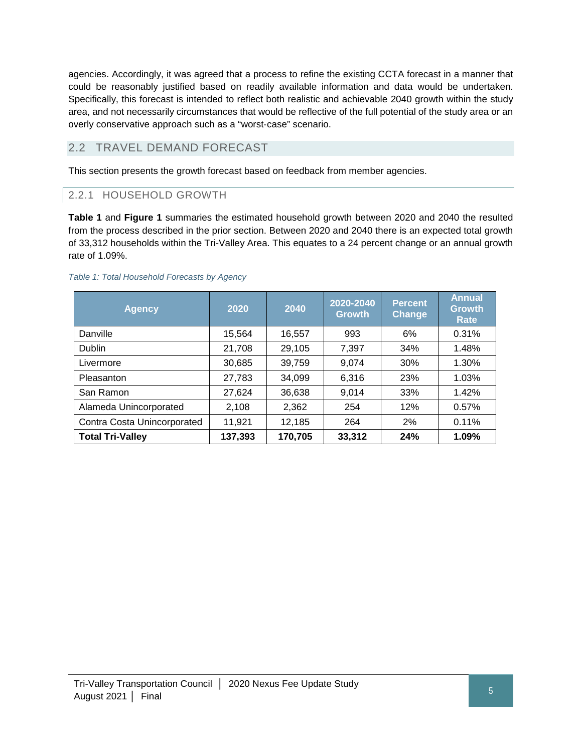agencies. Accordingly, it was agreed that a process to refine the existing CCTA forecast in a manner that could be reasonably justified based on readily available information and data would be undertaken. Specifically, this forecast is intended to reflect both realistic and achievable 2040 growth within the study area, and not necessarily circumstances that would be reflective of the full potential of the study area or an overly conservative approach such as a "worst‐case" scenario.

# 2.2 TRAVEL DEMAND FORECAST

This section presents the growth forecast based on feedback from member agencies.

#### 2.2.1 HOUSEHOLD GROWTH

**Table 1** and **Figure 1** summaries the estimated household growth between 2020 and 2040 the resulted from the process described in the prior section. Between 2020 and 2040 there is an expected total growth of 33,312 households within the Tri-Valley Area. This equates to a 24 percent change or an annual growth rate of 1.09%.

| <b>Agency</b>               | 2020    | 2040    | 2020-2040<br><b>Growth</b> | <b>Percent</b><br>Change | <b>Annual</b><br><b>Growth</b><br><b>Rate</b> |
|-----------------------------|---------|---------|----------------------------|--------------------------|-----------------------------------------------|
| Danville                    | 15,564  | 16,557  | 993                        | 6%                       | 0.31%                                         |
| <b>Dublin</b>               | 21,708  | 29,105  | 7,397                      | 34%                      | 1.48%                                         |
| Livermore                   | 30,685  | 39,759  | 9,074                      | 30%                      | 1.30%                                         |
| Pleasanton                  | 27,783  | 34,099  | 6,316                      | 23%                      | 1.03%                                         |
| San Ramon                   | 27,624  | 36,638  | 9,014                      | 33%                      | 1.42%                                         |
| Alameda Unincorporated      | 2,108   | 2,362   | 254                        | 12%                      | 0.57%                                         |
| Contra Costa Unincorporated | 11,921  | 12,185  | 264                        | 2%                       | 0.11%                                         |
| <b>Total Tri-Valley</b>     | 137,393 | 170,705 | 33,312                     | 24%                      | 1.09%                                         |

#### <span id="page-12-0"></span>*Table 1: Total Household Forecasts by Agency*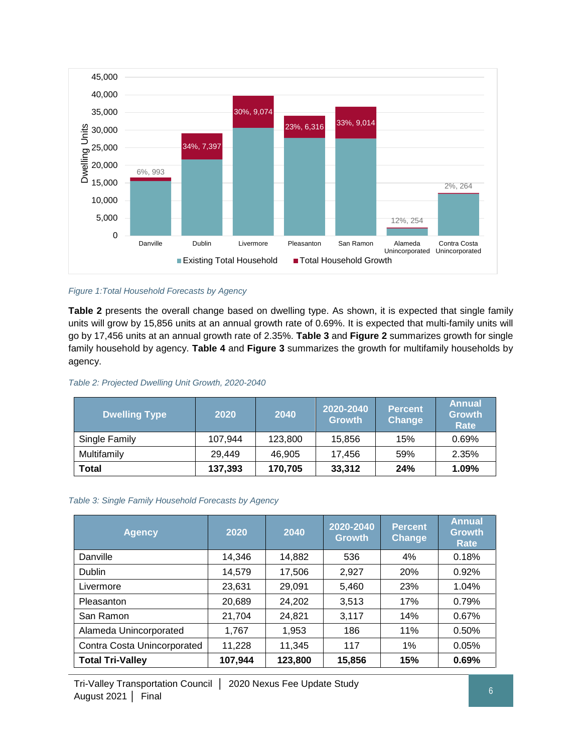

#### <span id="page-13-2"></span>*Figure 1:Total Household Forecasts by Agency*

**Table 2** presents the overall change based on dwelling type. As shown, it is expected that single family units will grow by 15,856 units at an annual growth rate of 0.69%. It is expected that multi-family units will go by 17,456 units at an annual growth rate of 2.35%. **Table 3** and **Figure 2** summarizes growth for single family household by agency. **Table 4** and **Figure 3** summarizes the growth for multifamily households by agency.

<span id="page-13-0"></span>

|  |  | Table 2: Projected Dwelling Unit Growth, 2020-2040 |
|--|--|----------------------------------------------------|
|  |  |                                                    |

| <b>Dwelling Type</b> | 2020    | 2040    | 2020-2040<br><b>Growth</b> | <b>Percent</b><br>Change | <b>Annual</b><br><b>Growth</b><br><b>Rate</b> |
|----------------------|---------|---------|----------------------------|--------------------------|-----------------------------------------------|
| Single Family        | 107,944 | 123,800 | 15,856                     | 15%                      | 0.69%                                         |
| Multifamily          | 29.449  | 46,905  | 17.456                     | 59%                      | 2.35%                                         |
| <b>Total</b>         | 137,393 | 170,705 | 33,312                     | 24%                      | 1.09%                                         |

#### <span id="page-13-1"></span>*Table 3: Single Family Household Forecasts by Agency*

| <b>Agency</b>               | 2020    | 2040    | 2020-2040<br><b>Growth</b> | <b>Percent</b><br>Change | <b>Annual</b><br><b>Growth</b><br><b>Rate</b> |
|-----------------------------|---------|---------|----------------------------|--------------------------|-----------------------------------------------|
| Danville                    | 14,346  | 14,882  | 536                        | 4%                       | 0.18%                                         |
| <b>Dublin</b>               | 14,579  | 17,506  | 2,927                      | 20%                      | 0.92%                                         |
| Livermore                   | 23,631  | 29,091  | 5,460                      | 23%                      | 1.04%                                         |
| Pleasanton                  | 20,689  | 24,202  | 3,513                      | 17%                      | 0.79%                                         |
| San Ramon                   | 21,704  | 24,821  | 3,117                      | 14%                      | 0.67%                                         |
| Alameda Unincorporated      | 1,767   | 1,953   | 186                        | 11%                      | 0.50%                                         |
| Contra Costa Unincorporated | 11,228  | 11,345  | 117                        | 1%                       | 0.05%                                         |
| <b>Total Tri-Valley</b>     | 107,944 | 123,800 | 15,856                     | 15%                      | 0.69%                                         |

Tri-Valley Transportation Council │ 2020 Nexus Fee Update Study August 2021 │ Final <sup>6</sup>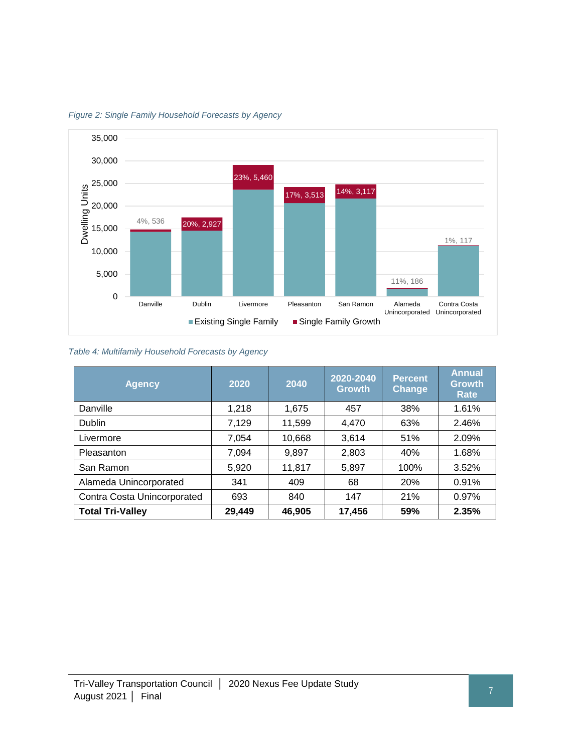

<span id="page-14-1"></span>*Figure 2: Single Family Household Forecasts by Agency*

<span id="page-14-0"></span>*Table 4: Multifamily Household Forecasts by Agency*

| <b>Agency</b>               | 2020   | 2040   | 2020-2040<br><b>Growth</b> | <b>Percent</b><br>Change | <b>Annual</b><br><b>Growth</b><br><b>Rate</b> |
|-----------------------------|--------|--------|----------------------------|--------------------------|-----------------------------------------------|
| Danville                    | 1,218  | 1,675  | 457                        | 38%                      | 1.61%                                         |
| <b>Dublin</b>               | 7,129  | 11,599 | 4,470                      | 63%                      | 2.46%                                         |
| Livermore                   | 7,054  | 10,668 | 3,614                      | 51%                      | 2.09%                                         |
| Pleasanton                  | 7.094  | 9,897  | 2,803                      | 40%                      | 1.68%                                         |
| San Ramon                   | 5,920  | 11,817 | 5,897                      | 100%                     | 3.52%                                         |
| Alameda Unincorporated      | 341    | 409    | 68                         | 20%                      | 0.91%                                         |
| Contra Costa Unincorporated | 693    | 840    | 147                        | 21%                      | 0.97%                                         |
| <b>Total Tri-Valley</b>     | 29,449 | 46,905 | 17,456                     | 59%                      | 2.35%                                         |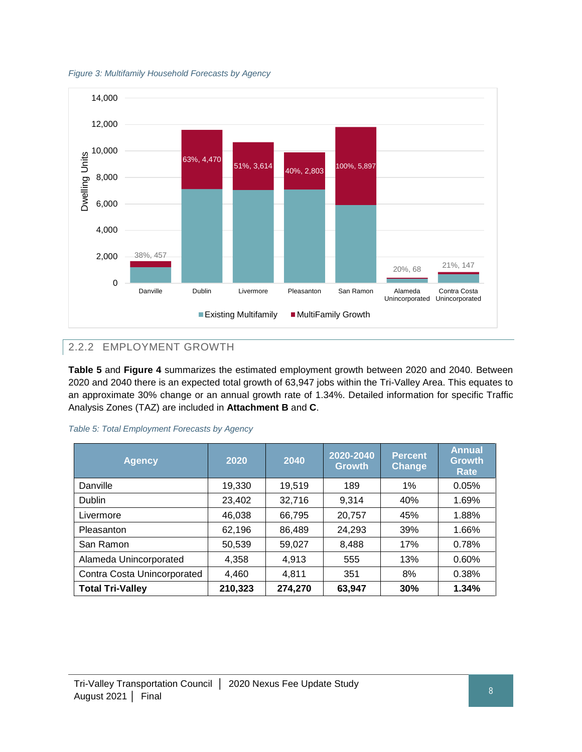<span id="page-15-1"></span>



# 2.2.2 EMPLOYMENT GROWTH

**Table 5** and **Figure 4** summarizes the estimated employment growth between 2020 and 2040. Between 2020 and 2040 there is an expected total growth of 63,947 jobs within the Tri-Valley Area. This equates to an approximate 30% change or an annual growth rate of 1.34%. Detailed information for specific Traffic Analysis Zones (TAZ) are included in **Attachment B** and **C**.

| <b>Agency</b>               | 2020    | 2040    | 2020-2040<br><b>Growth</b> | <b>Percent</b><br>Change | <b>Annual</b><br><b>Growth</b><br><b>Rate</b> |
|-----------------------------|---------|---------|----------------------------|--------------------------|-----------------------------------------------|
| Danville                    | 19,330  | 19,519  | 189                        | 1%                       | 0.05%                                         |
| <b>Dublin</b>               | 23,402  | 32,716  | 9.314                      | 40%                      | 1.69%                                         |
| Livermore                   | 46,038  | 66,795  | 20,757                     | 45%                      | 1.88%                                         |
| Pleasanton                  | 62,196  | 86,489  | 24,293                     | 39%                      | 1.66%                                         |
| San Ramon                   | 50,539  | 59,027  | 8,488                      | 17%                      | 0.78%                                         |
| Alameda Unincorporated      | 4,358   | 4,913   | 555                        | 13%                      | 0.60%                                         |
| Contra Costa Unincorporated | 4,460   | 4,811   | 351                        | 8%                       | 0.38%                                         |
| <b>Total Tri-Valley</b>     | 210,323 | 274,270 | 63,947                     | 30%                      | 1.34%                                         |

<span id="page-15-0"></span>

| Table 5: Total Employment Forecasts by Agency |  |  |  |  |
|-----------------------------------------------|--|--|--|--|
|-----------------------------------------------|--|--|--|--|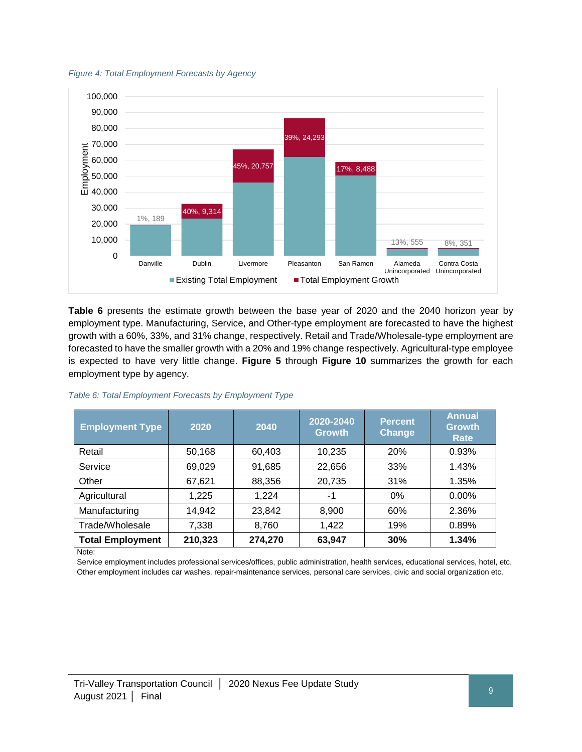<span id="page-16-1"></span>



**Table 6** presents the estimate growth between the base year of 2020 and the 2040 horizon year by employment type. Manufacturing, Service, and Other-type employment are forecasted to have the highest growth with a 60%, 33%, and 31% change, respectively. Retail and Trade/Wholesale-type employment are forecasted to have the smaller growth with a 20% and 19% change respectively. Agricultural-type employee is expected to have very little change. **Figure 5** through **Figure 10** summarizes the growth for each employment type by agency.

| <b>Employment Type</b>  | 2020    | 2040    | 2020-2040<br><b>Growth</b> | <b>Percent</b><br>Change | <b>Annual</b><br><b>Growth</b><br><b>Rate</b> |
|-------------------------|---------|---------|----------------------------|--------------------------|-----------------------------------------------|
| Retail                  | 50,168  | 60,403  | 10,235                     | 20%                      | 0.93%                                         |
| Service                 | 69,029  | 91,685  | 22,656                     | 33%                      | 1.43%                                         |
| Other                   | 67,621  | 88,356  | 20,735                     | 31%                      | 1.35%                                         |
| Agricultural            | 1.225   | 1,224   | -1                         | $0\%$                    | $0.00\%$                                      |
| Manufacturing           | 14,942  | 23,842  | 8,900                      | 60%                      | 2.36%                                         |
| Trade/Wholesale         | 7,338   | 8,760   | 1,422                      | 19%                      | 0.89%                                         |
| <b>Total Employment</b> | 210,323 | 274,270 | 63,947                     | 30%                      | 1.34%                                         |

<span id="page-16-0"></span>*Table 6: Total Employment Forecasts by Employment Type*

Note:

Service employment includes professional services/offices, public administration, health services, educational services, hotel, etc. Other employment includes car washes, repair-maintenance services, personal care services, civic and social organization etc.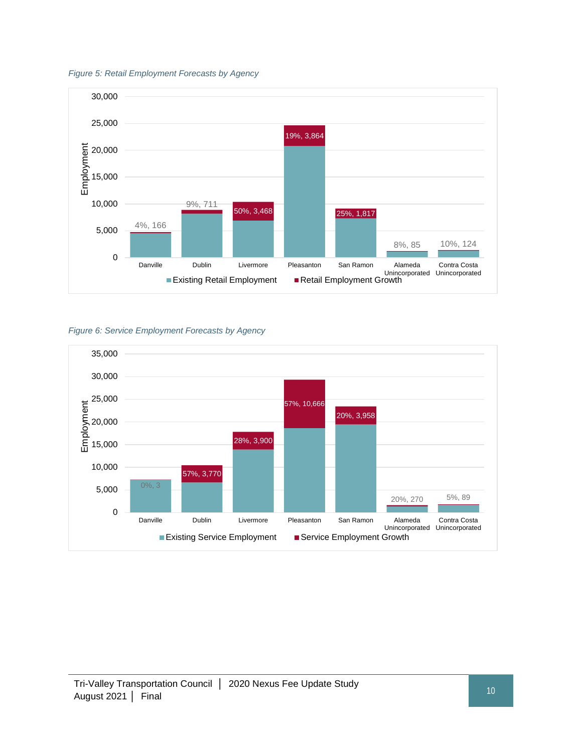<span id="page-17-0"></span>



<span id="page-17-1"></span>*Figure 6: Service Employment Forecasts by Agency*

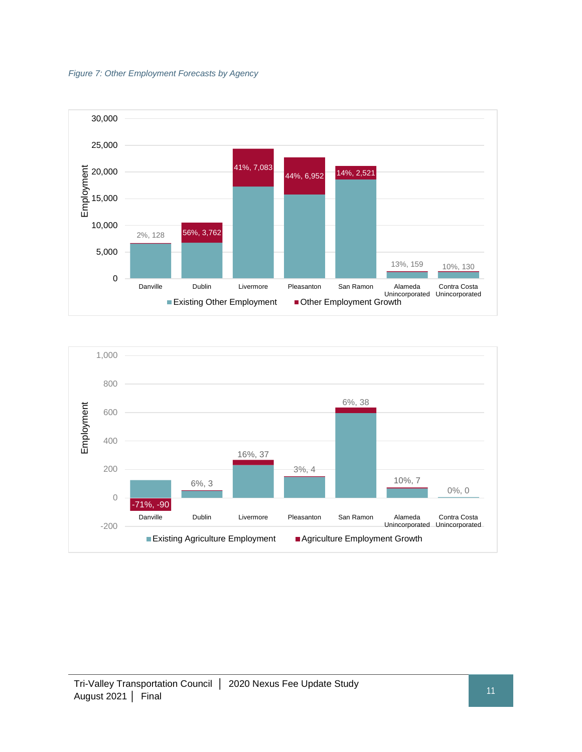<span id="page-18-0"></span>



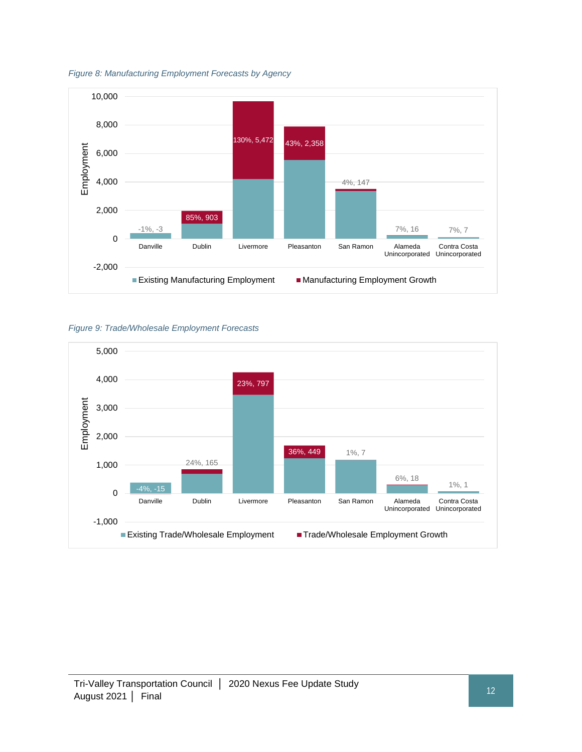

<span id="page-19-0"></span>*Figure 8: Manufacturing Employment Forecasts by Agency* 

<span id="page-19-1"></span>

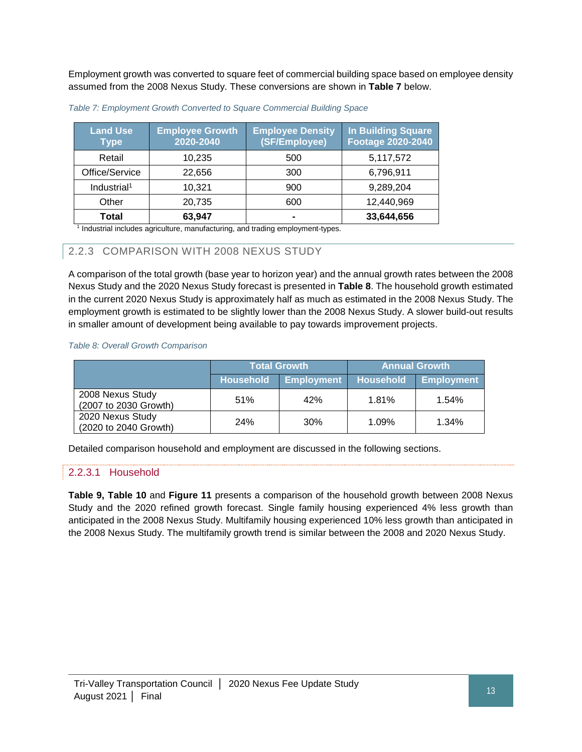Employment growth was converted to square feet of commercial building space based on employee density assumed from the 2008 Nexus Study. These conversions are shown in **Table 7** below.

| <b>Land Use</b><br><b>Type</b> | <b>Employee Growth</b><br>2020-2040 | <b>Employee Density</b><br>(SF/Employee) | <b>In Building Square</b><br><b>Footage 2020-2040</b> |
|--------------------------------|-------------------------------------|------------------------------------------|-------------------------------------------------------|
| Retail                         | 10,235                              | 500                                      | 5,117,572                                             |
| Office/Service                 | 22,656                              | 300                                      | 6,796,911                                             |
| Industrial <sup>1</sup>        | 10.321                              | 900                                      | 9,289,204                                             |
| Other                          | 20,735                              | 600                                      | 12,440,969                                            |
| Total                          | 63,947                              |                                          | 33,644,656                                            |

<span id="page-20-0"></span>

| Table 7: Employment Growth Converted to Square Commercial Building Space |  |  |  |
|--------------------------------------------------------------------------|--|--|--|
|                                                                          |  |  |  |

<sup>1</sup> Industrial includes agriculture, manufacturing, and trading employment-types.

#### 2.2.3 COMPARISON WITH 2008 NEXUS STUDY

A comparison of the total growth (base year to horizon year) and the annual growth rates between the 2008 Nexus Study and the 2020 Nexus Study forecast is presented in **Table 8**. The household growth estimated in the current 2020 Nexus Study is approximately half as much as estimated in the 2008 Nexus Study. The employment growth is estimated to be slightly lower than the 2008 Nexus Study. A slower build-out results in smaller amount of development being available to pay towards improvement projects.

#### <span id="page-20-1"></span>*Table 8: Overall Growth Comparison*

|                                           |                  | <b>Total Growth</b> | <b>Annual Growth</b> |                   |  |
|-------------------------------------------|------------------|---------------------|----------------------|-------------------|--|
|                                           | <b>Household</b> | <b>Employment</b>   | <b>Household</b>     | <b>Employment</b> |  |
| 2008 Nexus Study<br>(2007 to 2030 Growth) | 51%              | 42%                 | 1.81%                | 1.54%             |  |
| 2020 Nexus Study<br>(2020 to 2040 Growth) | <b>24%</b>       | 30%                 | 1.09%                | 1.34%             |  |

Detailed comparison household and employment are discussed in the following sections.

#### 2.2.3.1 Household

**Table 9, Table 10** and **Figure 11** presents a comparison of the household growth between 2008 Nexus Study and the 2020 refined growth forecast. Single family housing experienced 4% less growth than anticipated in the 2008 Nexus Study. Multifamily housing experienced 10% less growth than anticipated in the 2008 Nexus Study. The multifamily growth trend is similar between the 2008 and 2020 Nexus Study.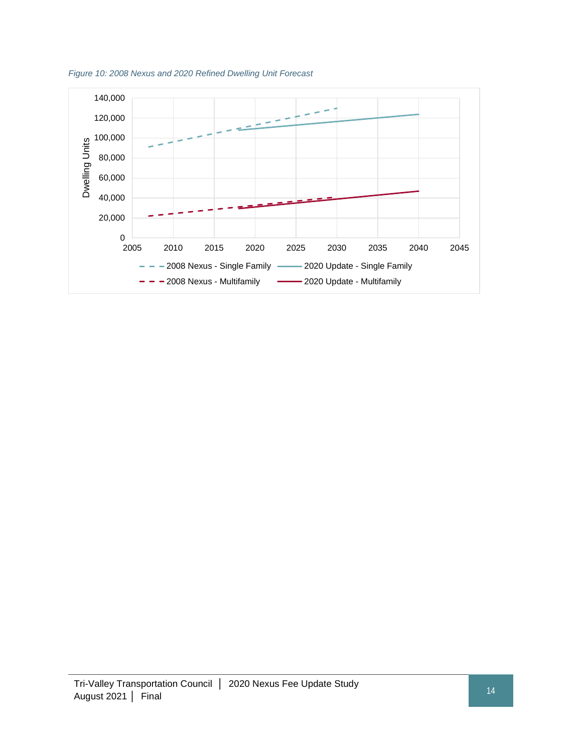

<span id="page-21-0"></span>*Figure 10: 2008 Nexus and 2020 Refined Dwelling Unit Forecast*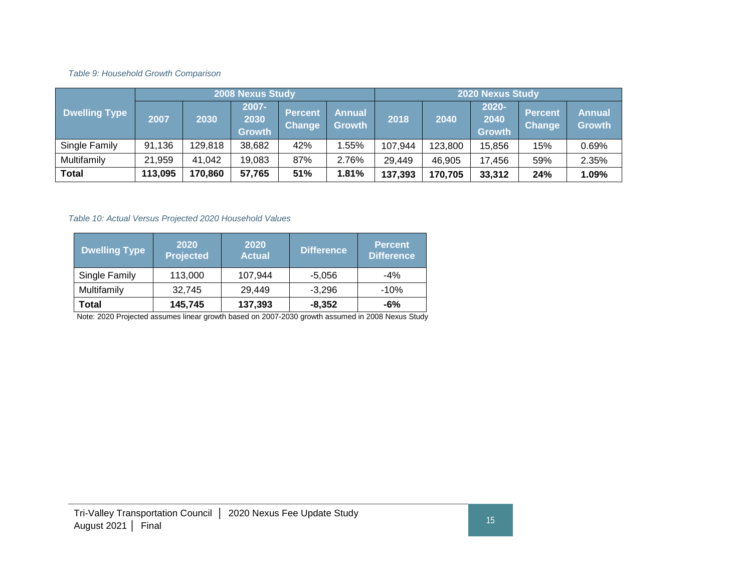*Table 9: Household Growth Comparison*

|                      | 2008 Nexus Study |         |                                   |                          | <b>2020 Nexus Study</b>        |         |         |                                |                          |                                |
|----------------------|------------------|---------|-----------------------------------|--------------------------|--------------------------------|---------|---------|--------------------------------|--------------------------|--------------------------------|
| <b>Dwelling Type</b> | 2007             | 2030    | $2007 -$<br>2030<br><b>Growth</b> | <b>Percent</b><br>Change | <b>Annual</b><br><b>Growth</b> | 2018    | 2040    | 2020-<br>2040<br><b>Growth</b> | <b>Percent</b><br>Change | <b>Annual</b><br><b>Growth</b> |
| Single Family        | 91,136           | 129,818 | 38,682                            | 42%                      | .55%                           | 107,944 | 123,800 | 15.856                         | 15%                      | 0.69%                          |
| Multifamily          | 21,959           | 41,042  | 19,083                            | 87%                      | 2.76%                          | 29,449  | 46,905  | 17.456                         | 59%                      | 2.35%                          |
| Total                | 113,095          | 170,860 | 57,765                            | 51%                      | 1.81%                          | 137,393 | 170,705 | 33,312                         | 24%                      | 1.09%                          |

#### *Table 10: Actual Versus Projected 2020 Household Values*

<span id="page-22-0"></span>

| <b>Dwelling Type</b> | 2020<br><b>Projected</b> | 2020<br><b>Actual</b> | <b>Difference</b> | 'Percent.<br><b>Difference</b> |
|----------------------|--------------------------|-----------------------|-------------------|--------------------------------|
| Single Family        | 113,000                  | 107,944               | -5,056            | $-4\%$                         |
| Multifamily          | 32.745                   | 29,449                | $-3,296$          | $-10%$                         |
| Total                | 145,745                  | 137,393               | $-8,352$          | -6%                            |

<span id="page-22-1"></span>Note: 2020 Projected assumes linear growth based on 2007-2030 growth assumed in 2008 Nexus Study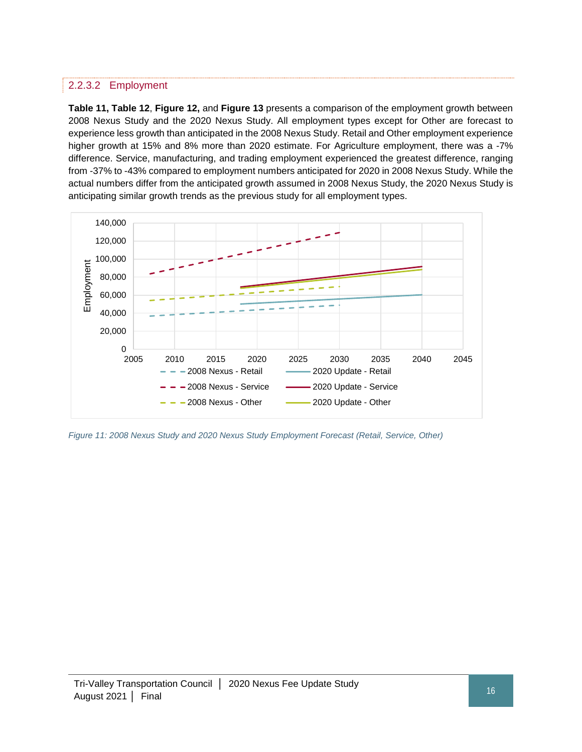#### 2.2.3.2 Employment

**Table 11, Table 12**, **Figure 12,** and **Figure 13** presents a comparison of the employment growth between 2008 Nexus Study and the 2020 Nexus Study. All employment types except for Other are forecast to experience less growth than anticipated in the 2008 Nexus Study. Retail and Other employment experience higher growth at 15% and 8% more than 2020 estimate. For Agriculture employment, there was a -7% difference. Service, manufacturing, and trading employment experienced the greatest difference, ranging from -37% to -43% compared to employment numbers anticipated for 2020 in 2008 Nexus Study. While the actual numbers differ from the anticipated growth assumed in 2008 Nexus Study, the 2020 Nexus Study is anticipating similar growth trends as the previous study for all employment types.



<span id="page-23-0"></span>*Figure 11: 2008 Nexus Study and 2020 Nexus Study Employment Forecast (Retail, Service, Other)*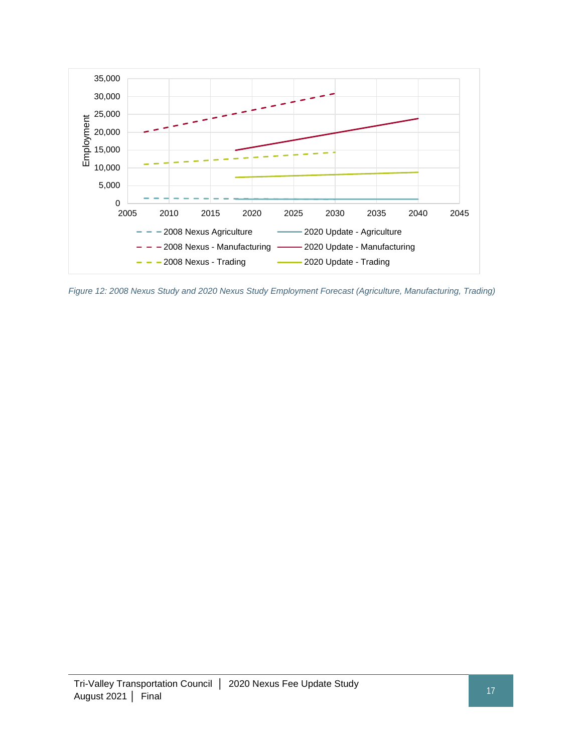

<span id="page-24-0"></span>*Figure 12: 2008 Nexus Study and 2020 Nexus Study Employment Forecast (Agriculture, Manufacturing, Trading)*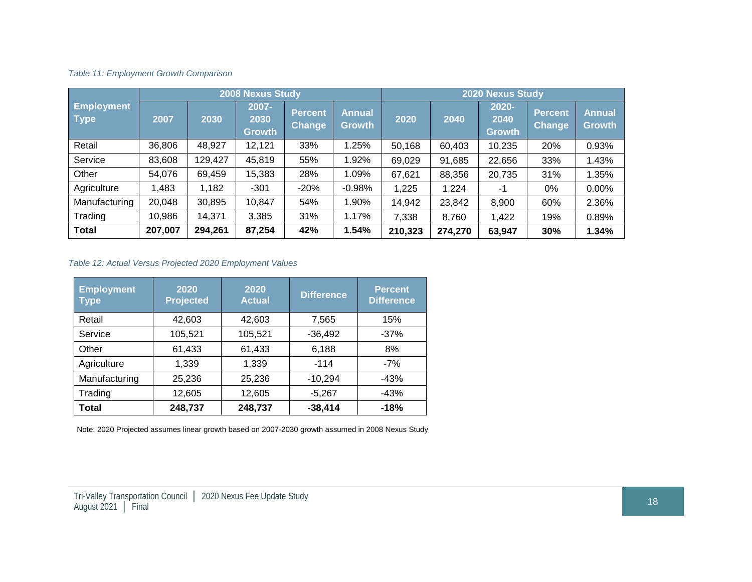#### *Table 11: Employment Growth Comparison*

|                                  | 2008 Nexus Study |         |                                   |                          | <b>2020 Nexus Study</b>        |         |         |                                   |                          |                                |
|----------------------------------|------------------|---------|-----------------------------------|--------------------------|--------------------------------|---------|---------|-----------------------------------|--------------------------|--------------------------------|
| <b>Employment</b><br><b>Type</b> | 2007             | 2030    | $2007 -$<br>2030<br><b>Growth</b> | Percent<br><b>Change</b> | <b>Annual</b><br><b>Growth</b> | 2020    | 2040    | $2020 -$<br>2040<br><b>Growth</b> | Percent<br><b>Change</b> | <b>Annual</b><br><b>Growth</b> |
| Retail                           | 36,806           | 48,927  | 12,121                            | 33%                      | 1.25%                          | 50,168  | 60,403  | 10,235                            | 20%                      | 0.93%                          |
| Service                          | 83,608           | 129,427 | 45,819                            | 55%                      | 1.92%                          | 69,029  | 91,685  | 22,656                            | 33%                      | 1.43%                          |
| Other                            | 54,076           | 69,459  | 15,383                            | 28%                      | 1.09%                          | 67,621  | 88,356  | 20,735                            | 31%                      | 1.35%                          |
| Agriculture                      | 1,483            | 1,182   | $-301$                            | $-20%$                   | $-0.98%$                       | 1,225   | 1,224   | -1                                | $0\%$                    | 0.00%                          |
| Manufacturing                    | 20,048           | 30,895  | 10,847                            | 54%                      | 1.90%                          | 14,942  | 23,842  | 8,900                             | 60%                      | 2.36%                          |
| Trading                          | 10,986           | 14,371  | 3,385                             | 31%                      | 1.17%                          | 7,338   | 8,760   | 1,422                             | 19%                      | 0.89%                          |
| <b>Total</b>                     | 207,007          | 294,261 | 87,254                            | 42%                      | 1.54%                          | 210,323 | 274,270 | 63,947                            | 30%                      | 1.34%                          |

#### <span id="page-25-0"></span>*Table 12: Actual Versus Projected 2020 Employment Values*

| <b>Employment</b><br><b>Type</b> | 2020<br><b>Projected</b> | 2020<br><b>Actual</b> | <b>Difference</b> | <b>Percent</b><br><b>Difference</b> |
|----------------------------------|--------------------------|-----------------------|-------------------|-------------------------------------|
| Retail                           | 42,603                   | 42,603                | 7,565             | 15%                                 |
| Service                          | 105,521                  | 105,521               | $-36,492$         | $-37%$                              |
| Other                            | 61,433                   | 61,433                | 6,188             | 8%                                  |
| Agriculture                      | 1,339                    | 1,339                 | $-114$            | -7%                                 |
| Manufacturing                    | 25,236                   | 25,236                | $-10,294$         | $-43%$                              |
| Trading                          | 12,605                   | 12,605                | $-5,267$          | $-43%$                              |
| Total                            | 248,737                  | 248,737               | $-38,414$         | $-18%$                              |

<span id="page-25-1"></span>Note: 2020 Projected assumes linear growth based on 2007-2030 growth assumed in 2008 Nexus Study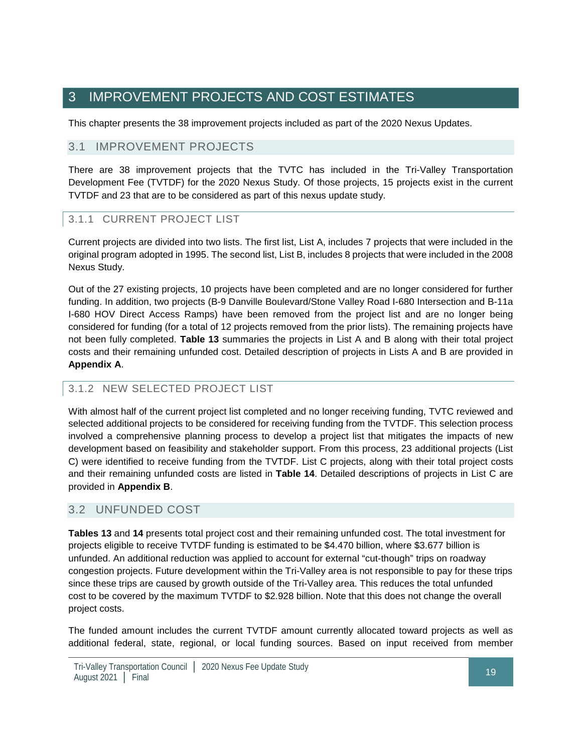# <span id="page-26-0"></span>3 IMPROVEMENT PROJECTS AND COST ESTIMATES

This chapter presents the 38 improvement projects included as part of the 2020 Nexus Updates.

#### 3.1 IMPROVEMENT PROJECTS

There are 38 improvement projects that the TVTC has included in the Tri-Valley Transportation Development Fee (TVTDF) for the 2020 Nexus Study. Of those projects, 15 projects exist in the current TVTDF and 23 that are to be considered as part of this nexus update study.

#### 3.1.1 CURRENT PROJECT LIST

Current projects are divided into two lists. The first list, List A, includes 7 projects that were included in the original program adopted in 1995. The second list, List B, includes 8 projects that were included in the 2008 Nexus Study.

Out of the 27 existing projects, 10 projects have been completed and are no longer considered for further funding. In addition, two projects (B-9 Danville Boulevard/Stone Valley Road I-680 Intersection and B-11a I-680 HOV Direct Access Ramps) have been removed from the project list and are no longer being considered for funding (for a total of 12 projects removed from the prior lists). The remaining projects have not been fully completed. **Table 13** summaries the projects in List A and B along with their total project costs and their remaining unfunded cost. Detailed description of projects in Lists A and B are provided in **Appendix A**.

#### 3.1.2 NEW SELECTED PROJECT LIST

With almost half of the current project list completed and no longer receiving funding, TVTC reviewed and selected additional projects to be considered for receiving funding from the TVTDF. This selection process involved a comprehensive planning process to develop a project list that mitigates the impacts of new development based on feasibility and stakeholder support. From this process, 23 additional projects (List C) were identified to receive funding from the TVTDF. List C projects, along with their total project costs and their remaining unfunded costs are listed in **Table 14**. Detailed descriptions of projects in List C are provided in **Appendix B**.

## 3.2 UNFUNDED COST

**Tables 13** and **14** presents total project cost and their remaining unfunded cost. The total investment for projects eligible to receive TVTDF funding is estimated to be \$4.470 billion, where \$3.677 billion is unfunded. An additional reduction was applied to account for external "cut-though" trips on roadway congestion projects. Future development within the Tri-Valley area is not responsible to pay for these trips since these trips are caused by growth outside of the Tri-Valley area. This reduces the total unfunded cost to be covered by the maximum TVTDF to \$2.928 billion. Note that this does not change the overall project costs.

The funded amount includes the current TVTDF amount currently allocated toward projects as well as additional federal, state, regional, or local funding sources. Based on input received from member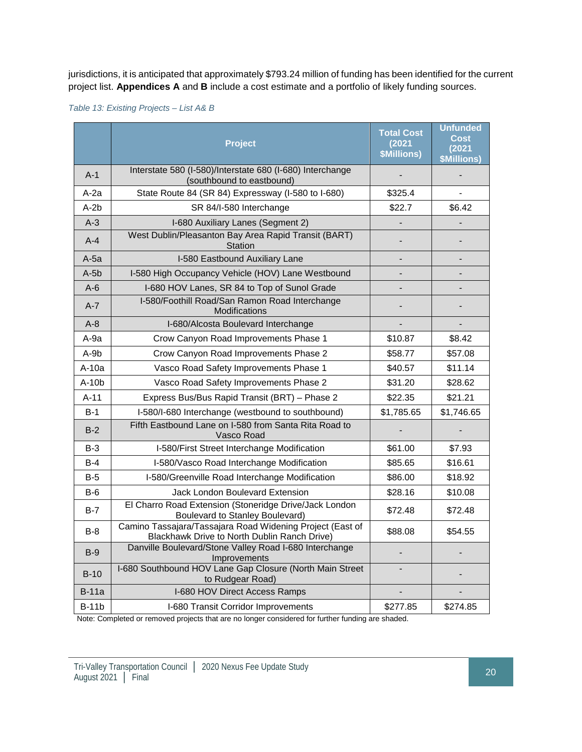jurisdictions, it is anticipated that approximately \$793.24 million of funding has been identified for the current project list. **Appendices A** and **B** include a cost estimate and a portfolio of likely funding sources.

<span id="page-27-0"></span>*Table 13: Existing Projects – List A& B*

|              | <b>Project</b>                                                                                            | <b>Total Cost</b><br>(2021)<br><b>\$Millions)</b> | <b>Unfunded</b><br><b>Cost</b><br>(2021)<br><b>\$Millions)</b> |
|--------------|-----------------------------------------------------------------------------------------------------------|---------------------------------------------------|----------------------------------------------------------------|
| $A-1$        | Interstate 580 (I-580)/Interstate 680 (I-680) Interchange<br>(southbound to eastbound)                    |                                                   |                                                                |
| $A-2a$       | State Route 84 (SR 84) Expressway (I-580 to I-680)                                                        | \$325.4                                           |                                                                |
| $A-2b$       | SR 84/I-580 Interchange                                                                                   | \$22.7                                            | \$6.42                                                         |
| $A-3$        | I-680 Auxiliary Lanes (Segment 2)                                                                         |                                                   |                                                                |
| $A-4$        | West Dublin/Pleasanton Bay Area Rapid Transit (BART)<br>Station                                           |                                                   | $\overline{a}$                                                 |
| A-5a         | I-580 Eastbound Auxiliary Lane                                                                            |                                                   |                                                                |
| $A-5b$       | I-580 High Occupancy Vehicle (HOV) Lane Westbound                                                         |                                                   |                                                                |
| $A-6$        | I-680 HOV Lanes, SR 84 to Top of Sunol Grade                                                              |                                                   |                                                                |
| $A - 7$      | I-580/Foothill Road/San Ramon Road Interchange<br>Modifications                                           |                                                   |                                                                |
| $A-8$        | I-680/Alcosta Boulevard Interchange                                                                       |                                                   |                                                                |
| A-9a         | Crow Canyon Road Improvements Phase 1                                                                     | \$10.87                                           | \$8.42                                                         |
| A-9b         | Crow Canyon Road Improvements Phase 2                                                                     | \$58.77                                           | \$57.08                                                        |
| $A-10a$      | Vasco Road Safety Improvements Phase 1                                                                    | \$40.57                                           | \$11.14                                                        |
| $A-10b$      | Vasco Road Safety Improvements Phase 2                                                                    | \$31.20                                           | \$28.62                                                        |
| $A-11$       | Express Bus/Bus Rapid Transit (BRT) - Phase 2                                                             | \$22.35                                           | \$21.21                                                        |
| $B-1$        | I-580/I-680 Interchange (westbound to southbound)                                                         | \$1,785.65                                        | \$1,746.65                                                     |
| $B-2$        | Fifth Eastbound Lane on I-580 from Santa Rita Road to<br>Vasco Road                                       |                                                   |                                                                |
| $B-3$        | I-580/First Street Interchange Modification                                                               | \$61.00                                           | \$7.93                                                         |
| $B-4$        | I-580/Vasco Road Interchange Modification                                                                 | \$85.65                                           | \$16.61                                                        |
| $B-5$        | I-580/Greenville Road Interchange Modification                                                            | \$86.00                                           | \$18.92                                                        |
| B-6          | Jack London Boulevard Extension                                                                           | \$28.16                                           | \$10.08                                                        |
| $B-7$        | El Charro Road Extension (Stoneridge Drive/Jack London<br><b>Boulevard to Stanley Boulevard)</b>          | \$72.48                                           | \$72.48                                                        |
| $B-8$        | Camino Tassajara/Tassajara Road Widening Project (East of<br>Blackhawk Drive to North Dublin Ranch Drive) | \$88.08                                           | \$54.55                                                        |
| $B-9$        | Danville Boulevard/Stone Valley Road I-680 Interchange<br>Improvements                                    |                                                   |                                                                |
| $B-10$       | I-680 Southbound HOV Lane Gap Closure (North Main Street<br>to Rudgear Road)                              |                                                   |                                                                |
| <b>B-11a</b> | I-680 HOV Direct Access Ramps                                                                             |                                                   |                                                                |
| $B-11b$      | I-680 Transit Corridor Improvements                                                                       | \$277.85                                          | \$274.85                                                       |

Note: Completed or removed projects that are no longer considered for further funding are shaded.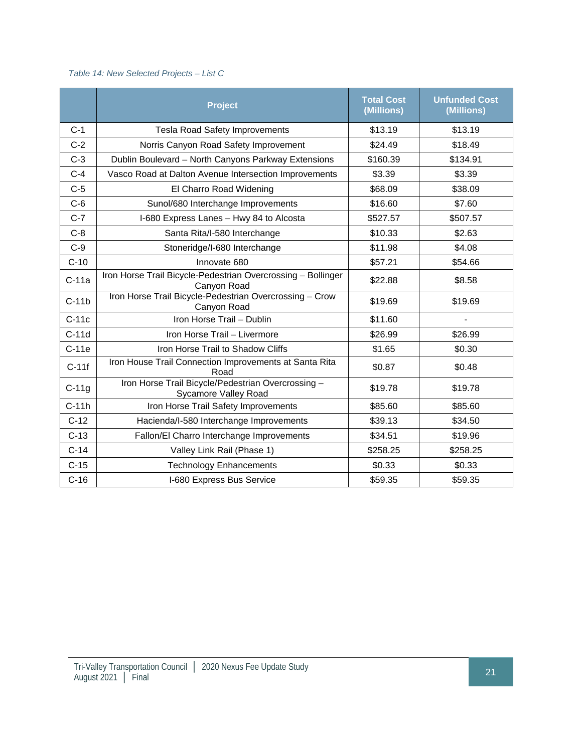#### <span id="page-28-0"></span>*Table 14: New Selected Projects – List C*

|         | <b>Project</b>                                                                    | <b>Total Cost</b><br>(Millions) | <b>Unfunded Cost</b><br>(Millions) |
|---------|-----------------------------------------------------------------------------------|---------------------------------|------------------------------------|
| $C-1$   | <b>Tesla Road Safety Improvements</b>                                             | \$13.19                         | \$13.19                            |
| $C-2$   | Norris Canyon Road Safety Improvement                                             | \$24.49                         | \$18.49                            |
| $C-3$   | Dublin Boulevard - North Canyons Parkway Extensions                               | \$160.39                        | \$134.91                           |
| $C-4$   | Vasco Road at Dalton Avenue Intersection Improvements                             | \$3.39                          | \$3.39                             |
| $C-5$   | El Charro Road Widening                                                           | \$68.09                         | \$38.09                            |
| $C-6$   | Sunol/680 Interchange Improvements                                                | \$16.60                         | \$7.60                             |
| $C-7$   | I-680 Express Lanes - Hwy 84 to Alcosta                                           | \$527.57                        | \$507.57                           |
| $C-8$   | Santa Rita/I-580 Interchange                                                      | \$10.33                         | \$2.63                             |
| $C-9$   | Stoneridge/I-680 Interchange                                                      | \$11.98                         | \$4.08                             |
| $C-10$  | Innovate 680                                                                      | \$57.21                         | \$54.66                            |
| $C-11a$ | Iron Horse Trail Bicycle-Pedestrian Overcrossing - Bollinger<br>Canyon Road       | \$22.88                         | \$8.58                             |
| $C-11b$ | Iron Horse Trail Bicycle-Pedestrian Overcrossing - Crow<br>Canyon Road            | \$19.69                         | \$19.69                            |
| $C-11c$ | Iron Horse Trail - Dublin                                                         | \$11.60                         |                                    |
| $C-11d$ | Iron Horse Trail - Livermore                                                      | \$26.99                         | \$26.99                            |
| $C-11e$ | Iron Horse Trail to Shadow Cliffs                                                 | \$1.65                          | \$0.30                             |
| $C-11f$ | Iron House Trail Connection Improvements at Santa Rita<br>Road                    | \$0.87                          | \$0.48                             |
| $C-11g$ | Iron Horse Trail Bicycle/Pedestrian Overcrossing -<br><b>Sycamore Valley Road</b> | \$19.78                         | \$19.78                            |
| $C-11h$ | Iron Horse Trail Safety Improvements                                              | \$85.60                         | \$85.60                            |
| $C-12$  | Hacienda/I-580 Interchange Improvements                                           | \$39.13                         | \$34.50                            |
| $C-13$  | Fallon/El Charro Interchange Improvements                                         | \$34.51                         | \$19.96                            |
| $C-14$  | Valley Link Rail (Phase 1)                                                        | \$258.25                        | \$258.25                           |
| $C-15$  | <b>Technology Enhancements</b>                                                    | \$0.33                          | \$0.33                             |
| $C-16$  | I-680 Express Bus Service                                                         | \$59.35                         | \$59.35                            |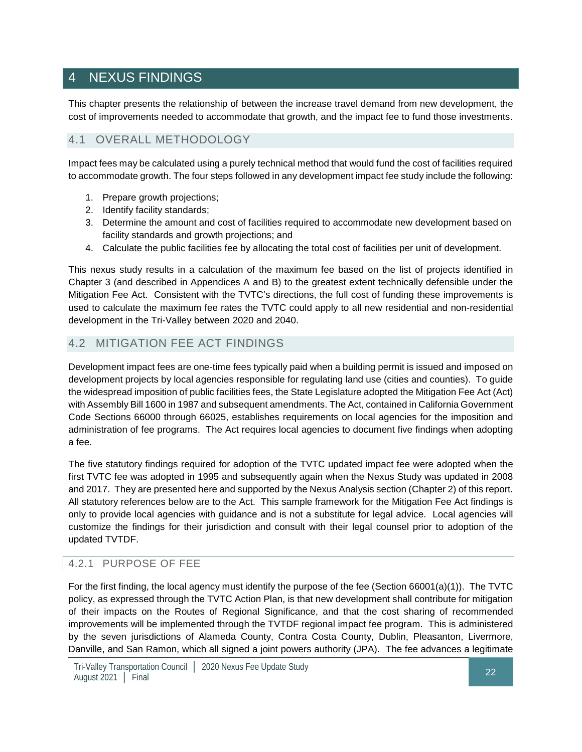# <span id="page-29-0"></span>4 NEXUS FINDINGS

This chapter presents the relationship of between the increase travel demand from new development, the cost of improvements needed to accommodate that growth, and the impact fee to fund those investments.

#### 4.1 OVERALL METHODOLOGY

Impact fees may be calculated using a purely technical method that would fund the cost of facilities required to accommodate growth. The four steps followed in any development impact fee study include the following:

- 1. Prepare growth projections;
- 2. Identify facility standards;
- 3. Determine the amount and cost of facilities required to accommodate new development based on facility standards and growth projections; and
- 4. Calculate the public facilities fee by allocating the total cost of facilities per unit of development.

This nexus study results in a calculation of the maximum fee based on the list of projects identified in Chapter 3 (and described in Appendices A and B) to the greatest extent technically defensible under the Mitigation Fee Act. Consistent with the TVTC's directions, the full cost of funding these improvements is used to calculate the maximum fee rates the TVTC could apply to all new residential and non-residential development in the Tri-Valley between 2020 and 2040.

#### 4.2 MITIGATION FEE ACT FINDINGS

Development impact fees are one-time fees typically paid when a building permit is issued and imposed on development projects by local agencies responsible for regulating land use (cities and counties). To guide the widespread imposition of public facilities fees, the State Legislature adopted the Mitigation Fee Act (Act) with Assembly Bill 1600 in 1987 and subsequent amendments. The Act, contained in California Government Code Sections 66000 through 66025, establishes requirements on local agencies for the imposition and administration of fee programs. The Act requires local agencies to document five findings when adopting a fee.

The five statutory findings required for adoption of the TVTC updated impact fee were adopted when the first TVTC fee was adopted in 1995 and subsequently again when the Nexus Study was updated in 2008 and 2017. They are presented here and supported by the Nexus Analysis section (Chapter 2) of this report. All statutory references below are to the Act. This sample framework for the Mitigation Fee Act findings is only to provide local agencies with guidance and is not a substitute for legal advice. Local agencies will customize the findings for their jurisdiction and consult with their legal counsel prior to adoption of the updated TVTDF.

#### 4.2.1 PURPOSE OF FEE

For the first finding, the local agency must identify the purpose of the fee (Section 66001(a)(1)). The TVTC policy, as expressed through the TVTC Action Plan, is that new development shall contribute for mitigation of their impacts on the Routes of Regional Significance, and that the cost sharing of recommended improvements will be implemented through the TVTDF regional impact fee program. This is administered by the seven jurisdictions of Alameda County, Contra Costa County, Dublin, Pleasanton, Livermore, Danville, and San Ramon, which all signed a joint powers authority (JPA). The fee advances a legitimate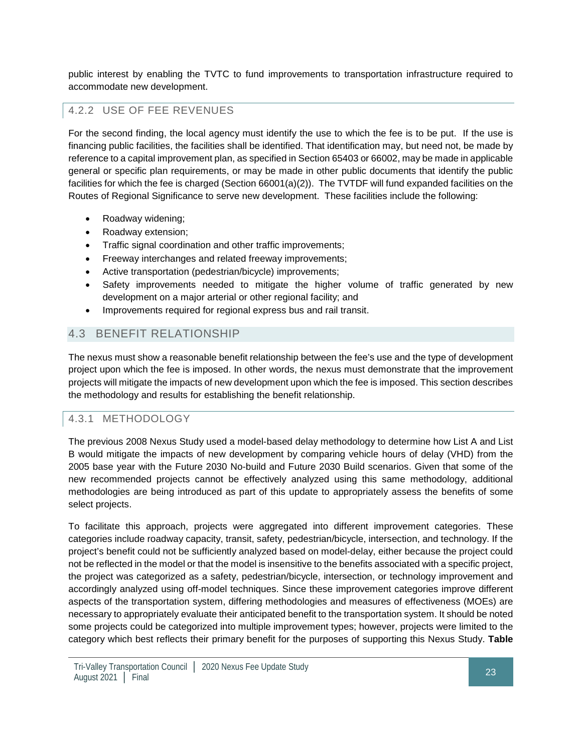public interest by enabling the TVTC to fund improvements to transportation infrastructure required to accommodate new development.

# 4.2.2 USE OF FEE REVENUES

For the second finding, the local agency must identify the use to which the fee is to be put. If the use is financing public facilities, the facilities shall be identified. That identification may, but need not, be made by reference to a capital improvement plan, as specified in Section 65403 or 66002, may be made in applicable general or specific plan requirements, or may be made in other public documents that identify the public facilities for which the fee is charged (Section 66001(a)(2)). The TVTDF will fund expanded facilities on the Routes of Regional Significance to serve new development. These facilities include the following:

- Roadway widening;
- Roadway extension;
- Traffic signal coordination and other traffic improvements;
- Freeway interchanges and related freeway improvements;
- Active transportation (pedestrian/bicycle) improvements;
- Safety improvements needed to mitigate the higher volume of traffic generated by new development on a major arterial or other regional facility; and
- Improvements required for regional express bus and rail transit.

## 4.3 BENEFIT RELATIONSHIP

The nexus must show a reasonable benefit relationship between the fee's use and the type of development project upon which the fee is imposed. In other words, the nexus must demonstrate that the improvement projects will mitigate the impacts of new development upon which the fee is imposed. This section describes the methodology and results for establishing the benefit relationship.

#### 4.3.1 METHODOLOGY

The previous 2008 Nexus Study used a model-based delay methodology to determine how List A and List B would mitigate the impacts of new development by comparing vehicle hours of delay (VHD) from the 2005 base year with the Future 2030 No-build and Future 2030 Build scenarios. Given that some of the new recommended projects cannot be effectively analyzed using this same methodology, additional methodologies are being introduced as part of this update to appropriately assess the benefits of some select projects.

To facilitate this approach, projects were aggregated into different improvement categories. These categories include roadway capacity, transit, safety, pedestrian/bicycle, intersection, and technology. If the project's benefit could not be sufficiently analyzed based on model-delay, either because the project could not be reflected in the model or that the model is insensitive to the benefits associated with a specific project, the project was categorized as a safety, pedestrian/bicycle, intersection, or technology improvement and accordingly analyzed using off-model techniques. Since these improvement categories improve different aspects of the transportation system, differing methodologies and measures of effectiveness (MOEs) are necessary to appropriately evaluate their anticipated benefit to the transportation system. It should be noted some projects could be categorized into multiple improvement types; however, projects were limited to the category which best reflects their primary benefit for the purposes of supporting this Nexus Study. **Table**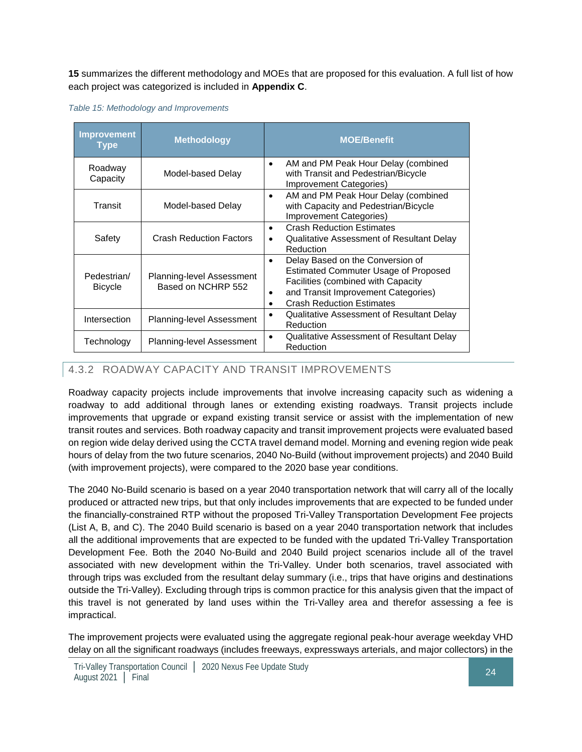**15** summarizes the different methodology and MOEs that are proposed for this evaluation. A full list of how each project was categorized is included in **Appendix C**.

<span id="page-31-0"></span>*Table 15: Methodology and Improvements*

| <b>Improvement</b><br><b>Type</b> | <b>Methodology</b>                                     | <b>MOE/Benefit</b>                                                                                                                                                                                                      |
|-----------------------------------|--------------------------------------------------------|-------------------------------------------------------------------------------------------------------------------------------------------------------------------------------------------------------------------------|
| Roadway<br>Capacity               | Model-based Delay                                      | AM and PM Peak Hour Delay (combined<br>$\bullet$<br>with Transit and Pedestrian/Bicycle<br><b>Improvement Categories)</b>                                                                                               |
| Transit                           | Model-based Delay                                      | AM and PM Peak Hour Delay (combined<br>$\bullet$<br>with Capacity and Pedestrian/Bicycle<br>Improvement Categories)                                                                                                     |
| Safety                            | <b>Crash Reduction Factors</b>                         | <b>Crash Reduction Estimates</b><br>$\bullet$<br>Qualitative Assessment of Resultant Delay<br>٠<br>Reduction                                                                                                            |
| Pedestrian/<br><b>Bicycle</b>     | <b>Planning-level Assessment</b><br>Based on NCHRP 552 | Delay Based on the Conversion of<br>٠<br><b>Estimated Commuter Usage of Proposed</b><br>Facilities (combined with Capacity<br>and Transit Improvement Categories)<br>٠<br><b>Crash Reduction Estimates</b><br>$\bullet$ |
| Intersection                      | Planning-level Assessment                              | <b>Qualitative Assessment of Resultant Delay</b><br>Reduction                                                                                                                                                           |
| Technology                        | Planning-level Assessment                              | Qualitative Assessment of Resultant Delay<br>٠<br>Reduction                                                                                                                                                             |

#### 4.3.2 ROADWAY CAPACITY AND TRANSIT IMPROVEMENTS

Roadway capacity projects include improvements that involve increasing capacity such as widening a roadway to add additional through lanes or extending existing roadways. Transit projects include improvements that upgrade or expand existing transit service or assist with the implementation of new transit routes and services. Both roadway capacity and transit improvement projects were evaluated based on region wide delay derived using the CCTA travel demand model. Morning and evening region wide peak hours of delay from the two future scenarios, 2040 No-Build (without improvement projects) and 2040 Build (with improvement projects), were compared to the 2020 base year conditions.

The 2040 No-Build scenario is based on a year 2040 transportation network that will carry all of the locally produced or attracted new trips, but that only includes improvements that are expected to be funded under the financially-constrained RTP without the proposed Tri-Valley Transportation Development Fee projects (List A, B, and C). The 2040 Build scenario is based on a year 2040 transportation network that includes all the additional improvements that are expected to be funded with the updated Tri-Valley Transportation Development Fee. Both the 2040 No-Build and 2040 Build project scenarios include all of the travel associated with new development within the Tri-Valley. Under both scenarios, travel associated with through trips was excluded from the resultant delay summary (i.e., trips that have origins and destinations outside the Tri-Valley). Excluding through trips is common practice for this analysis given that the impact of this travel is not generated by land uses within the Tri-Valley area and therefor assessing a fee is impractical.

The improvement projects were evaluated using the aggregate regional peak-hour average weekday VHD delay on all the significant roadways (includes freeways, expressways arterials, and major collectors) in the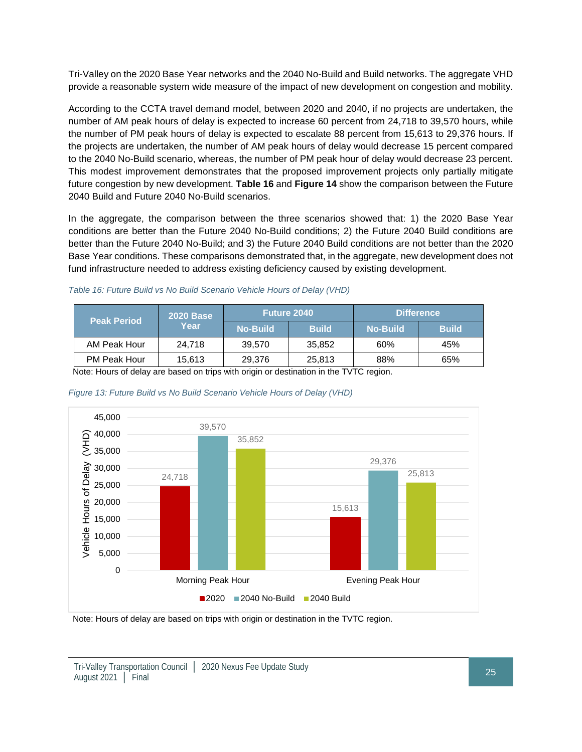Tri-Valley on the 2020 Base Year networks and the 2040 No-Build and Build networks. The aggregate VHD provide a reasonable system wide measure of the impact of new development on congestion and mobility.

According to the CCTA travel demand model, between 2020 and 2040, if no projects are undertaken, the number of AM peak hours of delay is expected to increase 60 percent from 24,718 to 39,570 hours, while the number of PM peak hours of delay is expected to escalate 88 percent from 15,613 to 29,376 hours. If the projects are undertaken, the number of AM peak hours of delay would decrease 15 percent compared to the 2040 No-Build scenario, whereas, the number of PM peak hour of delay would decrease 23 percent. This modest improvement demonstrates that the proposed improvement projects only partially mitigate future congestion by new development. **Table 16** and **Figure 14** show the comparison between the Future 2040 Build and Future 2040 No-Build scenarios.

In the aggregate, the comparison between the three scenarios showed that: 1) the 2020 Base Year conditions are better than the Future 2040 No-Build conditions; 2) the Future 2040 Build conditions are better than the Future 2040 No-Build; and 3) the Future 2040 Build conditions are not better than the 2020 Base Year conditions. These comparisons demonstrated that, in the aggregate, new development does not fund infrastructure needed to address existing deficiency caused by existing development.

| <b>Peak Period</b> | <b>2020 Base</b><br>Year | <b>Future 2040</b> |              | <b>Difference</b> |              |
|--------------------|--------------------------|--------------------|--------------|-------------------|--------------|
|                    |                          | <b>No-Build</b>    | <b>Build</b> | <b>No-Build</b>   | <b>Build</b> |
| AM Peak Hour       | 24.718                   | 39,570             | 35,852       | 60%               | 45%          |
| PM Peak Hour       | 15.613                   | 29,376             | 25,813       | 88%               | 65%          |

<span id="page-32-0"></span>*Table 16: Future Build vs No Build Scenario Vehicle Hours of Delay (VHD)*

Note: Hours of delay are based on trips with origin or destination in the TVTC region.



<span id="page-32-1"></span>*Figure 13: Future Build vs No Build Scenario Vehicle Hours of Delay (VHD)*

Note: Hours of delay are based on trips with origin or destination in the TVTC region.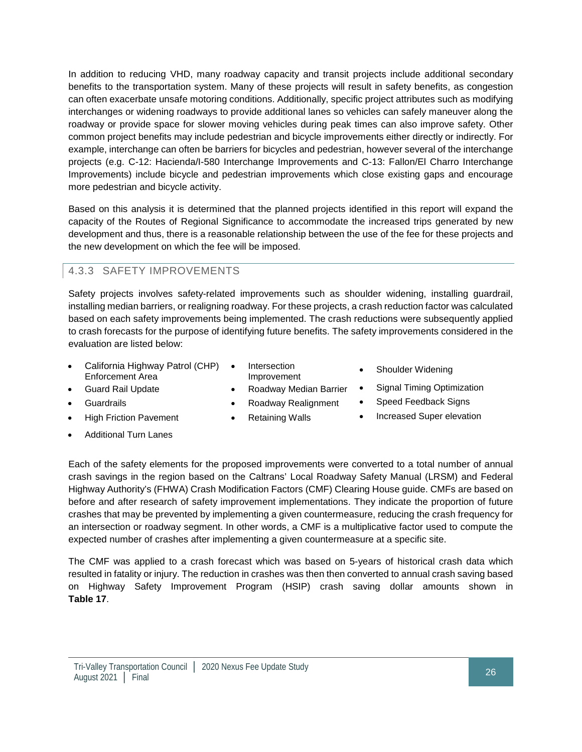In addition to reducing VHD, many roadway capacity and transit projects include additional secondary benefits to the transportation system. Many of these projects will result in safety benefits, as congestion can often exacerbate unsafe motoring conditions. Additionally, specific project attributes such as modifying interchanges or widening roadways to provide additional lanes so vehicles can safely maneuver along the roadway or provide space for slower moving vehicles during peak times can also improve safety. Other common project benefits may include pedestrian and bicycle improvements either directly or indirectly. For example, interchange can often be barriers for bicycles and pedestrian, however several of the interchange projects (e.g. C-12: Hacienda/I-580 Interchange Improvements and C-13: Fallon/El Charro Interchange Improvements) include bicycle and pedestrian improvements which close existing gaps and encourage more pedestrian and bicycle activity.

Based on this analysis it is determined that the planned projects identified in this report will expand the capacity of the Routes of Regional Significance to accommodate the increased trips generated by new development and thus, there is a reasonable relationship between the use of the fee for these projects and the new development on which the fee will be imposed.

#### 4.3.3 SAFETY IMPROVEMENTS

Safety projects involves safety-related improvements such as shoulder widening, installing guardrail, installing median barriers, or realigning roadway. For these projects, a crash reduction factor was calculated based on each safety improvements being implemented. The crash reductions were subsequently applied to crash forecasts for the purpose of identifying future benefits. The safety improvements considered in the evaluation are listed below:

- California Highway Patrol (CHP) Enforcement Area
- **Intersection**
- Guard Rail Update **•** Roadway Median Barrier Signal Timing Optimization
- Improvement Shoulder Widening
- 
- 
- 
- Additional Turn Lanes
- 
- Guardrails Roadway Realignment Speed Feedback Signs
- High Friction Pavement Retaining Walls Increased Super elevation

Each of the safety elements for the proposed improvements were converted to a total number of annual crash savings in the region based on the Caltrans' Local Roadway Safety Manual (LRSM) and Federal Highway Authority's (FHWA) Crash Modification Factors (CMF) Clearing House guide. CMFs are based on before and after research of safety improvement implementations. They indicate the proportion of future crashes that may be prevented by implementing a given countermeasure, reducing the crash frequency for an intersection or roadway segment. In other words, a CMF is a multiplicative factor used to compute the expected number of crashes after implementing a given countermeasure at a specific site.

The CMF was applied to a crash forecast which was based on 5-years of historical crash data which resulted in fatality or injury. The reduction in crashes was then then converted to annual crash saving based on Highway Safety Improvement Program (HSIP) crash saving dollar amounts shown in **Table 17**.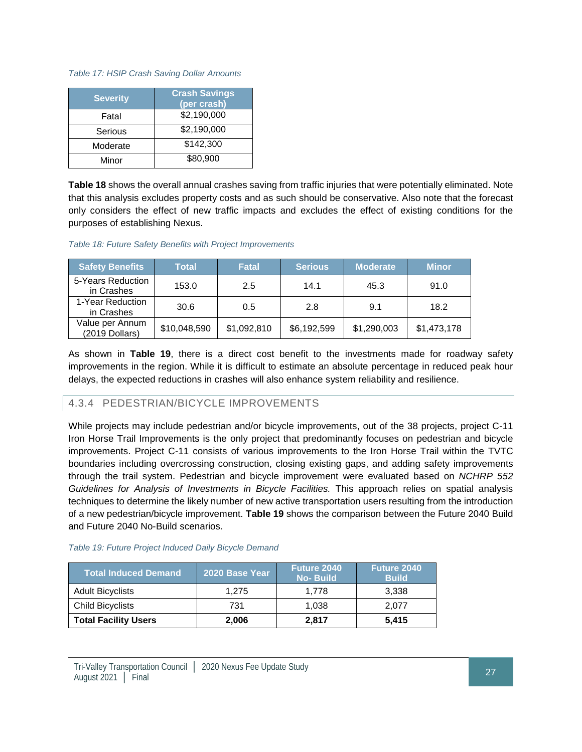#### <span id="page-34-0"></span>*Table 17: HSIP Crash Saving Dollar Amounts*

| <b>Severity</b> | <b>Crash Savings</b><br>(per crash) |  |  |
|-----------------|-------------------------------------|--|--|
| Fatal           | \$2,190,000                         |  |  |
| Serious         | \$2,190,000                         |  |  |
| Moderate        | \$142,300                           |  |  |
| Minor           | \$80,900                            |  |  |

**Table 18** shows the overall annual crashes saving from traffic injuries that were potentially eliminated. Note that this analysis excludes property costs and as such should be conservative. Also note that the forecast only considers the effect of new traffic impacts and excludes the effect of existing conditions for the purposes of establishing Nexus.

#### <span id="page-34-1"></span>*Table 18: Future Safety Benefits with Project Improvements*

| <b>Safety Benefits</b>            | <b>Total</b> | <b>Fatal</b> | <b>Serious</b> | <b>Moderate</b> | <b>Minor</b> |
|-----------------------------------|--------------|--------------|----------------|-----------------|--------------|
| 5-Years Reduction<br>in Crashes   | 153.0        | 2.5          | 14.1           | 45.3            | 91.0         |
| 1-Year Reduction<br>in Crashes    | 30.6         | 0.5          | 2.8            | 9.1             | 18.2         |
| Value per Annum<br>(2019 Dollars) | \$10,048,590 | \$1,092,810  | \$6,192,599    | \$1,290,003     | \$1,473,178  |

As shown in **Table 19**, there is a direct cost benefit to the investments made for roadway safety improvements in the region. While it is difficult to estimate an absolute percentage in reduced peak hour delays, the expected reductions in crashes will also enhance system reliability and resilience.

#### 4.3.4 PEDESTRIAN/BICYCLE IMPROVEMENTS

While projects may include pedestrian and/or bicycle improvements, out of the 38 projects, project C-11 Iron Horse Trail Improvements is the only project that predominantly focuses on pedestrian and bicycle improvements. Project C-11 consists of various improvements to the Iron Horse Trail within the TVTC boundaries including overcrossing construction, closing existing gaps, and adding safety improvements through the trail system. Pedestrian and bicycle improvement were evaluated based on *NCHRP 552 Guidelines for Analysis of Investments in Bicycle Facilities.* This approach relies on spatial analysis techniques to determine the likely number of new active transportation users resulting from the introduction of a new pedestrian/bicycle improvement. **Table 19** shows the comparison between the Future 2040 Build and Future 2040 No-Build scenarios.

<span id="page-34-2"></span>

|  |  |  |  |  |  |  | Table 19: Future Project Induced Daily Bicycle Demand |
|--|--|--|--|--|--|--|-------------------------------------------------------|
|--|--|--|--|--|--|--|-------------------------------------------------------|

| <b>Total Induced Demand</b> | 2020 Base Year | Future 2040<br><b>No-Build</b> | Future 2040<br><b>Build</b> |  |
|-----------------------------|----------------|--------------------------------|-----------------------------|--|
| <b>Adult Bicyclists</b>     | 1.275          | 1.778                          | 3.338                       |  |
| <b>Child Bicyclists</b>     | 731            | 1.038                          | 2.077                       |  |
| <b>Total Facility Users</b> | 2.006          | 2,817                          | 5.415                       |  |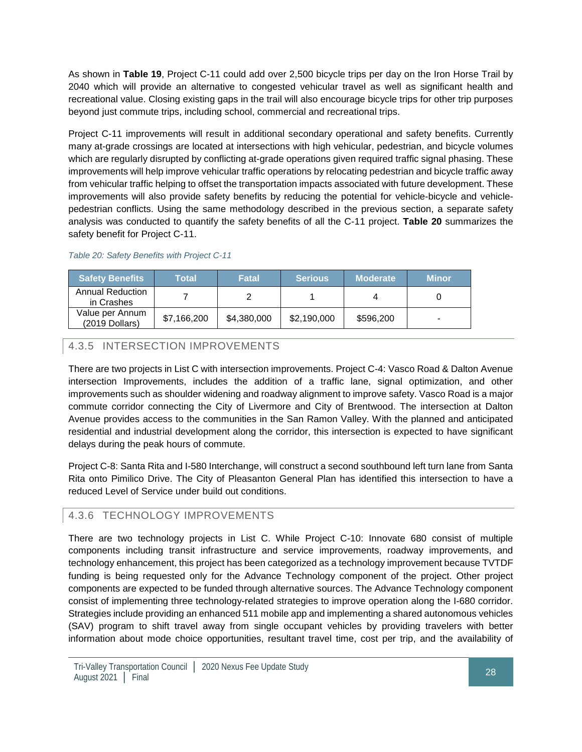As shown in **Table 19**, Project C-11 could add over 2,500 bicycle trips per day on the Iron Horse Trail by 2040 which will provide an alternative to congested vehicular travel as well as significant health and recreational value. Closing existing gaps in the trail will also encourage bicycle trips for other trip purposes beyond just commute trips, including school, commercial and recreational trips.

Project C-11 improvements will result in additional secondary operational and safety benefits. Currently many at-grade crossings are located at intersections with high vehicular, pedestrian, and bicycle volumes which are regularly disrupted by conflicting at-grade operations given required traffic signal phasing. These improvements will help improve vehicular traffic operations by relocating pedestrian and bicycle traffic away from vehicular traffic helping to offset the transportation impacts associated with future development. These improvements will also provide safety benefits by reducing the potential for vehicle-bicycle and vehiclepedestrian conflicts. Using the same methodology described in the previous section, a separate safety analysis was conducted to quantify the safety benefits of all the C-11 project. **Table 20** summarizes the safety benefit for Project C-11.

| <b>Safety Benefits</b>                | Total       | <b>Fatal</b> | <b>Serious</b> | <b>Moderate</b> | /Minor |
|---------------------------------------|-------------|--------------|----------------|-----------------|--------|
| <b>Annual Reduction</b><br>in Crashes |             |              |                |                 |        |
| Value per Annum<br>$(2019$ Dollars)   | \$7.166.200 | \$4,380,000  | \$2,190,000    | \$596,200       |        |

<span id="page-35-0"></span>*Table 20: Safety Benefits with Project C-11*

#### 4.3.5 INTERSECTION IMPROVEMENTS

There are two projects in List C with intersection improvements. Project C-4: Vasco Road & Dalton Avenue intersection Improvements, includes the addition of a traffic lane, signal optimization, and other improvements such as shoulder widening and roadway alignment to improve safety. Vasco Road is a major commute corridor connecting the City of Livermore and City of Brentwood. The intersection at Dalton Avenue provides access to the communities in the San Ramon Valley. With the planned and anticipated residential and industrial development along the corridor, this intersection is expected to have significant delays during the peak hours of commute.

Project C-8: Santa Rita and I-580 Interchange, will construct a second southbound left turn lane from Santa Rita onto Pimilico Drive. The City of Pleasanton General Plan has identified this intersection to have a reduced Level of Service under build out conditions.

#### 4.3.6 TECHNOLOGY IMPROVEMENTS

There are two technology projects in List C. While Project C-10: Innovate 680 consist of multiple components including transit infrastructure and service improvements, roadway improvements, and technology enhancement, this project has been categorized as a technology improvement because TVTDF funding is being requested only for the Advance Technology component of the project. Other project components are expected to be funded through alternative sources. The Advance Technology component consist of implementing three technology-related strategies to improve operation along the I-680 corridor. Strategies include providing an enhanced 511 mobile app and implementing a shared autonomous vehicles (SAV) program to shift travel away from single occupant vehicles by providing travelers with better information about mode choice opportunities, resultant travel time, cost per trip, and the availability of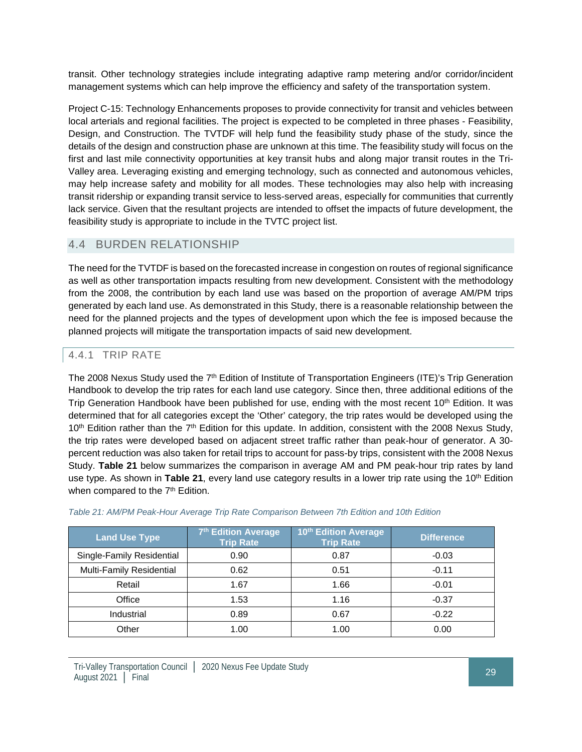transit. Other technology strategies include integrating adaptive ramp metering and/or corridor/incident management systems which can help improve the efficiency and safety of the transportation system.

Project C-15: Technology Enhancements proposes to provide connectivity for transit and vehicles between local arterials and regional facilities. The project is expected to be completed in three phases - Feasibility, Design, and Construction. The TVTDF will help fund the feasibility study phase of the study, since the details of the design and construction phase are unknown at this time. The feasibility study will focus on the first and last mile connectivity opportunities at key transit hubs and along major transit routes in the Tri-Valley area. Leveraging existing and emerging technology, such as connected and autonomous vehicles, may help increase safety and mobility for all modes. These technologies may also help with increasing transit ridership or expanding transit service to less-served areas, especially for communities that currently lack service. Given that the resultant projects are intended to offset the impacts of future development, the feasibility study is appropriate to include in the TVTC project list.

## 4.4 BURDEN RELATIONSHIP

The need for the TVTDF is based on the forecasted increase in congestion on routes of regional significance as well as other transportation impacts resulting from new development. Consistent with the methodology from the 2008, the contribution by each land use was based on the proportion of average AM/PM trips generated by each land use. As demonstrated in this Study, there is a reasonable relationship between the need for the planned projects and the types of development upon which the fee is imposed because the planned projects will mitigate the transportation impacts of said new development.

## 4.4.1 TRIP RATE

The 2008 Nexus Study used the 7<sup>th</sup> Edition of Institute of Transportation Engineers (ITE)'s Trip Generation Handbook to develop the trip rates for each land use category. Since then, three additional editions of the Trip Generation Handbook have been published for use, ending with the most recent 10<sup>th</sup> Edition. It was determined that for all categories except the 'Other' category, the trip rates would be developed using the 10<sup>th</sup> Edition rather than the 7<sup>th</sup> Edition for this update. In addition, consistent with the 2008 Nexus Study, the trip rates were developed based on adjacent street traffic rather than peak-hour of generator. A 30 percent reduction was also taken for retail trips to account for pass-by trips, consistent with the 2008 Nexus Study. **Table 21** below summarizes the comparison in average AM and PM peak-hour trip rates by land use type. As shown in **Table 21**, every land use category results in a lower trip rate using the 10th Edition when compared to the 7<sup>th</sup> Edition.

| <b>Land Use Type</b>      | 7th Edition Average<br><b>Trip Rate</b> | 10th Edition Average<br><b>Trip Rate</b> | <b>Difference</b> |
|---------------------------|-----------------------------------------|------------------------------------------|-------------------|
| Single-Family Residential | 0.90                                    | 0.87                                     | $-0.03$           |
| Multi-Family Residential  | 0.62                                    | 0.51                                     | $-0.11$           |
| Retail                    | 1.67                                    | 1.66                                     | $-0.01$           |
| Office                    | 1.53                                    | 1.16                                     | $-0.37$           |
| Industrial                | 0.89                                    | 0.67                                     | $-0.22$           |
| Other                     | 1.00                                    | 1.00                                     | 0.00              |

#### *Table 21: AM/PM Peak-Hour Average Trip Rate Comparison Between 7th Edition and 10th Edition*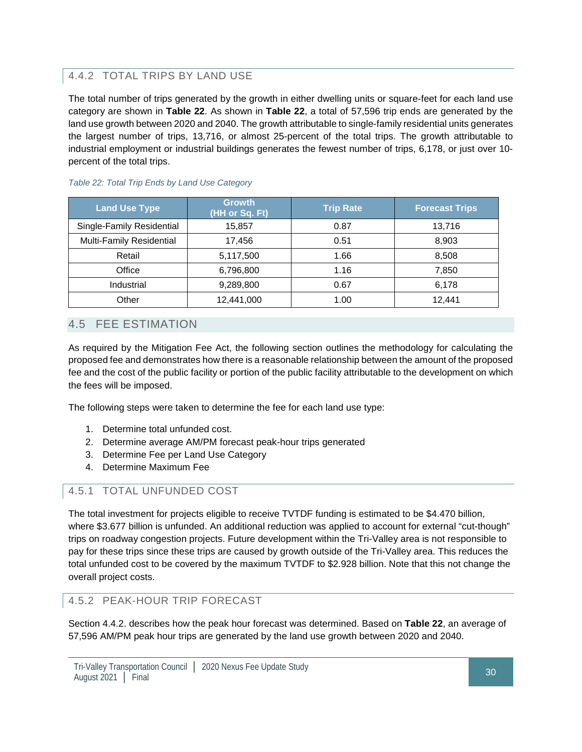## 4.4.2 TOTAL TRIPS BY LAND USE

The total number of trips generated by the growth in either dwelling units or square-feet for each land use category are shown in **Table 22**. As shown in **Table 22**, a total of 57,596 trip ends are generated by the land use growth between 2020 and 2040. The growth attributable to single-family residential units generates the largest number of trips, 13,716, or almost 25-percent of the total trips. The growth attributable to industrial employment or industrial buildings generates the fewest number of trips, 6,178, or just over 10 percent of the total trips.

| <b>Land Use Type</b>      | <b>Growth</b><br>(HH or Sq. Ft) | <b>Trip Rate</b> | <b>Forecast Trips</b> |
|---------------------------|---------------------------------|------------------|-----------------------|
| Single-Family Residential | 15,857                          | 0.87             | 13,716                |
| Multi-Family Residential  | 17,456                          | 0.51             | 8,903                 |
| Retail                    | 5,117,500                       | 1.66             | 8,508                 |
| Office                    | 6,796,800                       | 1.16             | 7,850                 |
| Industrial                | 9,289,800                       | 0.67             | 6,178                 |
| Other                     | 12,441,000                      | 1.00             | 12.441                |

### *Table 22: Total Trip Ends by Land Use Category*

## 4.5 FEE ESTIMATION

As required by the Mitigation Fee Act, the following section outlines the methodology for calculating the proposed fee and demonstrates how there is a reasonable relationship between the amount of the proposed fee and the cost of the public facility or portion of the public facility attributable to the development on which the fees will be imposed.

The following steps were taken to determine the fee for each land use type:

- 1. Determine total unfunded cost.
- 2. Determine average AM/PM forecast peak-hour trips generated
- 3. Determine Fee per Land Use Category
- 4. Determine Maximum Fee

## 4.5.1 TOTAL UNFUNDED COST

The total investment for projects eligible to receive TVTDF funding is estimated to be \$4.470 billion, where \$3.677 billion is unfunded. An additional reduction was applied to account for external "cut-though" trips on roadway congestion projects. Future development within the Tri-Valley area is not responsible to pay for these trips since these trips are caused by growth outside of the Tri-Valley area. This reduces the total unfunded cost to be covered by the maximum TVTDF to \$2.928 billion. Note that this not change the overall project costs.

4.5.2 PEAK-HOUR TRIP FORECAST

Section 4.4.2. describes how the peak hour forecast was determined. Based on **Table 22**, an average of 57,596 AM/PM peak hour trips are generated by the land use growth between 2020 and 2040.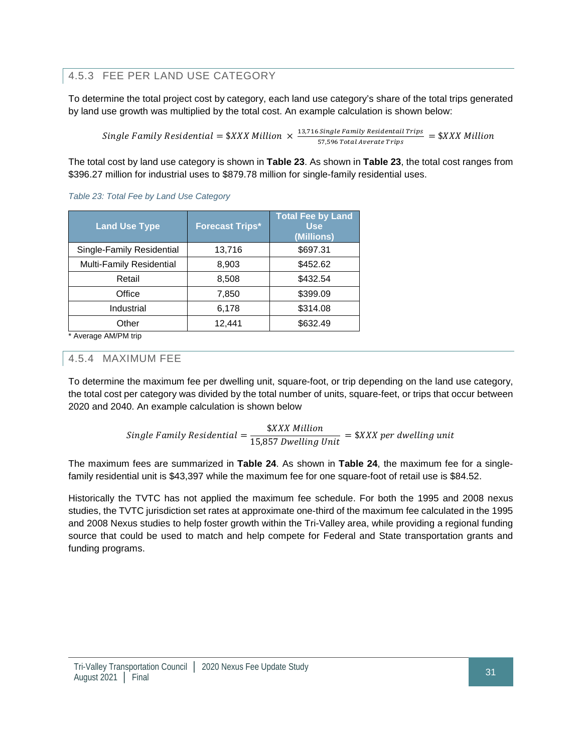## 4.5.3 FEE PER LAND USE CATEGORY

To determine the total project cost by category, each land use category's share of the total trips generated by land use growth was multiplied by the total cost. An example calculation is shown below:

Single Family Residential =  $\frac{2}{3}$ XXX Million  $\times \frac{13,716 \text{ Single Family Residential Trips}}{57,596 \text{ Total Average Trips}} = \frac{2}{3}$ XXX Millio

The total cost by land use category is shown in **Table 23**. As shown in **Table 23**, the total cost ranges from \$396.27 million for industrial uses to \$879.78 million for single-family residential uses.

| <b>Land Use Type</b>      | <b>Forecast Trips*</b> | <b>Total Fee by Land</b><br><b>Use</b><br>(Millions) |
|---------------------------|------------------------|------------------------------------------------------|
| Single-Family Residential | 13,716                 | \$697.31                                             |
| Multi-Family Residential  | 8,903                  | \$452.62                                             |
| Retail                    | 8,508                  | \$432.54                                             |
| Office                    | 7,850                  | \$399.09                                             |
| Industrial                | 6,178                  | \$314.08                                             |
| Other                     | 12,441                 | \$632.49                                             |

#### *Table 23: Total Fee by Land Use Category*

\* Average AM/PM trip

### 4.5.4 MAXIMUM FEE

To determine the maximum fee per dwelling unit, square-foot, or trip depending on the land use category, the total cost per category was divided by the total number of units, square-feet, or trips that occur between 2020 and 2040. An example calculation is shown below

*Single Family Residental* = 
$$
\frac{\$XXX \text{ million}}{15,857 \text{ Dwelling Unit}} = \$XXX \text{ per dwelling unit}
$$

The maximum fees are summarized in **Table 24**. As shown in **Table 24**, the maximum fee for a singlefamily residential unit is \$43,397 while the maximum fee for one square-foot of retail use is \$84.52.

Historically the TVTC has not applied the maximum fee schedule. For both the 1995 and 2008 nexus studies, the TVTC jurisdiction set rates at approximate one-third of the maximum fee calculated in the 1995 and 2008 Nexus studies to help foster growth within the Tri-Valley area, while providing a regional funding source that could be used to match and help compete for Federal and State transportation grants and funding programs.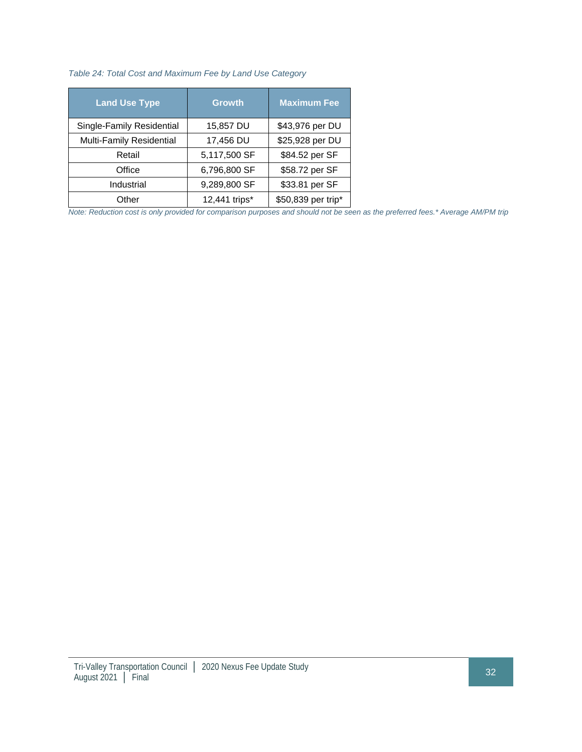#### *Table 24: Total Cost and Maximum Fee by Land Use Category*

| <b>Land Use Type</b>      | <b>Growth</b> | <b>Maximum Fee</b> |
|---------------------------|---------------|--------------------|
| Single-Family Residential | 15,857 DU     | \$43,976 per DU    |
| Multi-Family Residential  | 17,456 DU     | \$25,928 per DU    |
| Retail                    | 5,117,500 SF  | \$84.52 per SF     |
| Office                    | 6,796,800 SF  | \$58.72 per SF     |
| Industrial                | 9,289,800 SF  | \$33.81 per SF     |
| Other                     | 12,441 trips* | \$50,839 per trip* |

*Note: Reduction cost is only provided for comparison purposes and should not be seen as the preferred fees.\* Average AM/PM trip*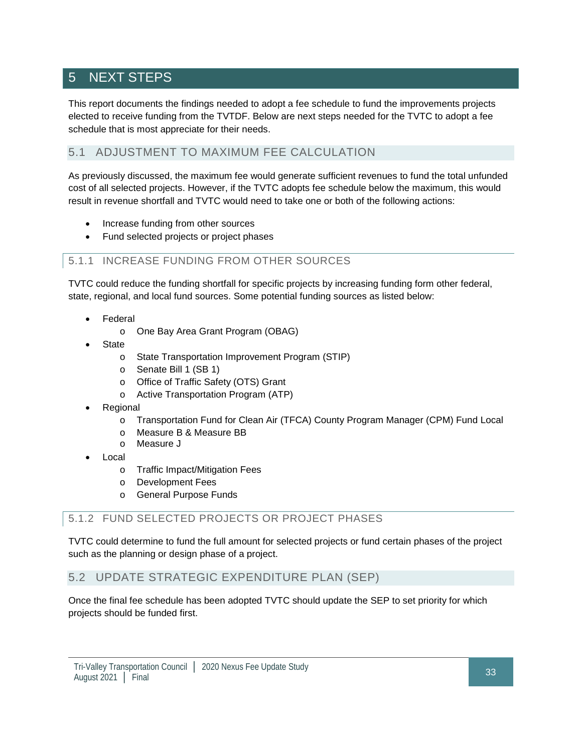# 5 NEXT STEPS

This report documents the findings needed to adopt a fee schedule to fund the improvements projects elected to receive funding from the TVTDF. Below are next steps needed for the TVTC to adopt a fee schedule that is most appreciate for their needs.

## 5.1 ADJUSTMENT TO MAXIMUM FEE CALCULATION

As previously discussed, the maximum fee would generate sufficient revenues to fund the total unfunded cost of all selected projects. However, if the TVTC adopts fee schedule below the maximum, this would result in revenue shortfall and TVTC would need to take one or both of the following actions:

- Increase funding from other sources
- Fund selected projects or project phases

## 5.1.1 INCREASE FUNDING FROM OTHER SOURCES

TVTC could reduce the funding shortfall for specific projects by increasing funding form other federal, state, regional, and local fund sources. Some potential funding sources as listed below:

- **Federal** 
	- o One Bay Area Grant Program (OBAG)
- **State** 
	- o State Transportation Improvement Program (STIP)
	- o Senate Bill 1 (SB 1)
	- o Office of Traffic Safety (OTS) Grant
	- o Active Transportation Program (ATP)
- **Regional** 
	- o Transportation Fund for Clean Air (TFCA) County Program Manager (CPM) Fund Local
	- o Measure B & Measure BB
	- o Measure J
- Local
	- o Traffic Impact/Mitigation Fees
	- o Development Fees
	- o General Purpose Funds

## 5.1.2 FUND SELECTED PROJECTS OR PROJECT PHASES

TVTC could determine to fund the full amount for selected projects or fund certain phases of the project such as the planning or design phase of a project.

## 5.2 UPDATE STRATEGIC EXPENDITURE PLAN (SEP)

Once the final fee schedule has been adopted TVTC should update the SEP to set priority for which projects should be funded first.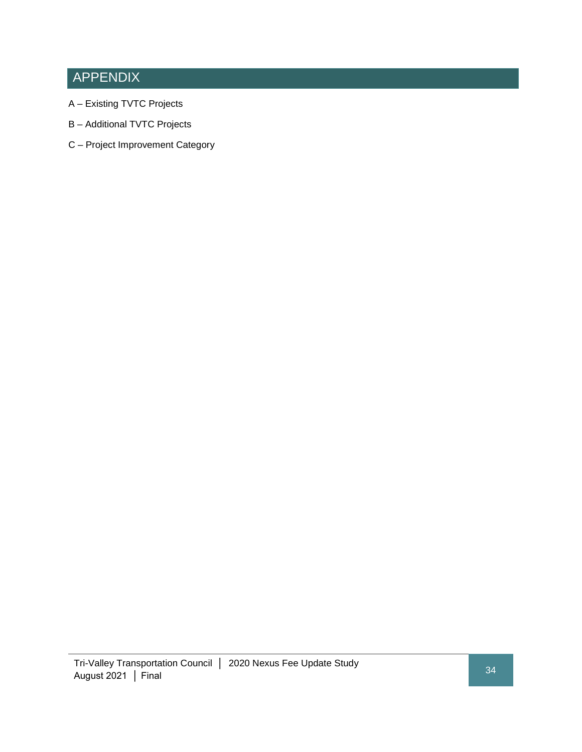# APPENDIX

- A Existing TVTC Projects
- B Additional TVTC Projects
- C Project Improvement Category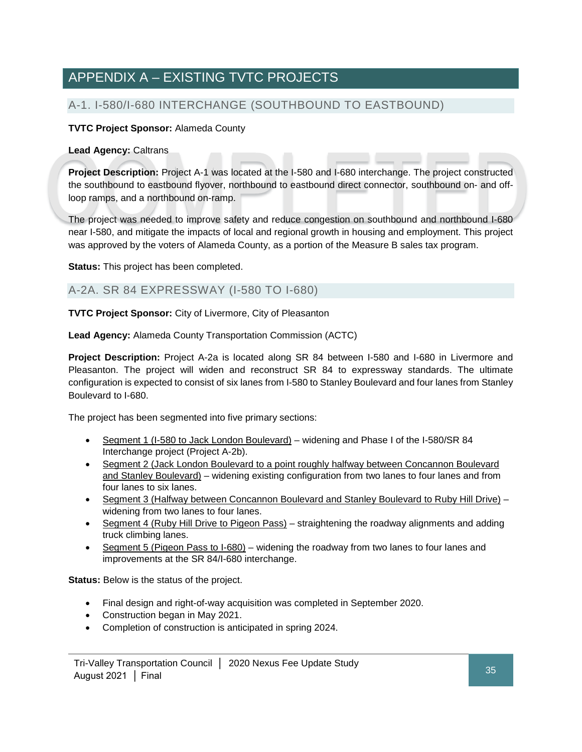# APPENDIX A – EXISTING TVTC PROJECTS

## A-1. I-580/I-680 INTERCHANGE (SOUTHBOUND TO EASTBOUND)

## **TVTC Project Sponsor:** Alameda County

#### **Lead Agency:** Caltrans

**Project Description:** Project A-1 was located at the I-580 and I-680 interchange. The project constructed the southbound to eastbound flyover, northbound to eastbound direct connector, southbound on- and offloop ramps, and a northbound on-ramp.

The project was needed to improve safety and reduce congestion on southbound and northbound I-680 near I-580, and mitigate the impacts of local and regional growth in housing and employment. This project was approved by the voters of Alameda County, as a portion of the Measure B sales tax program.

**Status:** This project has been completed.

## A-2A. SR 84 EXPRESSWAY (I-580 TO I-680)

**TVTC Project Sponsor:** City of Livermore, City of Pleasanton

**Lead Agency:** Alameda County Transportation Commission (ACTC)

**Project Description:** Project A-2a is located along SR 84 between I-580 and I-680 in Livermore and Pleasanton. The project will widen and reconstruct SR 84 to expressway standards. The ultimate configuration is expected to consist of six lanes from I-580 to Stanley Boulevard and four lanes from Stanley Boulevard to I-680.

The project has been segmented into five primary sections:

- Segment 1 (I-580 to Jack London Boulevard) widening and Phase I of the I-580/SR 84 Interchange project (Project A-2b).
- Segment 2 (Jack London Boulevard to a point roughly halfway between Concannon Boulevard and Stanley Boulevard) – widening existing configuration from two lanes to four lanes and from four lanes to six lanes.
- Segment 3 (Halfway between Concannon Boulevard and Stanley Boulevard to Ruby Hill Drive) widening from two lanes to four lanes.
- Segment 4 (Ruby Hill Drive to Pigeon Pass) straightening the roadway alignments and adding truck climbing lanes.
- Segment 5 (Pigeon Pass to I-680) widening the roadway from two lanes to four lanes and improvements at the SR 84/I-680 interchange.

**Status:** Below is the status of the project.

- Final design and right-of-way acquisition was completed in September 2020.
- Construction began in May 2021.
- Completion of construction is anticipated in spring 2024.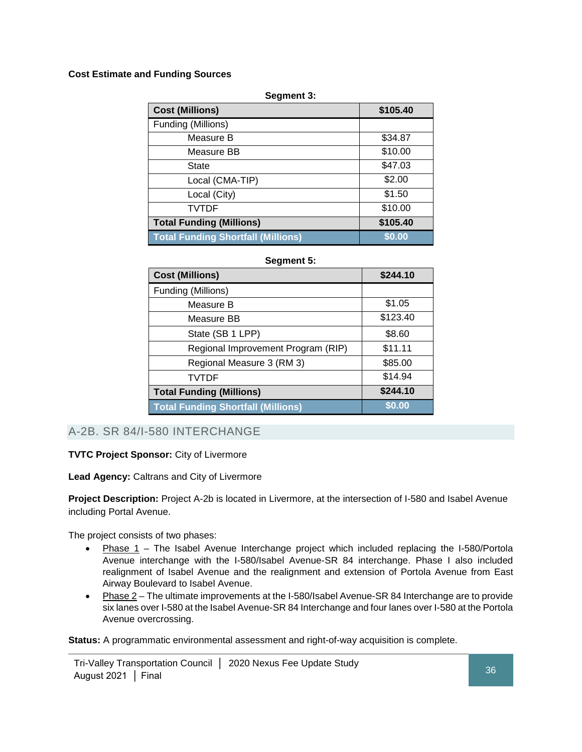### **Cost Estimate and Funding Sources**

#### **Segment 3:**

| <b>Cost (Millions)</b>                    | \$105.40 |
|-------------------------------------------|----------|
| Funding (Millions)                        |          |
| Measure B                                 | \$34.87  |
| Measure BB                                | \$10.00  |
| <b>State</b>                              | \$47.03  |
| Local (CMA-TIP)                           | \$2.00   |
| Local (City)                              | \$1.50   |
| <b>TVTDF</b>                              | \$10.00  |
| <b>Total Funding (Millions)</b>           | \$105.40 |
| <b>Total Funding Shortfall (Millions)</b> | \$0.00   |

#### **Segment 5:**

| <b>Cost (Millions)</b>                    | \$244.10 |
|-------------------------------------------|----------|
| Funding (Millions)                        |          |
| Measure B                                 | \$1.05   |
| Measure BB                                | \$123.40 |
| State (SB 1 LPP)                          | \$8.60   |
| Regional Improvement Program (RIP)        | \$11.11  |
| Regional Measure 3 (RM 3)                 | \$85.00  |
| <b>TVTDF</b>                              | \$14.94  |
| <b>Total Funding (Millions)</b>           | \$244.10 |
| <b>Total Funding Shortfall (Millions)</b> | \$0.00   |

## A-2B. SR 84/I-580 INTERCHANGE

#### **TVTC Project Sponsor:** City of Livermore

#### **Lead Agency:** Caltrans and City of Livermore

**Project Description:** Project A-2b is located in Livermore, at the intersection of I-580 and Isabel Avenue including Portal Avenue.

The project consists of two phases:

- Phase 1 The Isabel Avenue Interchange project which included replacing the I-580/Portola Avenue interchange with the I-580/Isabel Avenue-SR 84 interchange. Phase I also included realignment of Isabel Avenue and the realignment and extension of Portola Avenue from East Airway Boulevard to Isabel Avenue.
- Phase 2 The ultimate improvements at the I-580/Isabel Avenue-SR 84 Interchange are to provide six lanes over I-580 at the Isabel Avenue-SR 84 Interchange and four lanes over I-580 at the Portola Avenue overcrossing.

**Status:** A programmatic environmental assessment and right-of-way acquisition is complete.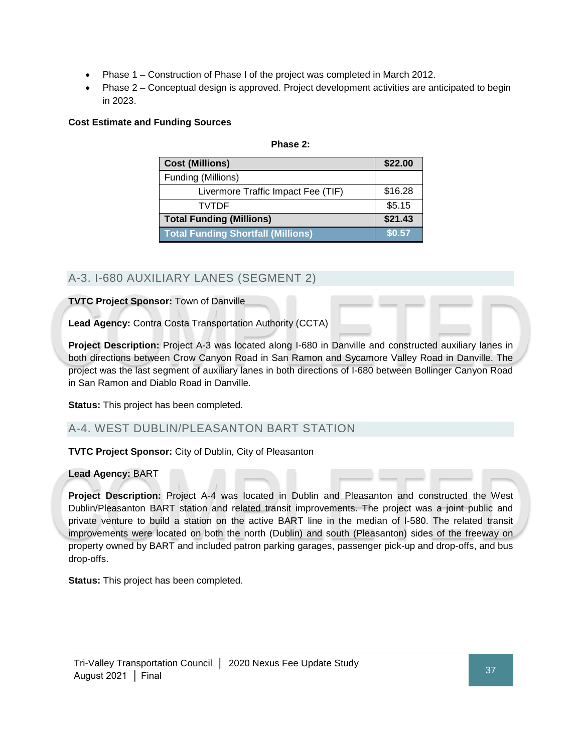- Phase 1 Construction of Phase I of the project was completed in March 2012.
- Phase 2 Conceptual design is approved. Project development activities are anticipated to begin in 2023.

## **Cost Estimate and Funding Sources**

#### **Phase 2:**

| <b>Cost (Millions)</b>                    | \$22.00 |
|-------------------------------------------|---------|
| Funding (Millions)                        |         |
| Livermore Traffic Impact Fee (TIF)        | \$16.28 |
| <b>TVTDF</b>                              | \$5.15  |
| <b>Total Funding (Millions)</b>           | \$21.43 |
| <b>Total Funding Shortfall (Millions)</b> | \$0.57  |

## A-3. I-680 AUXILIARY LANES (SEGMENT 2)

**TVTC Project Sponsor:** Town of Danville

**Lead Agency:** Contra Costa Transportation Authority (CCTA)

**Project Description:** Project A-3 was located along I-680 in Danville and constructed auxiliary lanes in both directions between Crow Canyon Road in San Ramon and Sycamore Valley Road in Danville. The project was the last segment of auxiliary lanes in both directions of I-680 between Bollinger Canyon Road in San Ramon and Diablo Road in Danville.

**Status:** This project has been completed.

## A-4. WEST DUBLIN/PLEASANTON BART STATION

**TVTC Project Sponsor:** City of Dublin, City of Pleasanton

## **Lead Agency:** BART

**Project Description:** Project A-4 was located in Dublin and Pleasanton and constructed the West Dublin/Pleasanton BART station and related transit improvements. The project was a joint public and private venture to build a station on the active BART line in the median of I-580. The related transit improvements were located on both the north (Dublin) and south (Pleasanton) sides of the freeway on property owned by BART and included patron parking garages, passenger pick-up and drop-offs, and bus drop-offs.

**Status:** This project has been completed.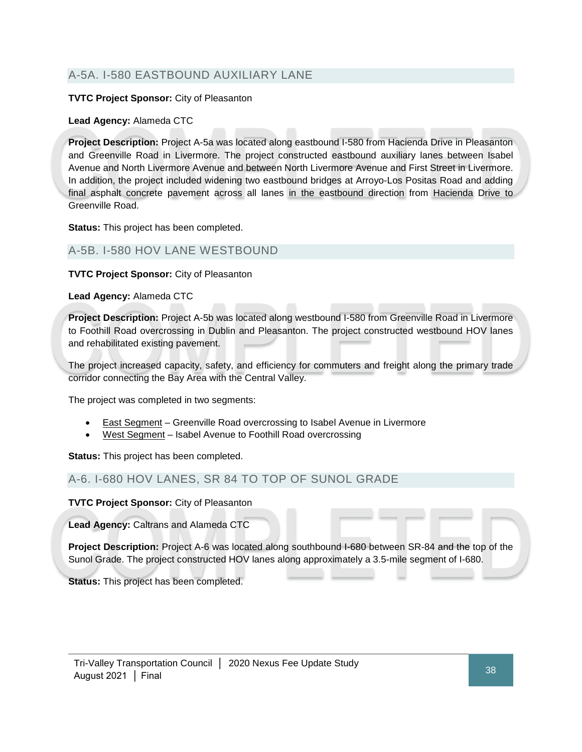## A-5A. I-580 EASTBOUND AUXILIARY LANE

### **TVTC Project Sponsor:** City of Pleasanton

### **Lead Agency:** Alameda CTC

**Project Description:** Project A-5a was located along eastbound I-580 from Hacienda Drive in Pleasanton and Greenville Road in Livermore. The project constructed eastbound auxiliary lanes between Isabel Avenue and North Livermore Avenue and between North Livermore Avenue and First Street in Livermore. In addition, the project included widening two eastbound bridges at Arroyo-Los Positas Road and adding final asphalt concrete pavement across all lanes in the eastbound direction from Hacienda Drive to Greenville Road.

**Status:** This project has been completed.

## A-5B. I-580 HOV LANE WESTBOUND

**TVTC Project Sponsor:** City of Pleasanton

**Lead Agency:** Alameda CTC

**Project Description:** Project A-5b was located along westbound I-580 from Greenville Road in Livermore to Foothill Road overcrossing in Dublin and Pleasanton. The project constructed westbound HOV lanes and rehabilitated existing pavement.

The project increased capacity, safety, and efficiency for commuters and freight along the primary trade corridor connecting the Bay Area with the Central Valley.

The project was completed in two segments:

- **East Segment** Greenville Road overcrossing to Isabel Avenue in Livermore
- West Segment Isabel Avenue to Foothill Road overcrossing

**Status:** This project has been completed.

## A-6. I-680 HOV LANES, SR 84 TO TOP OF SUNOL GRADE

**TVTC Project Sponsor:** City of Pleasanton

**Lead Agency:** Caltrans and Alameda CTC

**Project Description:** Project A-6 was located along southbound I-680 between SR-84 and the top of the Sunol Grade. The project constructed HOV lanes along approximately a 3.5-mile segment of I-680.

**Status:** This project has been completed.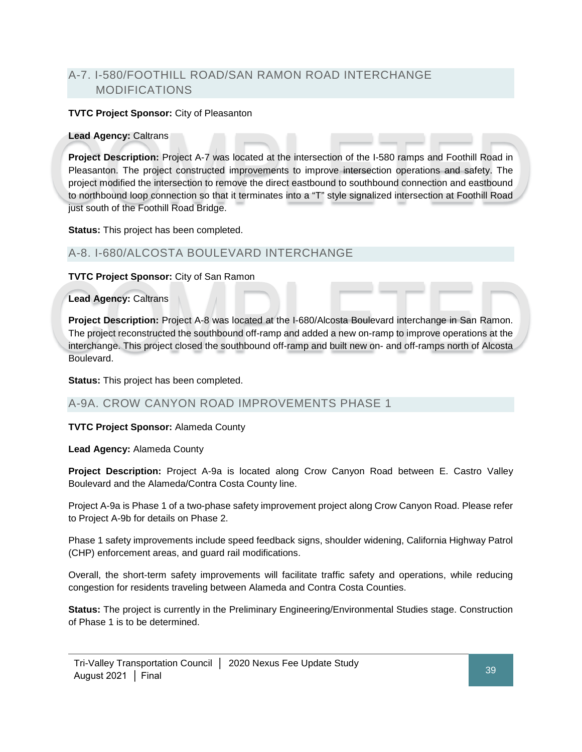## A-7. I-580/FOOTHILL ROAD/SAN RAMON ROAD INTERCHANGE MODIFICATIONS

#### **TVTC Project Sponsor:** City of Pleasanton

#### **Lead Agency:** Caltrans

**Project Description:** Project A-7 was located at the intersection of the I-580 ramps and Foothill Road in Pleasanton. The project constructed improvements to improve intersection operations and safety. The project modified the intersection to remove the direct eastbound to southbound connection and eastbound to northbound loop connection so that it terminates into a "T" style signalized intersection at Foothill Road just south of the Foothill Road Bridge.

**Status:** This project has been completed.

## A-8. I-680/ALCOSTA BOULEVARD INTERCHANGE

**TVTC Project Sponsor:** City of San Ramon

**Lead Agency:** Caltrans

**Project Description:** Project A-8 was located at the I-680/Alcosta Boulevard interchange in San Ramon. The project reconstructed the southbound off-ramp and added a new on-ramp to improve operations at the interchange. This project closed the southbound off-ramp and built new on- and off-ramps north of Alcosta Boulevard.

**Status:** This project has been completed.

## A-9A. CROW CANYON ROAD IMPROVEMENTS PHASE 1

**TVTC Project Sponsor:** Alameda County

**Lead Agency:** Alameda County

**Project Description:** Project A-9a is located along Crow Canyon Road between E. Castro Valley Boulevard and the Alameda/Contra Costa County line.

Project A-9a is Phase 1 of a two-phase safety improvement project along Crow Canyon Road. Please refer to Project A-9b for details on Phase 2.

Phase 1 safety improvements include speed feedback signs, shoulder widening, California Highway Patrol (CHP) enforcement areas, and guard rail modifications.

Overall, the short-term safety improvements will facilitate traffic safety and operations, while reducing congestion for residents traveling between Alameda and Contra Costa Counties.

**Status:** The project is currently in the Preliminary Engineering/Environmental Studies stage. Construction of Phase 1 is to be determined.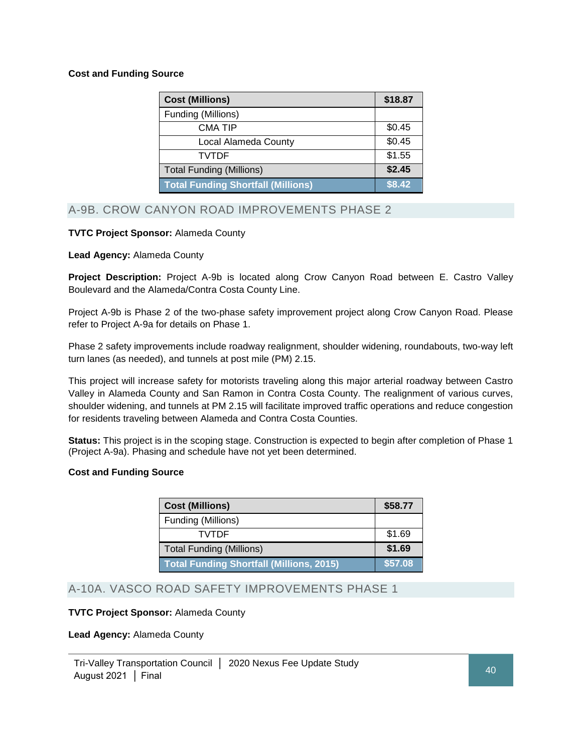### **Cost and Funding Source**

| <b>Cost (Millions)</b>                    | \$18.87 |
|-------------------------------------------|---------|
| Funding (Millions)                        |         |
| <b>CMA TIP</b>                            | \$0.45  |
| Local Alameda County                      | \$0.45  |
| TVTDF                                     | \$1.55  |
| <b>Total Funding (Millions)</b>           | \$2.45  |
| <b>Total Funding Shortfall (Millions)</b> | \$8.42  |

## A-9B. CROW CANYON ROAD IMPROVEMENTS PHASE 2

### **TVTC Project Sponsor:** Alameda County

#### **Lead Agency:** Alameda County

**Project Description:** Project A-9b is located along Crow Canyon Road between E. Castro Valley Boulevard and the Alameda/Contra Costa County Line.

Project A-9b is Phase 2 of the two-phase safety improvement project along Crow Canyon Road. Please refer to Project A-9a for details on Phase 1.

Phase 2 safety improvements include roadway realignment, shoulder widening, roundabouts, two-way left turn lanes (as needed), and tunnels at post mile (PM) 2.15.

This project will increase safety for motorists traveling along this major arterial roadway between Castro Valley in Alameda County and San Ramon in Contra Costa County. The realignment of various curves, shoulder widening, and tunnels at PM 2.15 will facilitate improved traffic operations and reduce congestion for residents traveling between Alameda and Contra Costa Counties.

**Status:** This project is in the scoping stage. Construction is expected to begin after completion of Phase 1 (Project A-9a). Phasing and schedule have not yet been determined.

#### **Cost and Funding Source**

| <b>Cost (Millions)</b>                          | \$58.77 |
|-------------------------------------------------|---------|
| Funding (Millions)                              |         |
| <b>TVTDF</b>                                    | \$1.69  |
| <b>Total Funding (Millions)</b>                 | \$1.69  |
| <b>Total Funding Shortfall (Millions, 2015)</b> | \$57.08 |

## A-10A. VASCO ROAD SAFETY IMPROVEMENTS PHASE 1

#### **TVTC Project Sponsor:** Alameda County

**Lead Agency:** Alameda County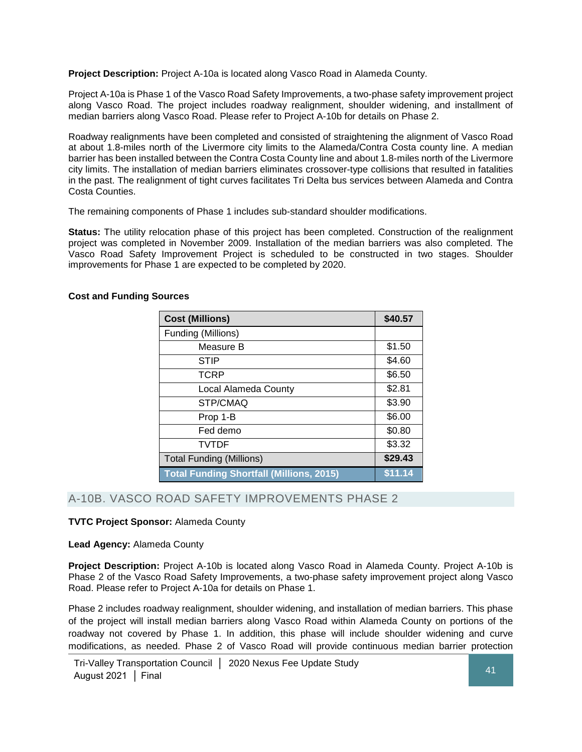**Project Description:** Project A-10a is located along Vasco Road in Alameda County.

Project A-10a is Phase 1 of the Vasco Road Safety Improvements, a two-phase safety improvement project along Vasco Road. The project includes roadway realignment, shoulder widening, and installment of median barriers along Vasco Road. Please refer to Project A-10b for details on Phase 2.

Roadway realignments have been completed and consisted of straightening the alignment of Vasco Road at about 1.8-miles north of the Livermore city limits to the Alameda/Contra Costa county line. A median barrier has been installed between the Contra Costa County line and about 1.8-miles north of the Livermore city limits. The installation of median barriers eliminates crossover-type collisions that resulted in fatalities in the past. The realignment of tight curves facilitates Tri Delta bus services between Alameda and Contra Costa Counties.

The remaining components of Phase 1 includes sub-standard shoulder modifications.

Status: The utility relocation phase of this project has been completed. Construction of the realignment project was completed in November 2009. Installation of the median barriers was also completed. The Vasco Road Safety Improvement Project is scheduled to be constructed in two stages. Shoulder improvements for Phase 1 are expected to be completed by 2020.

#### **Cost and Funding Sources**

| <b>Cost (Millions)</b>                          | \$40.57 |
|-------------------------------------------------|---------|
| Funding (Millions)                              |         |
| Measure B                                       | \$1.50  |
| <b>STIP</b>                                     | \$4.60  |
| TCRP                                            | \$6.50  |
| Local Alameda County                            | \$2.81  |
| STP/CMAQ                                        | \$3.90  |
| Prop 1-B                                        | \$6.00  |
| Fed demo                                        | \$0.80  |
| <b>TVTDF</b>                                    | \$3.32  |
| <b>Total Funding (Millions)</b>                 | \$29.43 |
| <b>Total Funding Shortfall (Millions, 2015)</b> | \$11.14 |

## A-10B. VASCO ROAD SAFETY IMPROVEMENTS PHASE 2

#### **TVTC Project Sponsor:** Alameda County

**Lead Agency:** Alameda County

**Project Description:** Project A-10b is located along Vasco Road in Alameda County. Project A-10b is Phase 2 of the Vasco Road Safety Improvements, a two-phase safety improvement project along Vasco Road. Please refer to Project A-10a for details on Phase 1.

Phase 2 includes roadway realignment, shoulder widening, and installation of median barriers. This phase of the project will install median barriers along Vasco Road within Alameda County on portions of the roadway not covered by Phase 1. In addition, this phase will include shoulder widening and curve modifications, as needed. Phase 2 of Vasco Road will provide continuous median barrier protection

Tri-Valley Transportation Council │ 2020 Nexus Fee Update Study August 2021 │ Final 41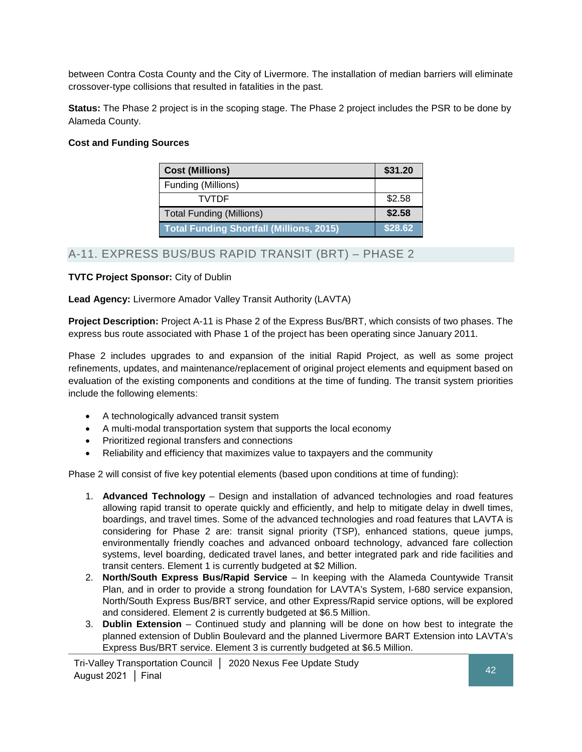between Contra Costa County and the City of Livermore. The installation of median barriers will eliminate crossover-type collisions that resulted in fatalities in the past.

**Status:** The Phase 2 project is in the scoping stage. The Phase 2 project includes the PSR to be done by Alameda County.

### **Cost and Funding Sources**

| <b>Cost (Millions)</b>                          | \$31.20 |
|-------------------------------------------------|---------|
| Funding (Millions)                              |         |
| <b>TVTDF</b>                                    | \$2.58  |
| <b>Total Funding (Millions)</b>                 | \$2.58  |
| <b>Total Funding Shortfall (Millions, 2015)</b> | \$28.62 |

## A-11. EXPRESS BUS/BUS RAPID TRANSIT (BRT) – PHASE 2

## **TVTC Project Sponsor:** City of Dublin

### **Lead Agency:** Livermore Amador Valley Transit Authority (LAVTA)

**Project Description:** Project A-11 is Phase 2 of the Express Bus/BRT, which consists of two phases. The express bus route associated with Phase 1 of the project has been operating since January 2011.

Phase 2 includes upgrades to and expansion of the initial Rapid Project, as well as some project refinements, updates, and maintenance/replacement of original project elements and equipment based on evaluation of the existing components and conditions at the time of funding. The transit system priorities include the following elements:

- A technologically advanced transit system
- A multi-modal transportation system that supports the local economy
- Prioritized regional transfers and connections
- Reliability and efficiency that maximizes value to taxpayers and the community

Phase 2 will consist of five key potential elements (based upon conditions at time of funding):

- 1. **Advanced Technology** Design and installation of advanced technologies and road features allowing rapid transit to operate quickly and efficiently, and help to mitigate delay in dwell times, boardings, and travel times. Some of the advanced technologies and road features that LAVTA is considering for Phase 2 are: transit signal priority (TSP), enhanced stations, queue jumps, environmentally friendly coaches and advanced onboard technology, advanced fare collection systems, level boarding, dedicated travel lanes, and better integrated park and ride facilities and transit centers. Element 1 is currently budgeted at \$2 Million.
- 2. **North/South Express Bus/Rapid Service** In keeping with the Alameda Countywide Transit Plan, and in order to provide a strong foundation for LAVTA's System, I-680 service expansion, North/South Express Bus/BRT service, and other Express/Rapid service options, will be explored and considered. Element 2 is currently budgeted at \$6.5 Million.
- 3. **Dublin Extension** Continued study and planning will be done on how best to integrate the planned extension of Dublin Boulevard and the planned Livermore BART Extension into LAVTA's Express Bus/BRT service. Element 3 is currently budgeted at \$6.5 Million.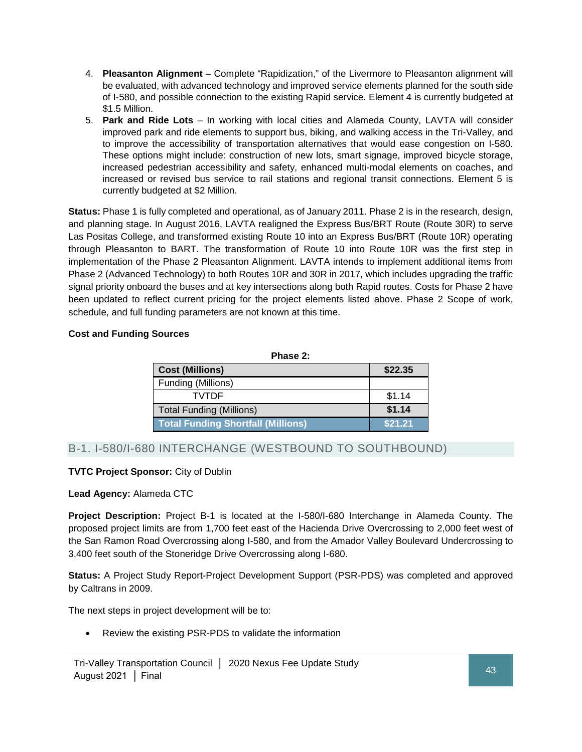- 4. **Pleasanton Alignment** Complete "Rapidization," of the Livermore to Pleasanton alignment will be evaluated, with advanced technology and improved service elements planned for the south side of I-580, and possible connection to the existing Rapid service. Element 4 is currently budgeted at \$1.5 Million.
- 5. **Park and Ride Lots** In working with local cities and Alameda County, LAVTA will consider improved park and ride elements to support bus, biking, and walking access in the Tri-Valley, and to improve the accessibility of transportation alternatives that would ease congestion on I-580. These options might include: construction of new lots, smart signage, improved bicycle storage, increased pedestrian accessibility and safety, enhanced multi-modal elements on coaches, and increased or revised bus service to rail stations and regional transit connections. Element 5 is currently budgeted at \$2 Million.

**Status:** Phase 1 is fully completed and operational, as of January 2011. Phase 2 is in the research, design, and planning stage. In August 2016, LAVTA realigned the Express Bus/BRT Route (Route 30R) to serve Las Positas College, and transformed existing Route 10 into an Express Bus/BRT (Route 10R) operating through Pleasanton to BART. The transformation of Route 10 into Route 10R was the first step in implementation of the Phase 2 Pleasanton Alignment. LAVTA intends to implement additional items from Phase 2 (Advanced Technology) to both Routes 10R and 30R in 2017, which includes upgrading the traffic signal priority onboard the buses and at key intersections along both Rapid routes. Costs for Phase 2 have been updated to reflect current pricing for the project elements listed above. Phase 2 Scope of work, schedule, and full funding parameters are not known at this time.

## **Cost and Funding Sources**

| Phase 2 |
|---------|
|---------|

| <b>Cost (Millions)</b>                    | \$22.35 |
|-------------------------------------------|---------|
| Funding (Millions)                        |         |
| TVTDF                                     | \$1.14  |
| <b>Total Funding (Millions)</b>           | \$1.14  |
| <b>Total Funding Shortfall (Millions)</b> | \$21.21 |

## B-1. I-580/I-680 INTERCHANGE (WESTBOUND TO SOUTHBOUND)

## **TVTC Project Sponsor:** City of Dublin

## **Lead Agency:** Alameda CTC

**Project Description:** Project B-1 is located at the I-580/I-680 Interchange in Alameda County. The proposed project limits are from 1,700 feet east of the Hacienda Drive Overcrossing to 2,000 feet west of the San Ramon Road Overcrossing along I-580, and from the Amador Valley Boulevard Undercrossing to 3,400 feet south of the Stoneridge Drive Overcrossing along I-680.

**Status:** A Project Study Report-Project Development Support (PSR-PDS) was completed and approved by Caltrans in 2009.

The next steps in project development will be to:

• Review the existing PSR-PDS to validate the information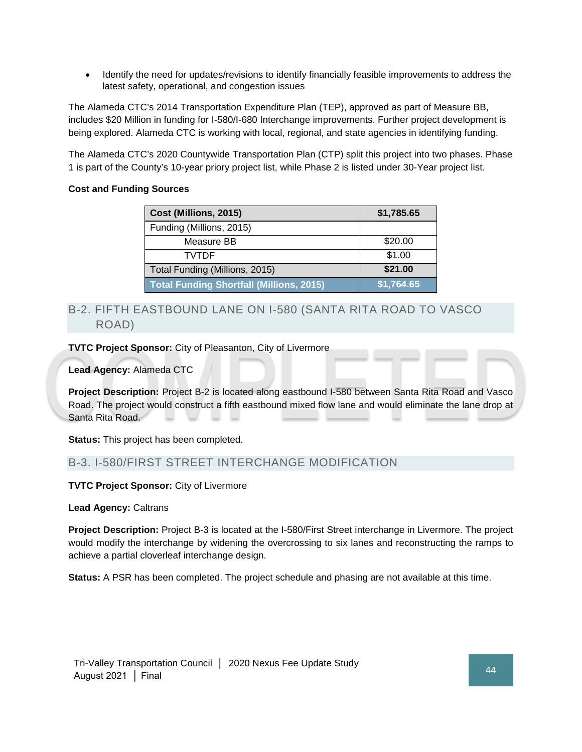• Identify the need for updates/revisions to identify financially feasible improvements to address the latest safety, operational, and congestion issues

The Alameda CTC's 2014 Transportation Expenditure Plan (TEP), approved as part of Measure BB, includes \$20 Million in funding for I-580/I-680 Interchange improvements. Further project development is being explored. Alameda CTC is working with local, regional, and state agencies in identifying funding.

The Alameda CTC's 2020 Countywide Transportation Plan (CTP) split this project into two phases. Phase 1 is part of the County's 10-year priory project list, while Phase 2 is listed under 30-Year project list.

## **Cost and Funding Sources**

| Cost (Millions, 2015)                           | \$1,785.65 |
|-------------------------------------------------|------------|
| Funding (Millions, 2015)                        |            |
| Measure BB                                      | \$20.00    |
| TVTDF                                           | \$1.00     |
| Total Funding (Millions, 2015)                  | \$21.00    |
| <b>Total Funding Shortfall (Millions, 2015)</b> | \$1,764.65 |

## B-2. FIFTH EASTBOUND LANE ON I-580 (SANTA RITA ROAD TO VASCO ROAD)

**TVTC Project Sponsor:** City of Pleasanton, City of Livermore

**Lead Agency:** Alameda CTC

**Project Description:** Project B-2 is located along eastbound I-580 between Santa Rita Road and Vasco Road. The project would construct a fifth eastbound mixed flow lane and would eliminate the lane drop at Santa Rita Road.

**Status:** This project has been completed.

## B-3. I-580/FIRST STREET INTERCHANGE MODIFICATION

**TVTC Project Sponsor:** City of Livermore

**Lead Agency:** Caltrans

**Project Description:** Project B-3 is located at the I-580/First Street interchange in Livermore. The project would modify the interchange by widening the overcrossing to six lanes and reconstructing the ramps to achieve a partial cloverleaf interchange design.

**Status:** A PSR has been completed. The project schedule and phasing are not available at this time.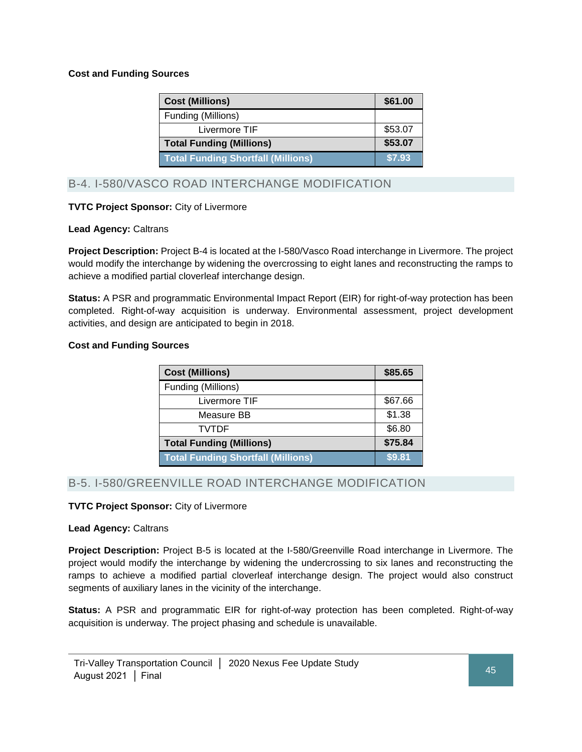### **Cost and Funding Sources**

| <b>Cost (Millions)</b>                    | \$61.00 |
|-------------------------------------------|---------|
| Funding (Millions)                        |         |
| Livermore TIF                             | \$53.07 |
| <b>Total Funding (Millions)</b>           | \$53.07 |
| <b>Total Funding Shortfall (Millions)</b> | \$7.93  |

## B-4. I-580/VASCO ROAD INTERCHANGE MODIFICATION

### **TVTC Project Sponsor:** City of Livermore

#### **Lead Agency:** Caltrans

**Project Description:** Project B-4 is located at the I-580/Vasco Road interchange in Livermore. The project would modify the interchange by widening the overcrossing to eight lanes and reconstructing the ramps to achieve a modified partial cloverleaf interchange design.

**Status:** A PSR and programmatic Environmental Impact Report (EIR) for right-of-way protection has been completed. Right-of-way acquisition is underway. Environmental assessment, project development activities, and design are anticipated to begin in 2018.

#### **Cost and Funding Sources**

| <b>Cost (Millions)</b>                    | \$85.65 |
|-------------------------------------------|---------|
| Funding (Millions)                        |         |
| Livermore TIF                             | \$67.66 |
| Measure BB                                | \$1.38  |
| <b>TVTDF</b>                              | \$6.80  |
| <b>Total Funding (Millions)</b>           | \$75.84 |
| <b>Total Funding Shortfall (Millions)</b> | \$9.81  |

## B-5. I-580/GREENVILLE ROAD INTERCHANGE MODIFICATION

#### **TVTC Project Sponsor:** City of Livermore

#### **Lead Agency:** Caltrans

**Project Description:** Project B-5 is located at the I-580/Greenville Road interchange in Livermore. The project would modify the interchange by widening the undercrossing to six lanes and reconstructing the ramps to achieve a modified partial cloverleaf interchange design. The project would also construct segments of auxiliary lanes in the vicinity of the interchange.

**Status:** A PSR and programmatic EIR for right-of-way protection has been completed. Right-of-way acquisition is underway. The project phasing and schedule is unavailable.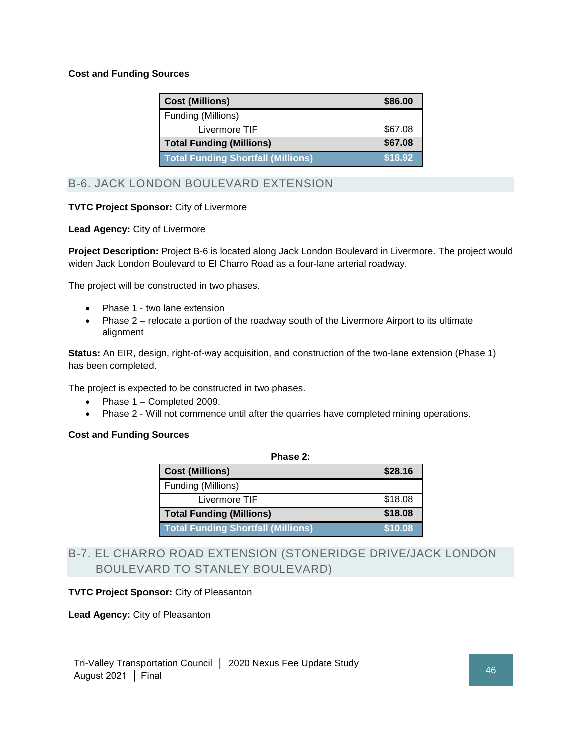### **Cost and Funding Sources**

| <b>Cost (Millions)</b>                    | \$86.00 |
|-------------------------------------------|---------|
| Funding (Millions)                        |         |
| Livermore TIF                             | \$67.08 |
| <b>Total Funding (Millions)</b>           | \$67.08 |
| <b>Total Funding Shortfall (Millions)</b> | \$18.92 |

B-6. JACK LONDON BOULEVARD EXTENSION

### **TVTC Project Sponsor:** City of Livermore

#### **Lead Agency:** City of Livermore

**Project Description:** Project B-6 is located along Jack London Boulevard in Livermore. The project would widen Jack London Boulevard to El Charro Road as a four-lane arterial roadway.

The project will be constructed in two phases.

- Phase 1 two lane extension
- Phase 2 relocate a portion of the roadway south of the Livermore Airport to its ultimate alignment

**Status:** An EIR, design, right-of-way acquisition, and construction of the two-lane extension (Phase 1) has been completed.

The project is expected to be constructed in two phases.

- Phase 1 Completed 2009.
- Phase 2 Will not commence until after the quarries have completed mining operations.

#### **Cost and Funding Sources**

| Phase 2:                                  |         |
|-------------------------------------------|---------|
| <b>Cost (Millions)</b>                    | \$28.16 |
| Funding (Millions)                        |         |
| Livermore TIF                             | \$18.08 |
| <b>Total Funding (Millions)</b>           | \$18.08 |
| <b>Total Funding Shortfall (Millions)</b> | \$10.08 |

## B-7. EL CHARRO ROAD EXTENSION (STONERIDGE DRIVE/JACK LONDON BOULEVARD TO STANLEY BOULEVARD)

#### **TVTC Project Sponsor:** City of Pleasanton

**Lead Agency:** City of Pleasanton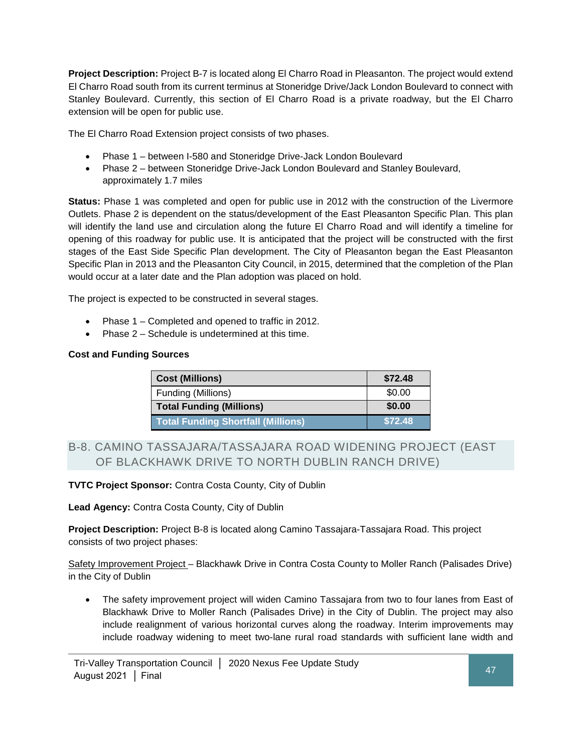**Project Description:** Project B-7 is located along El Charro Road in Pleasanton. The project would extend El Charro Road south from its current terminus at Stoneridge Drive/Jack London Boulevard to connect with Stanley Boulevard. Currently, this section of El Charro Road is a private roadway, but the El Charro extension will be open for public use.

The El Charro Road Extension project consists of two phases.

- Phase 1 between I-580 and Stoneridge Drive-Jack London Boulevard
- Phase 2 between Stoneridge Drive-Jack London Boulevard and Stanley Boulevard, approximately 1.7 miles

**Status:** Phase 1 was completed and open for public use in 2012 with the construction of the Livermore Outlets. Phase 2 is dependent on the status/development of the East Pleasanton Specific Plan. This plan will identify the land use and circulation along the future El Charro Road and will identify a timeline for opening of this roadway for public use. It is anticipated that the project will be constructed with the first stages of the East Side Specific Plan development. The City of Pleasanton began the East Pleasanton Specific Plan in 2013 and the Pleasanton City Council, in 2015, determined that the completion of the Plan would occur at a later date and the Plan adoption was placed on hold.

The project is expected to be constructed in several stages.

- Phase 1 Completed and opened to traffic in 2012.
- Phase 2 Schedule is undetermined at this time.

### **Cost and Funding Sources**

| <b>Cost (Millions)</b>                    | \$72.48 |
|-------------------------------------------|---------|
| Funding (Millions)                        | \$0.00  |
| <b>Total Funding (Millions)</b>           | \$0.00  |
| <b>Total Funding Shortfall (Millions)</b> | \$72.48 |

## B-8. CAMINO TASSAJARA/TASSAJARA ROAD WIDENING PROJECT (EAST OF BLACKHAWK DRIVE TO NORTH DUBLIN RANCH DRIVE)

#### **TVTC Project Sponsor:** Contra Costa County, City of Dublin

**Lead Agency:** Contra Costa County, City of Dublin

**Project Description:** Project B-8 is located along Camino Tassajara-Tassajara Road. This project consists of two project phases:

Safety Improvement Project – Blackhawk Drive in Contra Costa County to Moller Ranch (Palisades Drive) in the City of Dublin

• The safety improvement project will widen Camino Tassajara from two to four lanes from East of Blackhawk Drive to Moller Ranch (Palisades Drive) in the City of Dublin. The project may also include realignment of various horizontal curves along the roadway. Interim improvements may include roadway widening to meet two-lane rural road standards with sufficient lane width and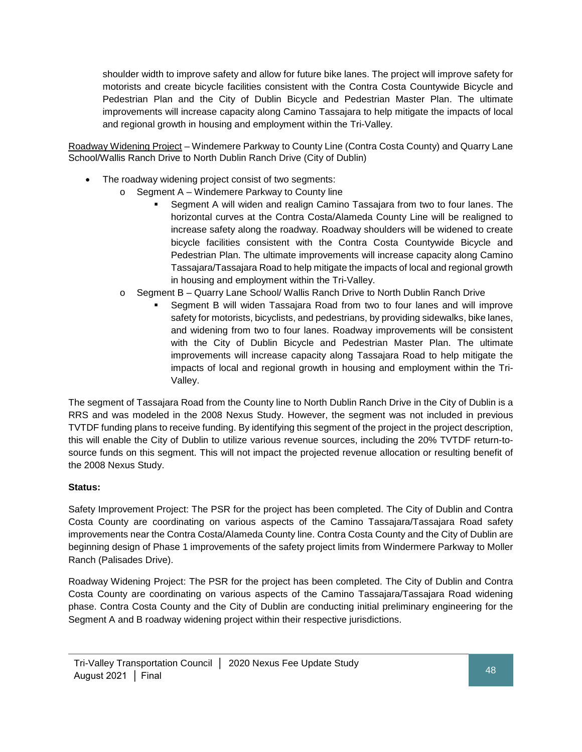shoulder width to improve safety and allow for future bike lanes. The project will improve safety for motorists and create bicycle facilities consistent with the Contra Costa Countywide Bicycle and Pedestrian Plan and the City of Dublin Bicycle and Pedestrian Master Plan. The ultimate improvements will increase capacity along Camino Tassajara to help mitigate the impacts of local and regional growth in housing and employment within the Tri-Valley.

Roadway Widening Project – Windemere Parkway to County Line (Contra Costa County) and Quarry Lane School/Wallis Ranch Drive to North Dublin Ranch Drive (City of Dublin)

- The roadway widening project consist of two segments:
	- o Segment A Windemere Parkway to County line
		- Segment A will widen and realign Camino Tassajara from two to four lanes. The horizontal curves at the Contra Costa/Alameda County Line will be realigned to increase safety along the roadway. Roadway shoulders will be widened to create bicycle facilities consistent with the Contra Costa Countywide Bicycle and Pedestrian Plan. The ultimate improvements will increase capacity along Camino Tassajara/Tassajara Road to help mitigate the impacts of local and regional growth in housing and employment within the Tri-Valley.
	- o Segment B Quarry Lane School/ Wallis Ranch Drive to North Dublin Ranch Drive
		- Segment B will widen Tassajara Road from two to four lanes and will improve safety for motorists, bicyclists, and pedestrians, by providing sidewalks, bike lanes, and widening from two to four lanes. Roadway improvements will be consistent with the City of Dublin Bicycle and Pedestrian Master Plan. The ultimate improvements will increase capacity along Tassajara Road to help mitigate the impacts of local and regional growth in housing and employment within the Tri-Valley.

The segment of Tassajara Road from the County line to North Dublin Ranch Drive in the City of Dublin is a RRS and was modeled in the 2008 Nexus Study. However, the segment was not included in previous TVTDF funding plans to receive funding. By identifying this segment of the project in the project description, this will enable the City of Dublin to utilize various revenue sources, including the 20% TVTDF return-tosource funds on this segment. This will not impact the projected revenue allocation or resulting benefit of the 2008 Nexus Study.

#### **Status:**

Safety Improvement Project: The PSR for the project has been completed. The City of Dublin and Contra Costa County are coordinating on various aspects of the Camino Tassajara/Tassajara Road safety improvements near the Contra Costa/Alameda County line. Contra Costa County and the City of Dublin are beginning design of Phase 1 improvements of the safety project limits from Windermere Parkway to Moller Ranch (Palisades Drive).

Roadway Widening Project: The PSR for the project has been completed. The City of Dublin and Contra Costa County are coordinating on various aspects of the Camino Tassajara/Tassajara Road widening phase. Contra Costa County and the City of Dublin are conducting initial preliminary engineering for the Segment A and B roadway widening project within their respective jurisdictions.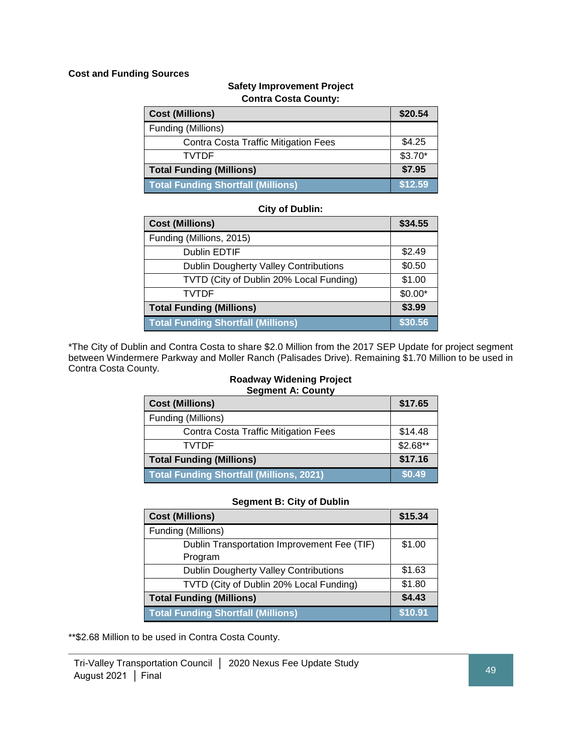#### **Cost and Funding Sources**

## **Safety Improvement Project Contra Costa County:**

| <b>Cost (Millions)</b>                      | \$20.54  |
|---------------------------------------------|----------|
| Funding (Millions)                          |          |
| <b>Contra Costa Traffic Mitigation Fees</b> | \$4.25   |
| <b>TVTDF</b>                                | $$3.70*$ |
| <b>Total Funding (Millions)</b>             | \$7.95   |
| <b>Total Funding Shortfall (Millions)</b>   | \$12.59  |

#### **City of Dublin:**

| <b>Cost (Millions)</b>                       | \$34.55  |
|----------------------------------------------|----------|
| Funding (Millions, 2015)                     |          |
| <b>Dublin EDTIF</b>                          | \$2.49   |
| <b>Dublin Dougherty Valley Contributions</b> | \$0.50   |
| TVTD (City of Dublin 20% Local Funding)      | \$1.00   |
| <b>TVTDF</b>                                 | $$0.00*$ |
| <b>Total Funding (Millions)</b>              | \$3.99   |
| <b>Total Funding Shortfall (Millions)</b>    | \$30.56  |

\*The City of Dublin and Contra Costa to share \$2.0 Million from the 2017 SEP Update for project segment between Windermere Parkway and Moller Ranch (Palisades Drive). Remaining \$1.70 Million to be used in Contra Costa County.

#### **Roadway Widening Project Segment A: County**

| <b>Cost (Millions)</b>                      | \$17.65   |
|---------------------------------------------|-----------|
| Funding (Millions)                          |           |
| <b>Contra Costa Traffic Mitigation Fees</b> | \$14.48   |
| <b>TVTDF</b>                                | $$2.68**$ |
| <b>Total Funding (Millions)</b>             | \$17.16   |
| Total Funding Shortfall (Millions, 2021)    | \$0.49    |

#### **Segment B: City of Dublin**

| <b>Cost (Millions)</b>                       | \$15.34 |
|----------------------------------------------|---------|
| Funding (Millions)                           |         |
| Dublin Transportation Improvement Fee (TIF)  | \$1.00  |
| Program                                      |         |
| <b>Dublin Dougherty Valley Contributions</b> | \$1.63  |
| TVTD (City of Dublin 20% Local Funding)      | \$1.80  |
| <b>Total Funding (Millions)</b>              | \$4.43  |
| <b>Total Funding Shortfall (Millions)</b>    | \$10.91 |

\*\*\$2.68 Million to be used in Contra Costa County.

Tri-Valley Transportation Council │ 2020 Nexus Fee Update Study August 2021 │ Final 49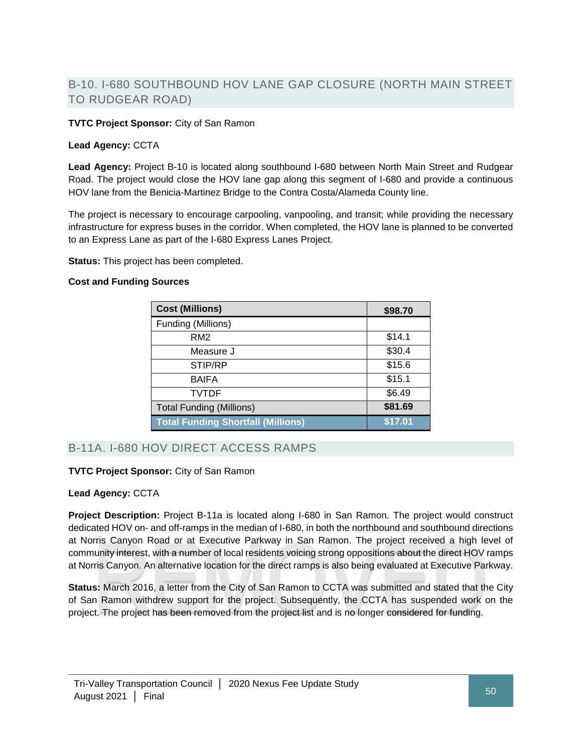## B-10. I-680 SOUTHBOUND HOV LANE GAP CLOSURE (NORTH MAIN STREET TO RUDGEAR ROAD)

### **TVTC Project Sponsor:** City of San Ramon

#### **Lead Agency:** CCTA

**Lead Agency:** Project B-10 is located along southbound I-680 between North Main Street and Rudgear Road. The project would close the HOV lane gap along this segment of I-680 and provide a continuous HOV lane from the Benicia-Martinez Bridge to the Contra Costa/Alameda County line.

The project is necessary to encourage carpooling, vanpooling, and transit; while providing the necessary infrastructure for express buses in the corridor. When completed, the HOV lane is planned to be converted to an Express Lane as part of the I-680 Express Lanes Project.

**Status:** This project has been completed.

#### **Cost and Funding Sources**

| <b>Cost (Millions)</b>                    | \$98.70 |
|-------------------------------------------|---------|
| Funding (Millions)                        |         |
| RM <sub>2</sub>                           | \$14.1  |
| Measure J                                 | \$30.4  |
| STIP/RP                                   | \$15.6  |
| <b>BAIFA</b>                              | \$15.1  |
| TVTDF                                     | \$6.49  |
| <b>Total Funding (Millions)</b>           | \$81.69 |
| <b>Total Funding Shortfall (Millions)</b> | \$17.01 |

## B-11A. I-680 HOV DIRECT ACCESS RAMPS

#### **TVTC Project Sponsor:** City of San Ramon

#### **Lead Agency:** CCTA

**Project Description:** Project B-11a is located along I-680 in San Ramon. The project would construct dedicated HOV on- and off-ramps in the median of I-680, in both the northbound and southbound directions at Norris Canyon Road or at Executive Parkway in San Ramon. The project received a high level of community interest, with a number of local residents voicing strong oppositions about the direct HOV ramps at Norris Canyon. An alternative location for the direct ramps is also being evaluated at Executive Parkway.

**Status:** March 2016, a letter from the City of San Ramon to CCTA was submitted and stated that the City of San Ramon withdrew support for the project. Subsequently, the CCTA has suspended work on the project. The project has been removed from the project list and is no longer considered for funding.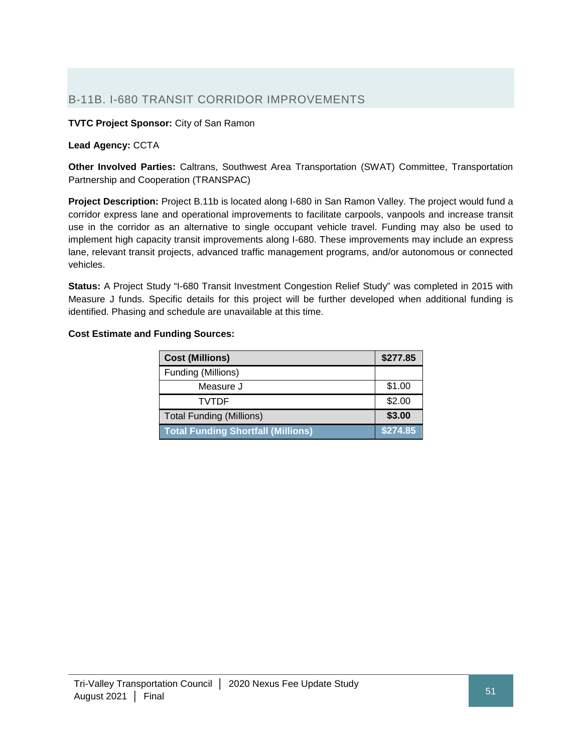## B-11B. I-680 TRANSIT CORRIDOR IMPROVEMENTS

**TVTC Project Sponsor:** City of San Ramon

#### **Lead Agency:** CCTA

**Other Involved Parties:** Caltrans, Southwest Area Transportation (SWAT) Committee, Transportation Partnership and Cooperation (TRANSPAC)

**Project Description:** Project B.11b is located along I-680 in San Ramon Valley. The project would fund a corridor express lane and operational improvements to facilitate carpools, vanpools and increase transit use in the corridor as an alternative to single occupant vehicle travel. Funding may also be used to implement high capacity transit improvements along I-680. These improvements may include an express lane, relevant transit projects, advanced traffic management programs, and/or autonomous or connected vehicles.

**Status:** A Project Study "I-680 Transit Investment Congestion Relief Study" was completed in 2015 with Measure J funds. Specific details for this project will be further developed when additional funding is identified. Phasing and schedule are unavailable at this time.

### **Cost Estimate and Funding Sources:**

| <b>Cost (Millions)</b>                    | \$277.85 |
|-------------------------------------------|----------|
| Funding (Millions)                        |          |
| Measure J                                 | \$1.00   |
| TVTDF                                     | \$2.00   |
| <b>Total Funding (Millions)</b>           | \$3.00   |
| <b>Total Funding Shortfall (Millions)</b> | \$274.85 |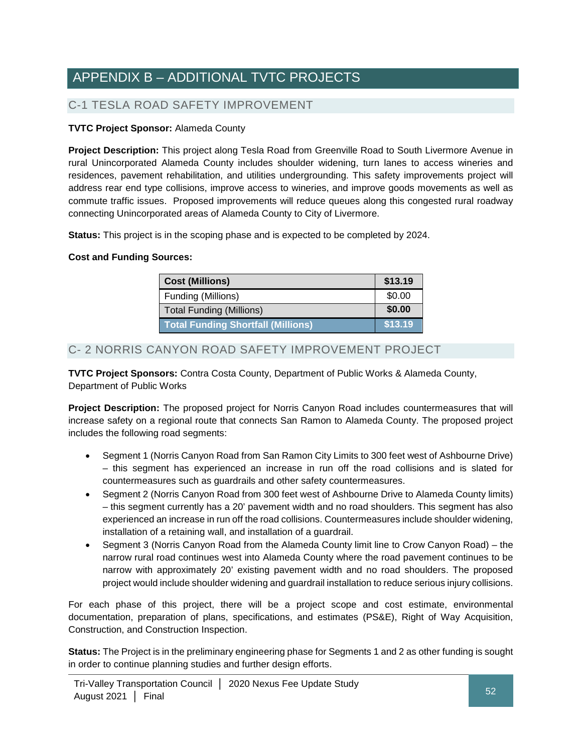# APPENDIX B – ADDITIONAL TVTC PROJECTS

## C-1 TESLA ROAD SAFETY IMPROVEMENT

## **TVTC Project Sponsor:** Alameda County

**Project Description:** This project along Tesla Road from Greenville Road to South Livermore Avenue in rural Unincorporated Alameda County includes shoulder widening, turn lanes to access wineries and residences, pavement rehabilitation, and utilities undergrounding. This safety improvements project will address rear end type collisions, improve access to wineries, and improve goods movements as well as commute traffic issues. Proposed improvements will reduce queues along this congested rural roadway connecting Unincorporated areas of Alameda County to City of Livermore.

**Status:** This project is in the scoping phase and is expected to be completed by 2024.

### **Cost and Funding Sources:**

| <b>Cost (Millions)</b>                    | \$13.19 |
|-------------------------------------------|---------|
| Funding (Millions)                        | \$0.00  |
| <b>Total Funding (Millions)</b>           | \$0.00  |
| <b>Total Funding Shortfall (Millions)</b> | \$13.19 |

## C- 2 NORRIS CANYON ROAD SAFETY IMPROVEMENT PROJECT

**TVTC Project Sponsors:** Contra Costa County, Department of Public Works & Alameda County, Department of Public Works

**Project Description:** The proposed project for Norris Canyon Road includes countermeasures that will increase safety on a regional route that connects San Ramon to Alameda County. The proposed project includes the following road segments:

- Segment 1 (Norris Canyon Road from San Ramon City Limits to 300 feet west of Ashbourne Drive) – this segment has experienced an increase in run off the road collisions and is slated for countermeasures such as guardrails and other safety countermeasures.
- Segment 2 (Norris Canyon Road from 300 feet west of Ashbourne Drive to Alameda County limits) – this segment currently has a 20' pavement width and no road shoulders. This segment has also experienced an increase in run off the road collisions. Countermeasures include shoulder widening, installation of a retaining wall, and installation of a guardrail.
- Segment 3 (Norris Canyon Road from the Alameda County limit line to Crow Canyon Road) the narrow rural road continues west into Alameda County where the road pavement continues to be narrow with approximately 20' existing pavement width and no road shoulders. The proposed project would include shoulder widening and guardrail installation to reduce serious injury collisions.

For each phase of this project, there will be a project scope and cost estimate, environmental documentation, preparation of plans, specifications, and estimates (PS&E), Right of Way Acquisition, Construction, and Construction Inspection.

**Status:** The Project is in the preliminary engineering phase for Segments 1 and 2 as other funding is sought in order to continue planning studies and further design efforts.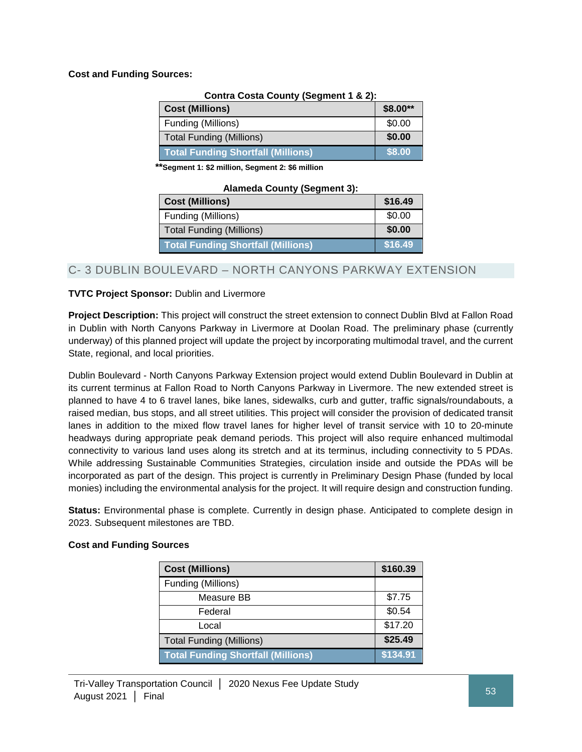## **Cost and Funding Sources:**

**Contra Costa County (Segment 1 & 2):**

| <b>Cost (Millions)</b>                    | \$8.00** |
|-------------------------------------------|----------|
| Funding (Millions)                        | \$0.00   |
| <b>Total Funding (Millions)</b>           | \$0.00   |
| <b>Total Funding Shortfall (Millions)</b> | \$8.00   |

 **\*\*Segment 1: \$2 million, Segment 2: \$6 million**

| <b>Alameda County (Segment 3):</b> |  |  |
|------------------------------------|--|--|
|------------------------------------|--|--|

| <b>Cost (Millions)</b>                    | \$16.49 |
|-------------------------------------------|---------|
| Funding (Millions)                        | \$0.00  |
| <b>Total Funding (Millions)</b>           | \$0.00  |
| <b>Total Funding Shortfall (Millions)</b> | \$16.49 |

## C- 3 DUBLIN BOULEVARD – NORTH CANYONS PARKWAY EXTENSION

### **TVTC Project Sponsor:** Dublin and Livermore

**Project Description:** This project will construct the street extension to connect Dublin Blvd at Fallon Road in Dublin with North Canyons Parkway in Livermore at Doolan Road. The preliminary phase (currently underway) of this planned project will update the project by incorporating multimodal travel, and the current State, regional, and local priorities.

Dublin Boulevard - North Canyons Parkway Extension project would extend Dublin Boulevard in Dublin at its current terminus at Fallon Road to North Canyons Parkway in Livermore. The new extended street is planned to have 4 to 6 travel lanes, bike lanes, sidewalks, curb and gutter, traffic signals/roundabouts, a raised median, bus stops, and all street utilities. This project will consider the provision of dedicated transit lanes in addition to the mixed flow travel lanes for higher level of transit service with 10 to 20-minute headways during appropriate peak demand periods. This project will also require enhanced multimodal connectivity to various land uses along its stretch and at its terminus, including connectivity to 5 PDAs. While addressing Sustainable Communities Strategies, circulation inside and outside the PDAs will be incorporated as part of the design. This project is currently in Preliminary Design Phase (funded by local monies) including the environmental analysis for the project. It will require design and construction funding.

**Status:** Environmental phase is complete. Currently in design phase. Anticipated to complete design in 2023. Subsequent milestones are TBD.

| <b>Cost (Millions)</b>                    | \$160.39 |
|-------------------------------------------|----------|
| Funding (Millions)                        |          |
| Measure BB                                | \$7.75   |
| Federal                                   | \$0.54   |
| Local                                     | \$17.20  |
| <b>Total Funding (Millions)</b>           | \$25.49  |
| <b>Total Funding Shortfall (Millions)</b> | \$134.91 |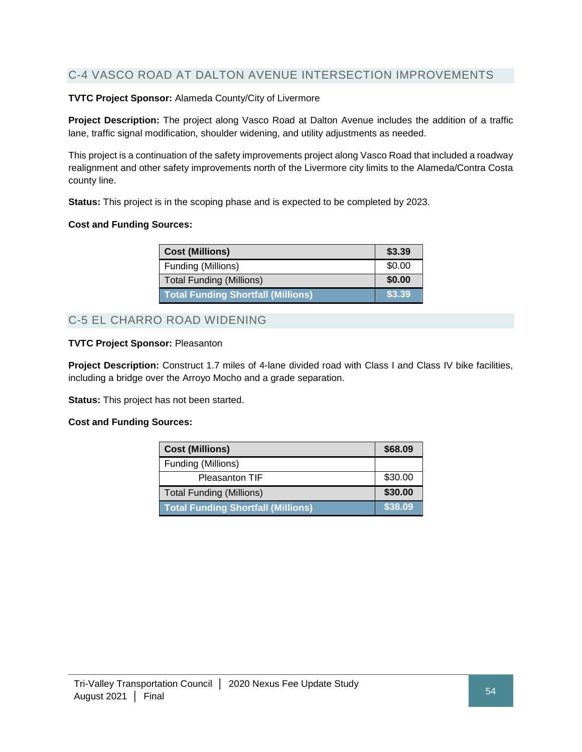## C-4 VASCO ROAD AT DALTON AVENUE INTERSECTION IMPROVEMENTS

### **TVTC Project Sponsor:** Alameda County/City of Livermore

**Project Description:** The project along Vasco Road at Dalton Avenue includes the addition of a traffic lane, traffic signal modification, shoulder widening, and utility adjustments as needed.

This project is a continuation of the safety improvements project along Vasco Road that included a roadway realignment and other safety improvements north of the Livermore city limits to the Alameda/Contra Costa county line.

**Status:** This project is in the scoping phase and is expected to be completed by 2023.

#### **Cost and Funding Sources:**

| <b>Cost (Millions)</b>                    | \$3.39 |
|-------------------------------------------|--------|
| Funding (Millions)                        | \$0.00 |
| <b>Total Funding (Millions)</b>           | \$0.00 |
| <b>Total Funding Shortfall (Millions)</b> | \$3.39 |

## C-5 EL CHARRO ROAD WIDENING

#### **TVTC Project Sponsor:** Pleasanton

**Project Description:** Construct 1.7 miles of 4-lane divided road with Class I and Class IV bike facilities, including a bridge over the Arroyo Mocho and a grade separation.

**Status:** This project has not been started.

| <b>Cost (Millions)</b>                    | \$68.09 |
|-------------------------------------------|---------|
| Funding (Millions)                        |         |
| Pleasanton TIF                            | \$30.00 |
| <b>Total Funding (Millions)</b>           | \$30.00 |
| <b>Total Funding Shortfall (Millions)</b> | \$38.09 |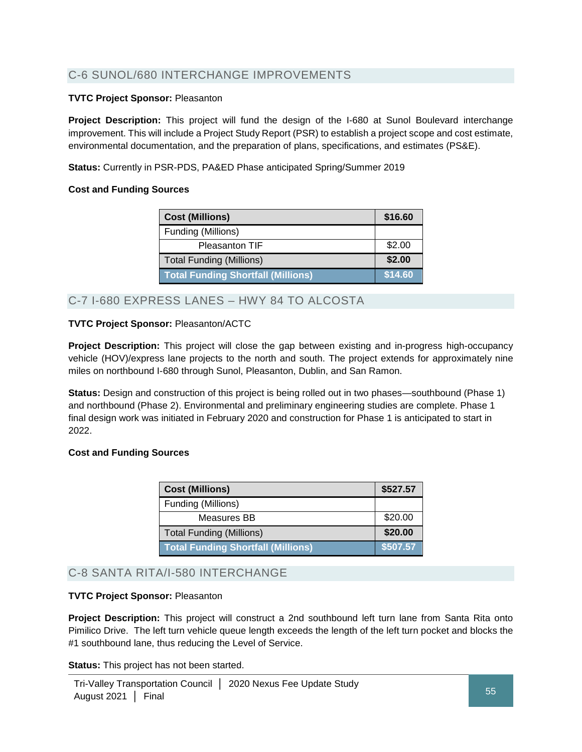## C-6 SUNOL/680 INTERCHANGE IMPROVEMENTS

### **TVTC Project Sponsor:** Pleasanton

**Project Description:** This project will fund the design of the I-680 at Sunol Boulevard interchange improvement. This will include a Project Study Report (PSR) to establish a project scope and cost estimate, environmental documentation, and the preparation of plans, specifications, and estimates (PS&E).

**Status:** Currently in PSR-PDS, PA&ED Phase anticipated Spring/Summer 2019

#### **Cost and Funding Sources**

| <b>Cost (Millions)</b>                    | \$16.60 |
|-------------------------------------------|---------|
| Funding (Millions)                        |         |
| <b>Pleasanton TIF</b>                     | \$2.00  |
| <b>Total Funding (Millions)</b>           | \$2.00  |
| <b>Total Funding Shortfall (Millions)</b> | \$14.60 |

## C-7 I-680 EXPRESS LANES – HWY 84 TO ALCOSTA

### **TVTC Project Sponsor:** Pleasanton/ACTC

**Project Description:** This project will close the gap between existing and in-progress high-occupancy vehicle (HOV)/express lane projects to the north and south. The project extends for approximately nine miles on northbound I-680 through Sunol, Pleasanton, Dublin, and San Ramon.

**Status:** Design and construction of this project is being rolled out in two phases—southbound (Phase 1) and northbound (Phase 2). Environmental and preliminary engineering studies are complete. Phase 1 final design work was initiated in February 2020 and construction for Phase 1 is anticipated to start in 2022.

#### **Cost and Funding Sources**

| <b>Cost (Millions)</b>                    | \$527.57 |
|-------------------------------------------|----------|
| Funding (Millions)                        |          |
| Measures BB                               | \$20.00  |
| <b>Total Funding (Millions)</b>           | \$20.00  |
| <b>Total Funding Shortfall (Millions)</b> | \$507.57 |

## C-8 SANTA RITA/I-580 INTERCHANGE

#### **TVTC Project Sponsor:** Pleasanton

**Project Description:** This project will construct a 2nd southbound left turn lane from Santa Rita onto Pimilico Drive. The left turn vehicle queue length exceeds the length of the left turn pocket and blocks the #1 southbound lane, thus reducing the Level of Service.

**Status:** This project has not been started.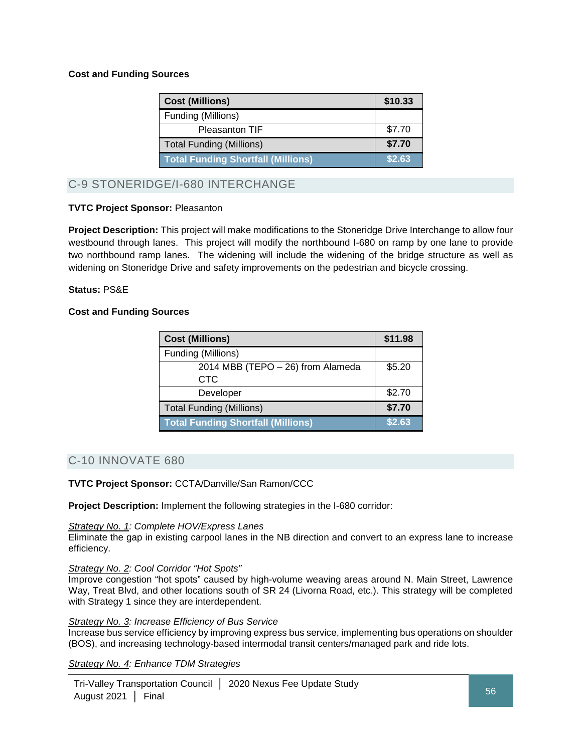### **Cost and Funding Sources**

| <b>Cost (Millions)</b>                    | \$10.33 |
|-------------------------------------------|---------|
| Funding (Millions)                        |         |
| <b>Pleasanton TIF</b>                     | \$7.70  |
| <b>Total Funding (Millions)</b>           | \$7.70  |
| <b>Total Funding Shortfall (Millions)</b> | \$2.63  |

## C-9 STONERIDGE/I-680 INTERCHANGE

### **TVTC Project Sponsor:** Pleasanton

**Project Description:** This project will make modifications to the Stoneridge Drive Interchange to allow four westbound through lanes. This project will modify the northbound I-680 on ramp by one lane to provide two northbound ramp lanes. The widening will include the widening of the bridge structure as well as widening on Stoneridge Drive and safety improvements on the pedestrian and bicycle crossing.

#### **Status:** PS&E

### **Cost and Funding Sources**

| <b>Cost (Millions)</b>                    | \$11.98 |
|-------------------------------------------|---------|
| Funding (Millions)                        |         |
| 2014 MBB (TEPO - 26) from Alameda         | \$5.20  |
| <b>CTC</b>                                |         |
| Developer                                 | \$2.70  |
| <b>Total Funding (Millions)</b>           | \$7.70  |
| <b>Total Funding Shortfall (Millions)</b> | \$2.63  |

## C-10 INNOVATE 680

**TVTC Project Sponsor:** CCTA/Danville/San Ramon/CCC

**Project Description:** Implement the following strategies in the I-680 corridor:

#### *Strategy No. 1: Complete HOV/Express Lanes*

Eliminate the gap in existing carpool lanes in the NB direction and convert to an express lane to increase efficiency.

#### *Strategy No. 2: Cool Corridor "Hot Spots"*

Improve congestion "hot spots" caused by high-volume weaving areas around N. Main Street, Lawrence Way, Treat Blvd, and other locations south of SR 24 (Livorna Road, etc.). This strategy will be completed with Strategy 1 since they are interdependent.

#### *Strategy No. 3: Increase Efficiency of Bus Service*

Increase bus service efficiency by improving express bus service, implementing bus operations on shoulder (BOS), and increasing technology-based intermodal transit centers/managed park and ride lots.

*Strategy No. 4: Enhance TDM Strategies*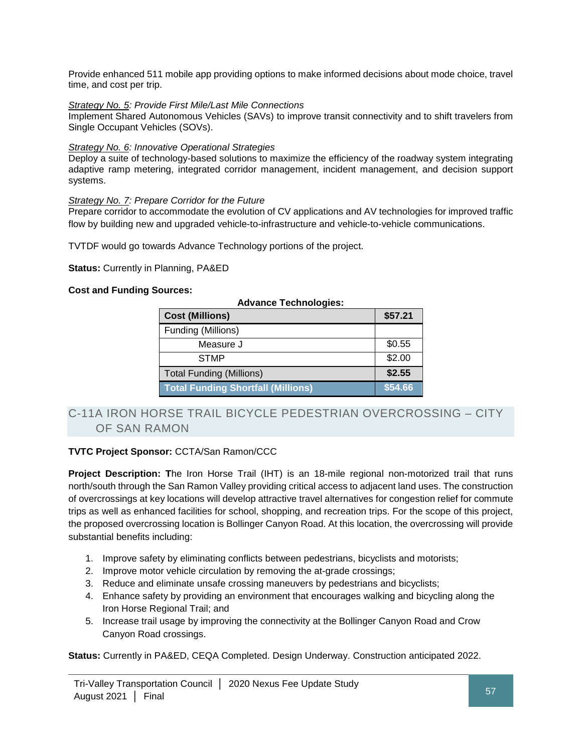Provide enhanced 511 mobile app providing options to make informed decisions about mode choice, travel time, and cost per trip.

### *Strategy No. 5: Provide First Mile/Last Mile Connections*

Implement Shared Autonomous Vehicles (SAVs) to improve transit connectivity and to shift travelers from Single Occupant Vehicles (SOVs).

#### *Strategy No. 6: Innovative Operational Strategies*

Deploy a suite of technology-based solutions to maximize the efficiency of the roadway system integrating adaptive ramp metering, integrated corridor management, incident management, and decision support systems.

#### *Strategy No. 7: Prepare Corridor for the Future*

Prepare corridor to accommodate the evolution of CV applications and AV technologies for improved traffic flow by building new and upgraded vehicle-to-infrastructure and vehicle-to-vehicle communications.

TVTDF would go towards Advance Technology portions of the project.

**Status:** Currently in Planning, PA&ED

#### **Cost and Funding Sources:**

| <b>Advance Technologies:</b>              |         |
|-------------------------------------------|---------|
| <b>Cost (Millions)</b>                    | \$57.21 |
| Funding (Millions)                        |         |
| Measure J                                 | \$0.55  |
| <b>STMP</b>                               | \$2.00  |
| <b>Total Funding (Millions)</b>           | \$2.55  |
| <b>Total Funding Shortfall (Millions)</b> | \$54.66 |

## C-11A IRON HORSE TRAIL BICYCLE PEDESTRIAN OVERCROSSING – CITY OF SAN RAMON

#### **TVTC Project Sponsor:** CCTA/San Ramon/CCC

**Project Description: T**he Iron Horse Trail (IHT) is an 18-mile regional non-motorized trail that runs north/south through the San Ramon Valley providing critical access to adjacent land uses. The construction of overcrossings at key locations will develop attractive travel alternatives for congestion relief for commute trips as well as enhanced facilities for school, shopping, and recreation trips. For the scope of this project, the proposed overcrossing location is Bollinger Canyon Road. At this location, the overcrossing will provide substantial benefits including:

- 1. Improve safety by eliminating conflicts between pedestrians, bicyclists and motorists;
- 2. Improve motor vehicle circulation by removing the at-grade crossings;
- 3. Reduce and eliminate unsafe crossing maneuvers by pedestrians and bicyclists;
- 4. Enhance safety by providing an environment that encourages walking and bicycling along the Iron Horse Regional Trail; and
- 5. Increase trail usage by improving the connectivity at the Bollinger Canyon Road and Crow Canyon Road crossings.

**Status:** Currently in PA&ED, CEQA Completed. Design Underway. Construction anticipated 2022.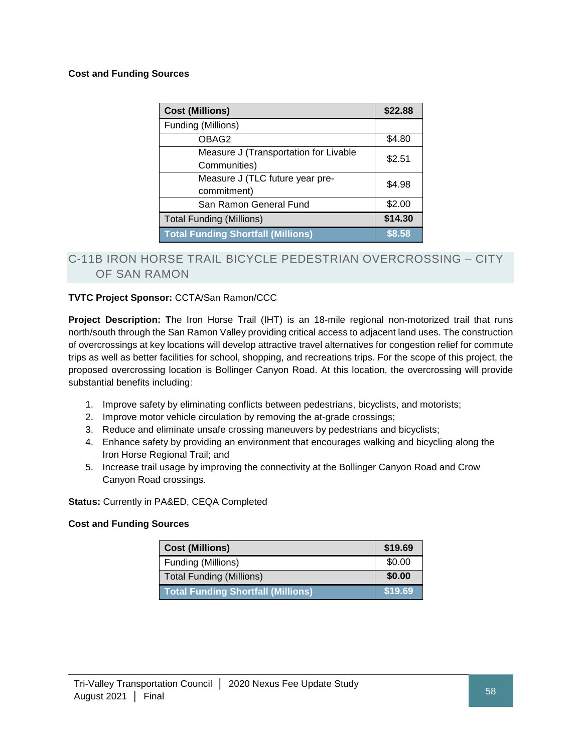### **Cost and Funding Sources**

| <b>Cost (Millions)</b>                    | \$22.88 |
|-------------------------------------------|---------|
| Funding (Millions)                        |         |
| OBAG2                                     | \$4.80  |
| Measure J (Transportation for Livable     | \$2.51  |
| Communities)                              |         |
| Measure J (TLC future year pre-           | \$4.98  |
| commitment)                               |         |
| San Ramon General Fund                    | \$2.00  |
| <b>Total Funding (Millions)</b>           | \$14.30 |
| <b>Total Funding Shortfall (Millions)</b> | \$8.58  |

## C-11B IRON HORSE TRAIL BICYCLE PEDESTRIAN OVERCROSSING – CITY OF SAN RAMON

## **TVTC Project Sponsor:** CCTA/San Ramon/CCC

**Project Description: T**he Iron Horse Trail (IHT) is an 18-mile regional non-motorized trail that runs north/south through the San Ramon Valley providing critical access to adjacent land uses. The construction of overcrossings at key locations will develop attractive travel alternatives for congestion relief for commute trips as well as better facilities for school, shopping, and recreations trips. For the scope of this project, the proposed overcrossing location is Bollinger Canyon Road. At this location, the overcrossing will provide substantial benefits including:

- 1. Improve safety by eliminating conflicts between pedestrians, bicyclists, and motorists;
- 2. Improve motor vehicle circulation by removing the at-grade crossings;
- 3. Reduce and eliminate unsafe crossing maneuvers by pedestrians and bicyclists;
- 4. Enhance safety by providing an environment that encourages walking and bicycling along the Iron Horse Regional Trail; and
- 5. Increase trail usage by improving the connectivity at the Bollinger Canyon Road and Crow Canyon Road crossings.

#### **Status:** Currently in PA&ED, CEQA Completed

| <b>Cost (Millions)</b>                    | \$19.69 |
|-------------------------------------------|---------|
| Funding (Millions)                        | \$0.00  |
| <b>Total Funding (Millions)</b>           | \$0.00  |
| <b>Total Funding Shortfall (Millions)</b> | \$19.69 |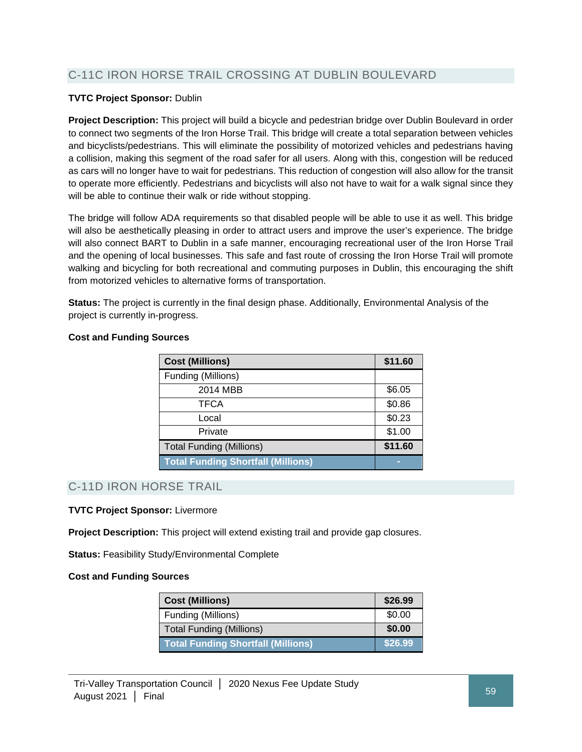## C-11C IRON HORSE TRAIL CROSSING AT DUBLIN BOULEVARD

### **TVTC Project Sponsor:** Dublin

**Project Description:** This project will build a bicycle and pedestrian bridge over Dublin Boulevard in order to connect two segments of the Iron Horse Trail. This bridge will create a total separation between vehicles and bicyclists/pedestrians. This will eliminate the possibility of motorized vehicles and pedestrians having a collision, making this segment of the road safer for all users. Along with this, congestion will be reduced as cars will no longer have to wait for pedestrians. This reduction of congestion will also allow for the transit to operate more efficiently. Pedestrians and bicyclists will also not have to wait for a walk signal since they will be able to continue their walk or ride without stopping.

The bridge will follow ADA requirements so that disabled people will be able to use it as well. This bridge will also be aesthetically pleasing in order to attract users and improve the user's experience. The bridge will also connect BART to Dublin in a safe manner, encouraging recreational user of the Iron Horse Trail and the opening of local businesses. This safe and fast route of crossing the Iron Horse Trail will promote walking and bicycling for both recreational and commuting purposes in Dublin, this encouraging the shift from motorized vehicles to alternative forms of transportation.

**Status:** The project is currently in the final design phase. Additionally, Environmental Analysis of the project is currently in-progress.

| <b>Cost (Millions)</b>                    | \$11.60 |
|-------------------------------------------|---------|
| Funding (Millions)                        |         |
| 2014 MBB                                  | \$6.05  |
| <b>TFCA</b>                               | \$0.86  |
| Local                                     | \$0.23  |
| Private                                   | \$1.00  |
| <b>Total Funding (Millions)</b>           | \$11.60 |
| <b>Total Funding Shortfall (Millions)</b> | ╾       |

### **Cost and Funding Sources**

## C-11D IRON HORSE TRAIL

#### **TVTC Project Sponsor:** Livermore

**Project Description:** This project will extend existing trail and provide gap closures.

**Status: Feasibility Study/Environmental Complete** 

| <b>Cost (Millions)</b>                    | \$26.99 |
|-------------------------------------------|---------|
| Funding (Millions)                        | \$0.00  |
| <b>Total Funding (Millions)</b>           | \$0.00  |
| <b>Total Funding Shortfall (Millions)</b> | \$26.99 |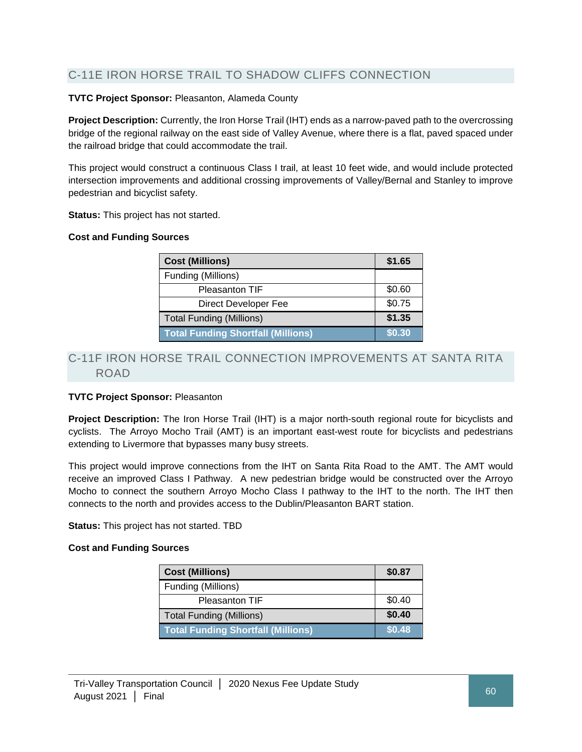## C-11E IRON HORSE TRAIL TO SHADOW CLIFFS CONNECTION

## **TVTC Project Sponsor:** Pleasanton, Alameda County

**Project Description:** Currently, the Iron Horse Trail (IHT) ends as a narrow-paved path to the overcrossing bridge of the regional railway on the east side of Valley Avenue, where there is a flat, paved spaced under the railroad bridge that could accommodate the trail.

This project would construct a continuous Class I trail, at least 10 feet wide, and would include protected intersection improvements and additional crossing improvements of Valley/Bernal and Stanley to improve pedestrian and bicyclist safety.

**Status:** This project has not started.

### **Cost and Funding Sources**

| <b>Cost (Millions)</b>                    | \$1.65 |
|-------------------------------------------|--------|
| Funding (Millions)                        |        |
| <b>Pleasanton TIF</b>                     | \$0.60 |
| Direct Developer Fee                      | \$0.75 |
| <b>Total Funding (Millions)</b>           | \$1.35 |
| <b>Total Funding Shortfall (Millions)</b> | \$0.30 |

## C-11F IRON HORSE TRAIL CONNECTION IMPROVEMENTS AT SANTA RITA ROAD

## **TVTC Project Sponsor:** Pleasanton

**Project Description:** The Iron Horse Trail (IHT) is a major north-south regional route for bicyclists and cyclists. The Arroyo Mocho Trail (AMT) is an important east-west route for bicyclists and pedestrians extending to Livermore that bypasses many busy streets.

This project would improve connections from the IHT on Santa Rita Road to the AMT. The AMT would receive an improved Class I Pathway. A new pedestrian bridge would be constructed over the Arroyo Mocho to connect the southern Arroyo Mocho Class I pathway to the IHT to the north. The IHT then connects to the north and provides access to the Dublin/Pleasanton BART station.

**Status:** This project has not started. TBD

| <b>Cost (Millions)</b>                    | \$0.87 |
|-------------------------------------------|--------|
| Funding (Millions)                        |        |
| <b>Pleasanton TIF</b>                     | \$0.40 |
| <b>Total Funding (Millions)</b>           | \$0.40 |
| <b>Total Funding Shortfall (Millions)</b> | \$0.48 |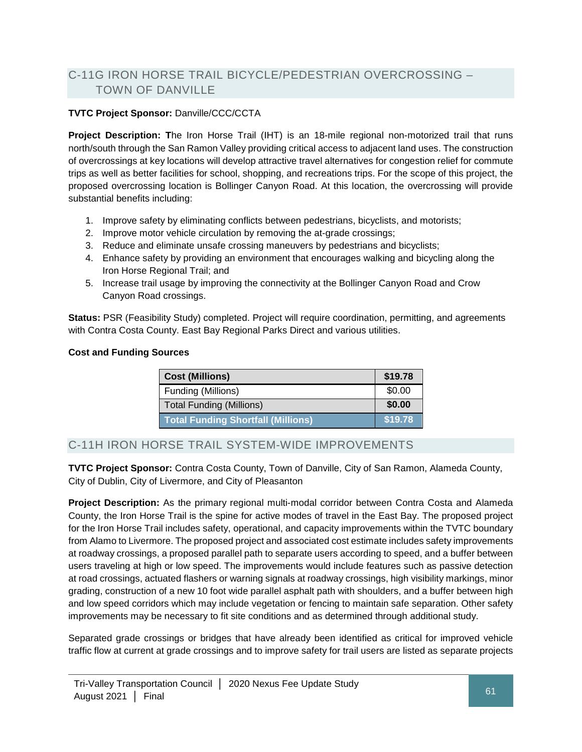## C-11G IRON HORSE TRAIL BICYCLE/PEDESTRIAN OVERCROSSING – TOWN OF DANVILLE

## **TVTC Project Sponsor:** Danville/CCC/CCTA

**Project Description: T**he Iron Horse Trail (IHT) is an 18-mile regional non-motorized trail that runs north/south through the San Ramon Valley providing critical access to adjacent land uses. The construction of overcrossings at key locations will develop attractive travel alternatives for congestion relief for commute trips as well as better facilities for school, shopping, and recreations trips. For the scope of this project, the proposed overcrossing location is Bollinger Canyon Road. At this location, the overcrossing will provide substantial benefits including:

- 1. Improve safety by eliminating conflicts between pedestrians, bicyclists, and motorists;
- 2. Improve motor vehicle circulation by removing the at-grade crossings;
- 3. Reduce and eliminate unsafe crossing maneuvers by pedestrians and bicyclists;
- 4. Enhance safety by providing an environment that encourages walking and bicycling along the Iron Horse Regional Trail; and
- 5. Increase trail usage by improving the connectivity at the Bollinger Canyon Road and Crow Canyon Road crossings.

**Status:** PSR (Feasibility Study) completed. Project will require coordination, permitting, and agreements with Contra Costa County. East Bay Regional Parks Direct and various utilities.

## **Cost and Funding Sources**

| <b>Cost (Millions)</b>             | \$19.78 |
|------------------------------------|---------|
| Funding (Millions)                 | \$0.00  |
| <b>Total Funding (Millions)</b>    | \$0.00  |
| Total Funding Shortfall (Millions) | \$19.78 |

## C-11H IRON HORSE TRAIL SYSTEM-WIDE IMPROVEMENTS

**TVTC Project Sponsor:** Contra Costa County, Town of Danville, City of San Ramon, Alameda County, City of Dublin, City of Livermore, and City of Pleasanton

**Project Description:** As the primary regional multi-modal corridor between Contra Costa and Alameda County, the Iron Horse Trail is the spine for active modes of travel in the East Bay. The proposed project for the Iron Horse Trail includes safety, operational, and capacity improvements within the TVTC boundary from Alamo to Livermore. The proposed project and associated cost estimate includes safety improvements at roadway crossings, a proposed parallel path to separate users according to speed, and a buffer between users traveling at high or low speed. The improvements would include features such as passive detection at road crossings, actuated flashers or warning signals at roadway crossings, high visibility markings, minor grading, construction of a new 10 foot wide parallel asphalt path with shoulders, and a buffer between high and low speed corridors which may include vegetation or fencing to maintain safe separation. Other safety improvements may be necessary to fit site conditions and as determined through additional study.

Separated grade crossings or bridges that have already been identified as critical for improved vehicle traffic flow at current at grade crossings and to improve safety for trail users are listed as separate projects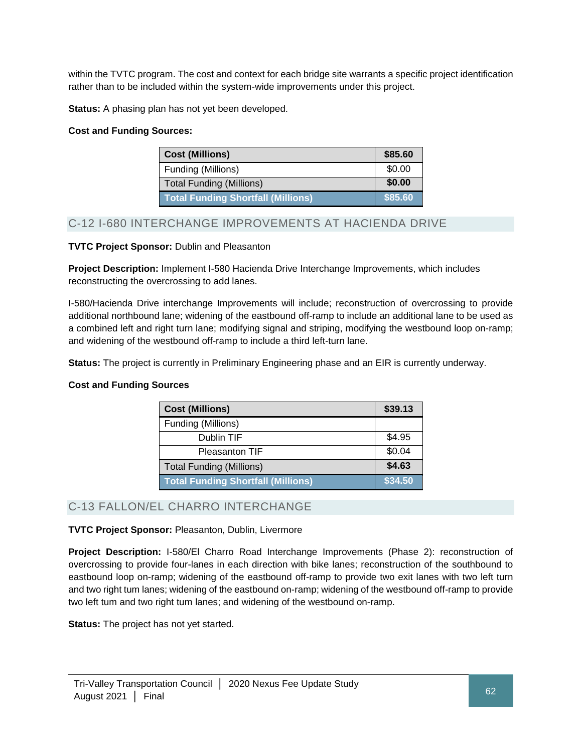within the TVTC program. The cost and context for each bridge site warrants a specific project identification rather than to be included within the system-wide improvements under this project.

**Status:** A phasing plan has not yet been developed.

## **Cost and Funding Sources:**

| <b>Cost (Millions)</b>                    | \$85.60 |
|-------------------------------------------|---------|
| Funding (Millions)                        | \$0.00  |
| <b>Total Funding (Millions)</b>           | \$0.00  |
| <b>Total Funding Shortfall (Millions)</b> | \$85.60 |

## C-12 I-680 INTERCHANGE IMPROVEMENTS AT HACIENDA DRIVE

## **TVTC Project Sponsor:** Dublin and Pleasanton

**Project Description:** Implement I-580 Hacienda Drive Interchange Improvements, which includes reconstructing the overcrossing to add lanes.

I-580/Hacienda Drive interchange Improvements will include; reconstruction of overcrossing to provide additional northbound lane; widening of the eastbound off-ramp to include an additional lane to be used as a combined left and right turn lane; modifying signal and striping, modifying the westbound loop on-ramp; and widening of the westbound off-ramp to include a third left-turn lane.

**Status:** The project is currently in Preliminary Engineering phase and an EIR is currently underway.

## **Cost and Funding Sources**

| <b>Cost (Millions)</b>                    | \$39.13 |
|-------------------------------------------|---------|
| Funding (Millions)                        |         |
| Dublin TIF                                | \$4.95  |
| <b>Pleasanton TIF</b>                     | \$0.04  |
| <b>Total Funding (Millions)</b>           | \$4.63  |
| <b>Total Funding Shortfall (Millions)</b> | \$34.50 |

## C-13 FALLON/EL CHARRO INTERCHANGE

## **TVTC Project Sponsor:** Pleasanton, Dublin, Livermore

**Project Description:** I-580/El Charro Road Interchange Improvements (Phase 2): reconstruction of overcrossing to provide four-lanes in each direction with bike lanes; reconstruction of the southbound to eastbound loop on-ramp; widening of the eastbound off-ramp to provide two exit lanes with two left turn and two right tum lanes; widening of the eastbound on-ramp; widening of the westbound off-ramp to provide two left tum and two right tum lanes; and widening of the westbound on-ramp.

**Status:** The project has not yet started.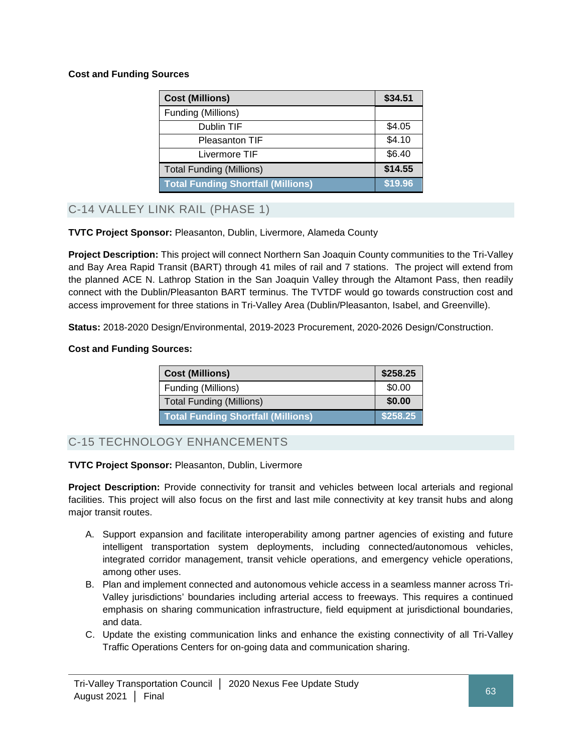## **Cost and Funding Sources**

| <b>Cost (Millions)</b>                    | \$34.51 |
|-------------------------------------------|---------|
| Funding (Millions)                        |         |
| Dublin TIF                                | \$4.05  |
| <b>Pleasanton TIF</b>                     | \$4.10  |
| Livermore TIF                             | \$6.40  |
| <b>Total Funding (Millions)</b>           | \$14.55 |
| <b>Total Funding Shortfall (Millions)</b> | \$19.96 |

C-14 VALLEY LINK RAIL (PHASE 1)

**TVTC Project Sponsor:** Pleasanton, Dublin, Livermore, Alameda County

**Project Description:** This project will connect Northern San Joaquin County communities to the Tri-Valley and Bay Area Rapid Transit (BART) through 41 miles of rail and 7 stations. The project will extend from the planned ACE N. Lathrop Station in the San Joaquin Valley through the Altamont Pass, then readily connect with the Dublin/Pleasanton BART terminus. The TVTDF would go towards construction cost and access improvement for three stations in Tri-Valley Area (Dublin/Pleasanton, Isabel, and Greenville).

**Status:** 2018-2020 Design/Environmental, 2019-2023 Procurement, 2020-2026 Design/Construction.

## **Cost and Funding Sources:**

| <b>Cost (Millions)</b>                    | \$258.25 |
|-------------------------------------------|----------|
| Funding (Millions)                        | \$0.00   |
| <b>Total Funding (Millions)</b>           | \$0.00   |
| <b>Total Funding Shortfall (Millions)</b> | \$258.25 |

C-15 TECHNOLOGY ENHANCEMENTS

## **TVTC Project Sponsor:** Pleasanton, Dublin, Livermore

**Project Description:** Provide connectivity for transit and vehicles between local arterials and regional facilities. This project will also focus on the first and last mile connectivity at key transit hubs and along major transit routes.

- A. Support expansion and facilitate interoperability among partner agencies of existing and future intelligent transportation system deployments, including connected/autonomous vehicles, integrated corridor management, transit vehicle operations, and emergency vehicle operations, among other uses.
- B. Plan and implement connected and autonomous vehicle access in a seamless manner across Tri-Valley jurisdictions' boundaries including arterial access to freeways. This requires a continued emphasis on sharing communication infrastructure, field equipment at jurisdictional boundaries, and data.
- C. Update the existing communication links and enhance the existing connectivity of all Tri-Valley Traffic Operations Centers for on-going data and communication sharing.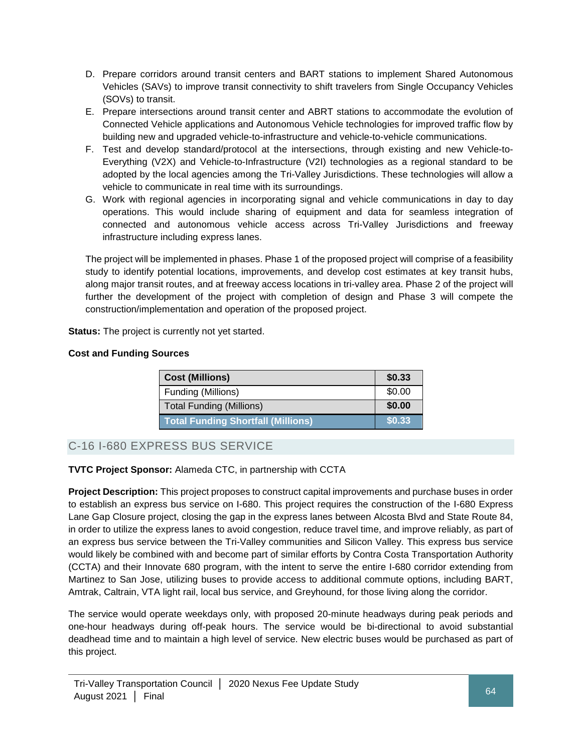- D. Prepare corridors around transit centers and BART stations to implement Shared Autonomous Vehicles (SAVs) to improve transit connectivity to shift travelers from Single Occupancy Vehicles (SOVs) to transit.
- E. Prepare intersections around transit center and ABRT stations to accommodate the evolution of Connected Vehicle applications and Autonomous Vehicle technologies for improved traffic flow by building new and upgraded vehicle-to-infrastructure and vehicle-to-vehicle communications.
- F. Test and develop standard/protocol at the intersections, through existing and new Vehicle-to-Everything (V2X) and Vehicle-to-Infrastructure (V2I) technologies as a regional standard to be adopted by the local agencies among the Tri-Valley Jurisdictions. These technologies will allow a vehicle to communicate in real time with its surroundings.
- G. Work with regional agencies in incorporating signal and vehicle communications in day to day operations. This would include sharing of equipment and data for seamless integration of connected and autonomous vehicle access across Tri-Valley Jurisdictions and freeway infrastructure including express lanes.

The project will be implemented in phases. Phase 1 of the proposed project will comprise of a feasibility study to identify potential locations, improvements, and develop cost estimates at key transit hubs, along major transit routes, and at freeway access locations in tri-valley area. Phase 2 of the project will further the development of the project with completion of design and Phase 3 will compete the construction/implementation and operation of the proposed project.

**Status:** The project is currently not yet started.

## **Cost and Funding Sources**

| <b>Cost (Millions)</b>                    | \$0.33 |
|-------------------------------------------|--------|
| Funding (Millions)                        | \$0.00 |
| <b>Total Funding (Millions)</b>           | \$0.00 |
| <b>Total Funding Shortfall (Millions)</b> | \$0.33 |

## C-16 I-680 EXPRESS BUS SERVICE

## **TVTC Project Sponsor:** Alameda CTC, in partnership with CCTA

**Project Description:** This project proposes to construct capital improvements and purchase buses in order to establish an express bus service on I-680. This project requires the construction of the I-680 Express Lane Gap Closure project, closing the gap in the express lanes between Alcosta Blvd and State Route 84, in order to utilize the express lanes to avoid congestion, reduce travel time, and improve reliably, as part of an express bus service between the Tri-Valley communities and Silicon Valley. This express bus service would likely be combined with and become part of similar efforts by Contra Costa Transportation Authority (CCTA) and their Innovate 680 program, with the intent to serve the entire I-680 corridor extending from Martinez to San Jose, utilizing buses to provide access to additional commute options, including BART, Amtrak, Caltrain, VTA light rail, local bus service, and Greyhound, for those living along the corridor.

The service would operate weekdays only, with proposed 20-minute headways during peak periods and one-hour headways during off-peak hours. The service would be bi-directional to avoid substantial deadhead time and to maintain a high level of service. New electric buses would be purchased as part of this project.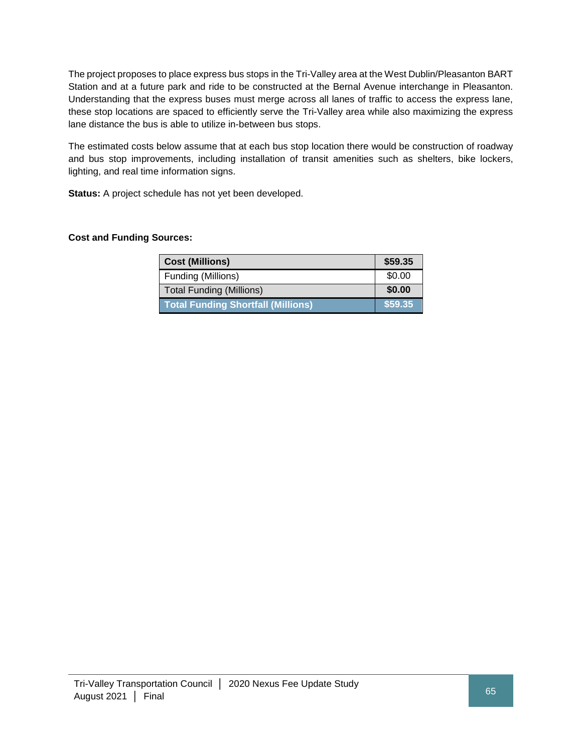The project proposes to place express bus stops in the Tri-Valley area at the West Dublin/Pleasanton BART Station and at a future park and ride to be constructed at the Bernal Avenue interchange in Pleasanton. Understanding that the express buses must merge across all lanes of traffic to access the express lane, these stop locations are spaced to efficiently serve the Tri-Valley area while also maximizing the express lane distance the bus is able to utilize in-between bus stops.

The estimated costs below assume that at each bus stop location there would be construction of roadway and bus stop improvements, including installation of transit amenities such as shelters, bike lockers, lighting, and real time information signs.

**Status:** A project schedule has not yet been developed.

## **Cost and Funding Sources:**

| <b>Cost (Millions)</b>                    | \$59.35 |
|-------------------------------------------|---------|
| Funding (Millions)                        | \$0.00  |
| <b>Total Funding (Millions)</b>           | \$0.00  |
| <b>Total Funding Shortfall (Millions)</b> | \$59.35 |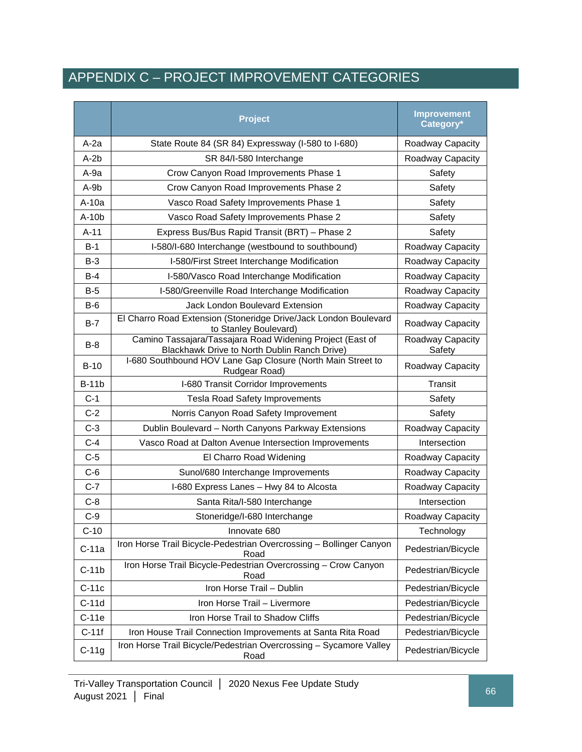## APPENDIX C – PROJECT IMPROVEMENT CATEGORIES

|              | <b>Project</b>                                                                                            | <b>Improvement</b><br>Category* |
|--------------|-----------------------------------------------------------------------------------------------------------|---------------------------------|
| $A-2a$       | State Route 84 (SR 84) Expressway (I-580 to I-680)                                                        | Roadway Capacity                |
| $A-2b$       | SR 84/I-580 Interchange                                                                                   | Roadway Capacity                |
| $A-9a$       | Crow Canyon Road Improvements Phase 1                                                                     | Safety                          |
| A-9b         | Crow Canyon Road Improvements Phase 2                                                                     | Safety                          |
| A-10a        | Vasco Road Safety Improvements Phase 1                                                                    | Safety                          |
| $A-10b$      | Vasco Road Safety Improvements Phase 2                                                                    | Safety                          |
| $A-11$       | Express Bus/Bus Rapid Transit (BRT) - Phase 2                                                             | Safety                          |
| $B-1$        | I-580/I-680 Interchange (westbound to southbound)                                                         | Roadway Capacity                |
| $B-3$        | I-580/First Street Interchange Modification                                                               | Roadway Capacity                |
| $B-4$        | I-580/Vasco Road Interchange Modification                                                                 | Roadway Capacity                |
| $B-5$        | I-580/Greenville Road Interchange Modification                                                            | Roadway Capacity                |
| $B-6$        | <b>Jack London Boulevard Extension</b>                                                                    | Roadway Capacity                |
| $B-7$        | El Charro Road Extension (Stoneridge Drive/Jack London Boulevard<br>to Stanley Boulevard)                 | Roadway Capacity                |
| $B-8$        | Camino Tassajara/Tassajara Road Widening Project (East of<br>Blackhawk Drive to North Dublin Ranch Drive) | Roadway Capacity<br>Safety      |
| $B-10$       | I-680 Southbound HOV Lane Gap Closure (North Main Street to<br>Rudgear Road)                              | Roadway Capacity                |
| <b>B-11b</b> | I-680 Transit Corridor Improvements                                                                       | <b>Transit</b>                  |
| $C-1$        | <b>Tesla Road Safety Improvements</b>                                                                     | Safety                          |
| $C-2$        | Norris Canyon Road Safety Improvement                                                                     | Safety                          |
| $C-3$        | Dublin Boulevard - North Canyons Parkway Extensions                                                       | Roadway Capacity                |
| $C-4$        | Vasco Road at Dalton Avenue Intersection Improvements                                                     | Intersection                    |
| $C-5$        | El Charro Road Widening                                                                                   | Roadway Capacity                |
| $C-6$        | Sunol/680 Interchange Improvements                                                                        | Roadway Capacity                |
| $C-7$        | I-680 Express Lanes - Hwy 84 to Alcosta                                                                   | Roadway Capacity                |
| $C-8$        | Santa Rita/I-580 Interchange                                                                              | Intersection                    |
| $C-9$        | Stoneridge/I-680 Interchange                                                                              | Roadway Capacity                |
| $C-10$       | Innovate 680                                                                                              | Technology                      |
| $C-11a$      | Iron Horse Trail Bicycle-Pedestrian Overcrossing - Bollinger Canyon<br>Road                               | Pedestrian/Bicycle              |
| $C-11b$      | Iron Horse Trail Bicycle-Pedestrian Overcrossing - Crow Canyon<br>Road                                    | Pedestrian/Bicycle              |
| $C-11c$      | Iron Horse Trail - Dublin                                                                                 | Pedestrian/Bicycle              |
| $C-11d$      | Iron Horse Trail - Livermore                                                                              | Pedestrian/Bicycle              |
| $C-11e$      | Iron Horse Trail to Shadow Cliffs                                                                         | Pedestrian/Bicycle              |
| $C-11f$      | Iron House Trail Connection Improvements at Santa Rita Road                                               | Pedestrian/Bicycle              |
| $C-11g$      | Iron Horse Trail Bicycle/Pedestrian Overcrossing - Sycamore Valley<br>Road                                | Pedestrian/Bicycle              |